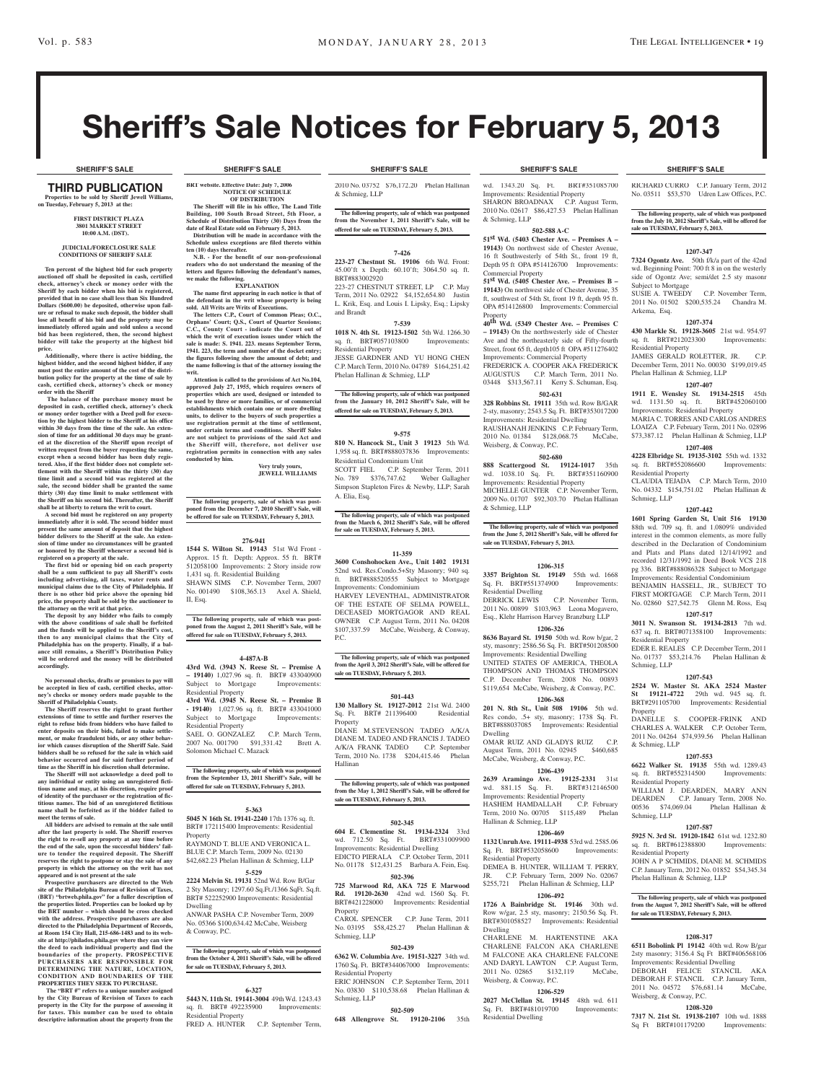RICHARD CURRO C.P. January Term, 2012 No. 03511 \$53,570 Udren Law Offices, P.C. **The following property, sale of which was postponed from the July 10, 2012 Sheriff's Sale, will be offered for** 

**1207-347 7324 Ogontz Ave.** 50th f/k/a part of the 42nd wd. Beginning Point: 700 ft 8 in on the westerly side of Ogontz Ave; semi/det 2.5 sty masonr

SUSIE A. TWEEDY C.P. November Term, 2011 No. 01502 \$200,535.24 Chandra M.

**1207-374 430 Markle St. 19128-3605** 21st wd. 954.97 sq. ft. BRT#212023300 Improvements:

JAMES GERALD ROLETTER, JR. C.P. December Term, 2011 No. 00030 \$199,019.45

**1207-407 1911 E. Wensley St. 19134-2515** 45th wd. 1131.50 sq. ft. BRT#452060100 Improvements: Residential Property MARIA C. TORRES AND CARLOS ANDRES LOAIZA C.P. February Term, 2011 No. 02896 \$73,387.12 Phelan Hallinan & Schmieg, LLP **1207-408 4228 Elbridge St. 19135-3102** 55th wd. 1332 sq. ft. BRT#552086600 Improvements:

CLAUDIA TEJADA C.P. March Term, 2010 No. 04332 \$154,751.02 Phelan Hallinan &

**1207-442 1601 Spring Garden St, Unit 516 19130**  88th wd. 709 sq. ft. and 1.0809% undivided interest in the common elements, as more fully described in the Declaration of Condominium and Plats and Plans dated 12/14/1992 and recorded 12/31/1992 in Deed Book VCS 218 pg 336. BRT#888086328 Subject to Mortgage Improvements: Residential Condominium BENJAMIN HASSELL, JR., SUBJECT TO FIRST MORTGAGE C.P. March Term, 2011 No. 02860 \$27,542.75 Glenn M. Ross, Esq **1207-517 3011 N. Swanson St. 19134-2813** 7th wd. 637 sq. ft. BRT#071358100 Improvements:

EDER E. REALES C.P. December Term, 2011 No. 01737 \$53,214.76 Phelan Hallinan &

**1207-543 2524 W. Master St. AKA 2524 Master St 19121-4722** 29th wd. 945 sq. ft. BRT#291105700 Improvements: Residential

DANELLE S. COOPER-FRINK AND CHARLES A. WALKER C.P. October Term, 2011 No. 04264 \$74,939.56 Phelan Hallinan

**1207-553 6622 Walker St. 19135** 55th wd. 1289.43 sq. ft. BRT#552314500 Improvements:

WILLIAM J. DEARDEN, MARY ANN DEARDEN C.P. January Term, 2008 No.<br>00536 \$74,069.04 Phelan Hallinan &

**1207-587 5925 N. 3rd St. 19120-1842** 61st wd. 1232.80 sq. ft. BRT#612388800 Improvements:

JOHN A P SCHMIDS, DIANE M. SCHMIDS C.P. January Term, 2012 No. 01852 \$54,345.34

**The following property, sale of which was postponed from the August 7, 2012 Sheriff's Sale, will be offered** 

**1208-317 6511 Bobolink Pl 19142** 40th wd. Row B/gar 2sty masonry; 3156.4 Sq Ft BRT#406568106 Improvements: Residential Dwelling DEBORAH FELICE STANCIL AKA DEBORAH F. STANCIL C.P. January Term, 2011 No. 04572 \$76,681.14 McCabe,

**1208-320 7317 N. 21st St. 19138-2107** 10th wd. 1888 Sq Ft BRT#101179200 Improvements:

Phelan Hallinan & Schmieg, LLP

**for sale on TUESDAY, February 5, 2013.**

Weisberg, & Conway, P.C.

Phelan Hallinan & Schmieg, LLP

**sale on TUESDAY, February 5, 2013.**

Subject to Mortgage

Residential Property

Residential Property

Residential Property

Schmieg, LLP

Property

& Schmieg, LLP

Residential Property

00536 \$74,069.04 Schmieg, LLP

Residential Property

Schmieg, LLP

Arkema, Esq.

# Sheriff's Sale Notices for February 5, 2013

#### thirD PUBLICATION **Properties to be sold by Sheriff Jewell Williams, on Tuesday, February 5, 2013 at the:**

#### **First District Plaza 3801 Market Street 10:00 A.M. (DST).**

#### **JUDICIAL/FORECLOSURE SALE CONDITIONS OF SHERIFF SALE**

**Ten percent of the highest bid for each property auctioned off shall be deposited in cash, certified check, attorney's check or money order with the Sheriff by each bidder when his bid is registered, provided that in no case shall less than Six Hundred Dollars (\$600.00) be deposited, otherwise upon fail-ure or refusal to make such deposit, the bidder shall lose all benefit of his bid and the property may be immediately offered again and sold unless a second bid has been registered, then, the second highest bidder will take the property at the highest bid** 

**price. Additionally, where there is active bidding, the highest bidder, and the second highest bidder, if any must post the entire amount of the cost of the distribution policy for the property at the time of sale by cash, certified check, attorney's check or money order with the Sheriff**

 **The balance of the purchase money must be deposited in cash, certified check, attorney's check or money order together with a Deed poll for execution by the highest bidder to the Sheriff at his office within 30 days from the time of the sale. An extension of time for an additional 30 days may be grant-ed at the discretion of the Sheriff upon receipt of written request from the buyer requesting the same, except when a second bidder has been duly registered. Also, if the first bidder does not complete settlement with the Sheriff within the thirty (30) day time limit and a second bid was registered at the sale, the second bidder shall be granted the same thirty (30) day time limit to make settlement with the Sheriff on his second bid. Thereafter, the Sheriff shall be at liberty to return the writ to court. A second bid must be registered on any property** 

**immediately after it is sold. The second bidder must present the same amount of deposit that the highest bidder delivers to the Sheriff at the sale. An extension of time under no circumstances will be granted or honored by the Sheriff whenever a second bid is** 

**registered on a property at the sale. The first bid or opening bid on each property shall be a sum sufficient to pay all Sheriff's costs including advertising, all taxes, water rents and municipal claims due to the City of Philadelphia. If there is no other bid price above the opening bid price, the property shall be sold by the auctioneer to the attorney on the writ at that price.**

**The deposit by any bidder who fails to comply with the above conditions of sale shall be forfeited and the funds will be applied to the Sheriff's cost, then to any municipal claims that the City of Philadelphia has on the property. Finally, if a balance still remains, a Sheriff's Distribution Policy will be ordered and the money will be distributed accordingly.**

**No personal checks, drafts or promises to pay will be accepted in lieu of cash, certified checks, attor-ney's checks or money orders made payable to the Sheriff of Philadelphia County.**

**The Sheriff reserves the right to grant further extensions of time to settle and further reserves the right to refuse bids from bidders who have failed to enter deposits on their bids, failed to make settlement, or make fraudulent bids, or any other behavior which causes disruption of the Sheriff Sale. Said bidders shall be so refused for the sale in which said behavior occurred and for said further period of time as the Sheriff in his discretion shall determine.**

**The Sheriff will not acknowledge a deed poll to any individual or entity using an unregistered ficti-tious name and may, at his discretion, require proof of identity of the purchaser or the registration of fic-titious names. The bid of an unregistered fictitious name shall be forfeited as if the bidder failed to meet the terms of sale. All bidders are advised to remain at the sale until** 

**after the last property is sold. The Sheriff reserves the right to re-sell any property at any time before the end of the sale, upon the successful bidders' failure to tender the required deposit. The Sheriff reserves the right to postpone or stay the sale of any property in which the attorney on the writ has not appeared and is not present at the sale**

**Prospective purchasers are directed to the Web site of the Philadelphia Bureau of Revision of Taxes, (BRT) "brtweb.phila.gov" for a fuller description of the properties listed. Properties can be looked up by the BRT number – which should be cross checked with the address. Prospective purchasers are also directed to the Philadelphia Department of Records, at Room 154 City Hall, 215-686-1483 and to its website at http://philadox.phila.gov where they can view the deed to each individual property and find the boundaries of the property. PROSPECTIVE PURCHASERS ARE RESPONSIBLE FOR DETERMINING THE NATURE, LOCATION, CONDITION AND BOUNDARIES OF THE PROPERTIES THEY SEEK TO PURCHASE.**

 **The "BRT #" refers to a unique number assigned by the City Bureau of Revision of Taxes to each property in the City for the purpose of assessing it for taxes. This number can be used to obtain descriptive information about the property from the** 

#### **SHERIFF'S SALE SHERIFF'S SALE SHERIFF'S SALE SHERIFF'S SALE SHERIFF'S SALE**

**BRT website. Effective Date: July 7, 2006 NOTICE OF SCHEDULE**

**OF DISTRIBUTION The Sheriff will file in his office, The Land Title** 

**Building, 100 South Broad Street, 5th Floor, a Schedule of Distribution Thirty (30) Days from the date of Real Estate sold on February 5, 2013. Distribution will be made in accordance with the Schedule unless exceptions are filed thereto within** 

**ten (10) days thereafter. N.B. - For the benefit of our non-professional readers who do not understand the meaning of the letters and figures following the defendant's names,** 

**we make the following. EXPLANATION**

**The name first appearing in each notice is that of the defendant in the writ whose property is being sold. All Writs are Writs of Executions.**

**The letters C.P., Court of Common Pleas; O.C., Orphans' Court; Q.S., Court of Quarter Sessions; C.C., County Court - indicate the Court out of which the writ of execution issues under which the sale is made: S. 1941. 223. means September Term, 1941. 223, the term and number of the docket entry; the figures following show the amount of debt; and the name following is that of the attorney issuing the writ.**

**Attention is called to the provisions of Act No.104, approved July 27, 1955, which requires owners of properties which are used, designed or intended to be used by three or more families, or of commercial establishments which contain one or more dwelling**  units, to deliver to the buyers of such properties a use registration permit at the time of settlement **under certain terms and conditions. Sheriff Sales are not subject to provisions of the said Act and the Sheriff will, therefore, not deliver use registration permits in connection with any sales conducted by him.**

**Very truly yours, jewell williams**

**The following property, sale of which was postponed from the December 7, 2010 Sheriff's Sale, will be offered for sale on TUESDAY, February 5, 2013.**

#### **276-941**

**1544 S. Wilton St. 19143** 51st Wd Front - Approx. 15 ft. Depth: Approx. 55 ft. BRT# 512058100 Improvements: 2 Story inside row 1,431 sq. ft. Residential Building SHAWN SIMS C.P. November Term, 2007 No. 001490 \$108,365.13 Axel A. Shield, II, Esq.

**The following property, sale of which was postponed from the August 2, 2011 Sheriff's Sale, will be offered for sale on TUESDAY, February 5, 2013.**

#### **4-487A-B**

**43rd Wd. (3943 N. Reese St. – Premise A – 19140)** 1,027.96 sq. ft. BRT# 433040900 Subject to Mortgage Improvements: Residential Property **43rd Wd. (3945 N. Reese St. – Premise B** 

**- 19140)** 1,027.96 sq. ft. BRT# 433041000 Subject to Mortgage Improvements: Residential Property

SAEL O. GONZALEZ C.P. March Term, 2007 No. 001790 \$91,331.42 Brett A. Solomon Michael C. Mazack

**The following property, sale of which was postponed from the September 13, 2011 Sheriff's Sale, will be offered for sale on TUESDAY, February 5, 2013.**

#### **5-363**

**5045 N 16th St. 19141-2240** 17th 1376 sq. ft. BRT# 172115400 Improvements: Residential Property

RAYMOND T. BLUE AND VERONICA L. BLUE C.P. March Term, 2009 No. 02130

\$42,682.23 Phelan Hallinan & Schmieg, LLP **5-529 2224 Melvin St. 19131** 52nd Wd. Row B/Gar 2 Sty Masonry; 1297.60 Sq.Ft./1366 SqFt. Sq.ft.

BRT# 522252900 Improvements: Residential Dwelling ANWAR PASHA C.P. November Term, 2009

No. 05366 \$100,634.42 McCabe, Weisberg & Conway, P.C.

**The following property, sale of which was postponed from the October 4, 2011 Sheriff's Sale, will be offered for sale on TUESDAY, February 5, 2013.**

#### **6-327**

**5443 N. 11th St. 19141-3004** 49th Wd. 1243.43 sq. ft. BRT# 492235900 Improvements: Residential Property FRED A. HUNTER C.P. September Term,

2010 No. 03752 \$76,172.20 Phelan Hallinan & Schmieg, LLP

**The following property, sale of which was postponed from the November 1, 2011 Sheriff's Sale, will be offered for sale on TUESDAY, February 5, 2013.**

# **7-426**

**223-27 Chestnut St. 19106** 6th Wd. Front: 45.00'ft x Depth: 60.10'ft; 3064.50 sq. ft. BRT#883002920 223-27 CHESTNUT STREET, LP C.P. May Term, 2011 No. 02922 \$4,152,654.80 Justin L. Krik, Esq. and Louis I. Lipsky, Esq.; Lipsky

# **7-539**

and Brandt

**1018 N. 4th St. 19123-1502** 5th Wd. 1266.30 sq. ft. BRT#057103800 Improvements: Residential Property JESSE GARDNER AND YU HONG CHEN C.P. March Term, 2010 No. 04789 \$164,251.42 Phelan Hallinan & Schmieg, LLP

**The following property, sale of which was postponed from the January 10, 2012 Sheriff's Sale, will be offered for sale on TUESDAY, February 5, 2013.**

#### **9-575**

**810 N. Hancock St., Unit 3 19123** 5th Wd. 1,958 sq. ft. BRT#888037836 Improvements: Residential Condominium Unit SCOTT FIEL C.P. September Term, 2011 No. 789 \$376,747.62 Weber Gallagher Simpson Stapleton Fires & Newby, LLP; Sarah A. Elia, Esq.

# **The following property, sale of which was postponed from the March 6, 2012 Sheriff's Sale, will be offered for sale on TUESDAY, February 5, 2013.**

#### **11-359**

**3600 Conshohocken Ave., Unit 1402 19131**  52nd wd. Res.Condo.5+Sty Masonry; 940 sq. ft. BRT#888520555 Subject to Mortgage Improvements: Condominium HARVEY LEVENTHAL, ADMINISTRATOR OF THE ESTATE OF SELMA POWELL, DECEASED MORTGAGOR AND REAL OWNER C.P. August Term, 2011 No. 04208 \$107,337.59 McCabe, Weisberg, & Conway, P.C.

# **The following property, sale of which was postponed from the April 3, 2012 Sheriff's Sale, will be offered for sale on TUESDAY, February 5, 2013.**

**501-443**

**130 Mallory St. 19127-2012** 21st Wd. 2400 Sq. Ft. BRT# 211396400 Residential Property DIANE M.STEVENSON TADEO A/K/A

DIANE M. TADEO AND FRANCIS J. TADEO A/K/A FRANK TADEO C.P. September Term, 2010 No. 1738 \$204,415.46 Phelan Hallinan

# **The following property, sale of which was postponed from the May 1, 2012 Sheriff's Sale, will be offered for sale on TUESDAY, February 5, 2013.**

#### **502-345**

**604 E. Clementine St. 19134-2324** 33rd wd. 712.50 Sq. Ft. BRT#331009900 Improvements: Residential Dwelling EDICTO PIERALA C.P. October Term, 2011 No. 01178 \$12,431.25 Barbara A. Fein, Esq.

#### **502-396 725 Marwood Rd, AKA 725 E Marwood Rd. 19120-2630** 42nd wd. 1560 Sq. Ft. BRT#421228000 Improvements: Residential

Property CAROL SPENCER C.P. June Term, 2011 No. 03195 \$58,425.27 Phelan Hallinan & Schmieg, LLP

# **502-439**

**6362 W. Columbia Ave. 19151-3227** 34th wd. 1760 Sq. Ft. BRT#344067000 Improvements: Residential Property ERIC JOHNSON C.P. September Term, 2011

No. 03830 \$110,538.68 Phelan Hallinan & Schmieg, LLP

### **502-509**

**648 Allengrove St. 19120-2106** 35th

wd. 1343.20 Sq. Ft. BRT#351085700 Improvements: Residential Property SHARON BROADNAX C.P. August Term, 2010 No. 02617 \$86,427.53 Phelan Hallinan & Schmieg, LLP

# **502-588 A-C**

**51st Wd. (5403 Chester Ave. – Premises A – 19143)** On northwest side of Chester Avenue, 16 ft Southwesterly of 54th St., front 19 ft, Depth 95 ft OPA #514126700 Improvements: Commercial Property **51st Wd. (5405 Chester Ave. – Premises B – 19143)** On northwest side of Chester Avenue, 35 ft, southwest of 54th St, front 19 ft, depth 95 ft.

OPA #514126800 Improvements: Commercial Property **40th Wd. (5349 Chester Ave. – Premises C – 19143)** On the northwesterly side of Chester

Ave and the northeasterly side of Fifty-fourth Street, front 65 ft, depth105 ft OPA #511276402 Improvements: Commercial Property FREDERICK A. COOPER AKA FREDERICK AUGUSTUS C.P. March Term, 2011 No. 03448 \$313,567.11 Kerry S. Schuman, Esq.

### **502-631**

**328 Robbins St. 19111** 35th wd. Row B/GAR 2-sty, masonry; 2543.5 Sq. Ft. BRT#353017200 Improvements: Residential Dwelling RAUSHANAH JENKINS C.P. February Term 2010 No. 01384 \$128,068.75 McCabe, Weisberg, & Conway, P.C.

#### **502-680**

**888 Scattergood St. 19124-1017** 35th wd. 1038.10 Sq. Ft. BRT#351160900 Improvements: Residential Property MICHELLE GUNTER C.P. November Term, 2009 No. 01707 \$92,303.70 Phelan Hallinan & Schmieg, LLP

**The following property, sale of which was postponed from the June 5, 2012 Sheriff's Sale, will be offered for sale on TUESDAY, February 5, 2013.**

#### **1206-315**

**3357 Brighton St. 19149** 55th wd. 1668 Sq. Ft. BRT#551374900 Improvements: Residential Dwelling DERRICK LEWIS C.P. November Term, 2011 No. 00899 \$103,963 Leona Mogavero, Esq., Klehr Harrison Harvey Branzburg LLP

**1206-326 8636 Bayard St. 19150** 50th wd. Row b/gar, 2 sty, masonry; 2586.56 Sq. Ft. BRT#501208500 Improvements: Residential Dwelling UNITED STATES OF AMERICA, THEOLA THOMPSON AND THOMAS THOMPSON C.P. December Term, 2008 No. 00893 \$119,654 McCabe, Weisberg, & Conway, P.C.

#### **1206-368**

**201 N. 8th St., Unit 508 19106** 5th wd. Res condo, .5+ sty, masonry; 1738 Sq. Ft. BRT#888037085 Improvements: Residential Dwelling

OMAR RUIZ AND GLADYS RUIZ C.P. August Term, 2011 No. 02945 \$460,685 McCabe, Weisberg, & Conway, P.C.

# **1206-439**

**2639 Aramingo Ave. 19125-2331** 31st wd. 881.15 Sq. Ft. Improvements: Residential Property<br>HASHEM HAMDALLAH C.P. February HASHEM HAMDALLAH C.P. February Term, 2010 No. 00705 \$115,489 Phelan Hallinan & Schmieg, LLP

# **1206-469**

**1132 Unruh Ave. 19111-4938** 53rd wd. 2585.06 Sq. Ft. BRT#532058600 Improvements: Residential Property DEMEA B. HUNTER, WILLIAM T. PERRY

JR. C.P. February Term, 2009 No. 02067 \$255,721 Phelan Hallinan & Schmieg, LLP

#### **1206-492**

**1726 A Bainbridge St. 19146** 30th wd. Row w/gar, 2.5 sty, masonry; 2150.56 Sq. Ft. BRT#301058527 Improvements: Residential Dwelling

CHARLENE M. HARTENSTINE AKA CHARLENE FALCON AKA CHARLENE M FALCONE AKA CHARLENE FALCONE AND DARYL LAWTON C.P. August Term, 2011 No. 02865 \$132,119 McCabe, Weisberg, & Conway, P.C.

**1206-529 2027 McClellan St. 19145** 48th wd. 611 Sq. Ft. BRT#481019700 Improvements:

Residential Dwelling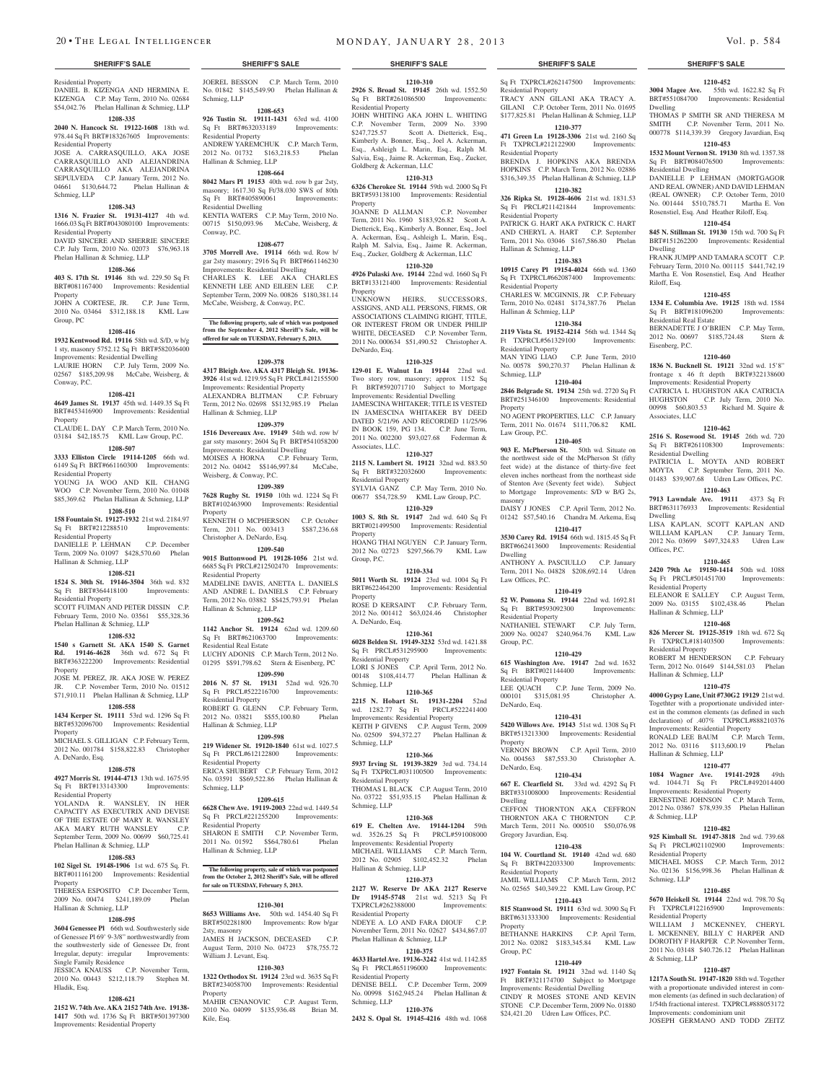Residential Property DANIEL B. KIZENGA AND HERMINA E. KIZENGA C.P. May Term, 2010 No. 02684 \$54,042.76 Phelan Hallinan & Schmieg, LLP

#### **1208-335**

**2040 N. Hancock St. 19122-1608** 18th wd. 978.44 Sq Ft BRT#183267605 Improvements: Residential Property

JOSE A. CARRASQUILLO, AKA JOSE CARRASQUILLO AND ALEJANDRIN CARRASQUILLO AKA ALEJANDRIN SEPULVEDA C.P. January Term, 2012 No. 04661 \$130,644.72 Phelan Hallinan & Schmieg, LLP

### **1208-343**

**1316 N. Frazier St. 19131-4127** 4th wd. 1666.03 Sq Ft BRT#043080100 Improvements: Residential Property DAVID SINCERE AND SHERRIE SINCERE

#### C.P. July Term, 2010 No. 02073 \$76,963.18 Phelan Hallinan & Schmieg, LLP **1208-366**

**403 S. 17th St. 19146** 8th wd. 229.50 Sq Ft BRT#081167400 Improvements: Residential Property

JOHN A CORTESE, JR. C.P. June Term, 2010 No. 03464 \$312,188.18 KML Law Group, PC

#### **1208-416**

**1932 Kentwood Rd. 19116** 58th wd. S/D, w b/g 1 sty, masonry 5752.12 Sq Ft BRT#582036400 Improvements: Residential Dwelling LAURIE HORN C.P. July Term, 2009 No. 02567 \$185,209.98 McCabe, Weisberg, & Conway, P.C.

#### **1208-421**

**4649 James St. 19137** 45th wd. 1449.35 Sq Ft BRT#453416900 Improvements: Residential Property

CLAUDE L. DAY C.P. March Term, 2010 No. 03184 \$42,185.75 KML Law Group, P.C.

# **1208-507**

**3333 Elliston Circle 19114-1205** 66th wd. 6149 Sq Ft BRT#661160300 Improvements: Residential Property YOUNG JA WOO AND KIL CHANG

WOO C.P. November Term, 2010 No. 01048 \$85,369.62 Phelan Hallinan & Schmieg, LLP

#### **1208-510**

**158 Fountain St. 19127-1932** 21st wd. 2184.97 Sq Ft BRT#212288510 Improvements: Residential Property DANIELLE P. LEHMAN C.P. December

Term, 2009 No. 01097 \$428,570.60 Phelan Hallinan & Schmieg, LLP

# **1208-521**

**1524 S. 30th St. 19146-3504** 36th wd. 832 Sq Ft BRT#364418100 Improvements: Residential Property

SCOTT FUIMAN AND PETER DISSIN C.P. February Term, 2010 No. 03561 \$55,328.36 Phelan Hallinan & Schmieg, LLP

#### **1208-532**

**1540 s Garnett St. AKA 1540 S. Garnet Rd. 19146-4628** 36th wd. 672 Sq Ft BRT#363222200 Improvements: Residential Property

JOSE M. PEREZ, JR. AKA JOSE W. PEREZ JR. C.P. November Term, 2010 No. 01512 \$71,910.11 Phelan Hallinan & Schmieg, LLP **1208-558**

**1434 Kerper St. 19111** 53rd wd. 1296 Sq Ft BRT#532096700 Improvements: Residential Property

MICHAEL S. GILLIGAN C.P. February Term, 2012 No. 001784 \$158,822.83 Christopher A. DeNardo, Esq.

### **1208-578**

**4927 Morris St. 19144-4713** 13th wd. 1675.95 Sq Ft BRT#133143300 Improvements: Residential Property

YOLANDA R. WANSLEY, IN HER CAPACITY AS EXECUTRIX AND DEVISE OF THE ESTATE OF MARY R. WANSLEY AKA MARY RUTH WANSLEY C.P. September Term, 2009 No. 00699 \$60,725.41 Phelan Hallinan & Schmieg, LLP

# **1208-583**

**102 Sigel St. 19148-1906** 1st wd. 675 Sq. Ft. BRT#011161200 Improvements: Residential Property THERESA ESPOSITO C.P. December Term, 2009 No. 00474 \$241,189.09 Phelan

### Hallinan & Schmieg, LLP **1208-595**

**3604 Genessee Pl** 66th wd. Southwesterly side of Genessee Pl 69' 9-3/8" northwestwardly from the southwesterly side of Genessee Dr, front Irregular, deputy: irregular Improvements: Single Family Residence

JESSICA KNAUSS C.P. November Term, 2010 No. 00443 \$212,118.79 Stephen M. Hladik, Esq.

#### **1208-621**

**2152 W. 74th Ave. AKA 2152 74th Ave. 19138- 1417** 50th wd. 1736 Sq Ft BRT#501397300 Improvements: Residential Property

JOEREL BESSON C.P. March Term, 2010 No. 01842 \$145,549.90 Phelan Hallinan & Schmieg, LLP

#### **1208-653**

**926 Tustin St. 19111-1431** 63rd wd. 4100 Sq Ft BRT#632033189 Improvements: Residential Property ANDREW YAREMCHUK C.P. March Term, 2012 No. 01732 \$163,218.53 Phelan Hallinan & Schmieg, LLP

#### **1208-664**

**8042 Mars Pl 19153** 40th wd. row b gar 2sty, masonry; 1617.30 Sq Ft/38.030 SWS of 80th<br>Sq Ft BRT#405890061 Improvements: Sq Ft BRT#405890061 Improvements: Residential Dwelling KENTIA WATERS C.P. May Term, 2010 No. 00715 \$150,093.96 McCabe, Weisberg, & Conway, P.C.

#### **1208-677**

**3705 Morrell Ave. 19114** 66th wd. Row b/ gar 2sty masonry; 2916 Sq Ft BRT#661146230 Improvements: Residential Dwelling CHARLES K. LEE AKA CHARLES KENNETH LEE AND EILEEN LEE C.P. September Term, 2009 No. 00826 \$180,381.14 McCabe, Weisberg, & Conway, P.C.

**The following property, sale of which was postponed from the September 4, 2012 Sheriff's Sale, will be offered for sale on TUESDAY, February 5, 2013.**

#### **1209-378**

**4317 Bleigh Ave. AKA 4317 Bleigh St. 19136- 3926** 41st wd. 1219.95 Sq Ft PRCL#412155500 Improvements: Residential Property ALEXANDRA BLITMAN C.P. February Term, 2012 No. 02698 \$\$132,985.19 Phelan Hallinan & Schmieg, LLP

#### **1209-379**

**1516 Devereaux Ave. 19149** 54th wd. row b/ gar ssty masonry; 2604 Sq Ft BRT#541058200 Improvements: Residential Dwelling MOISES A HORNA C.P. February Term, 2012 No. 04042 \$\$146,997.84 McCabe, Weisberg, & Conway, P.C.

**1209-389**

# **7628 Rugby St. 19150** 10th wd. 1224 Sq Ft BRT#102463900 Improvements: Residential **Property**

KENNETH O MCPHERSON C.P. October<br>Term, 2011 No. 003413 \$\$87,236.68 Term, 2011 No. 003413 Christopher A. DeNardo, Esq. **1209-540**

**9015 Buttonwood Pl. 19128-1056** 21st wd. 6685 Sq Ft PRCL#212502470 Improvements: Residential Property MADELINE DAVIS, ANETTA L. DANIELS AND ANDRE L. DANIELS C.P. February Term, 2012 No. 03882 \$\$425,793.91 Phelan Hallinan & Schmieg, LLP

# **1209-562**

**1142 Anchor St. 19124** 62nd wd. 1209.60 Sq Ft BRT#621063700 Residential Real Estate LUCHY ADONIS C.P. March Term, 2012 No. 01295 \$\$91,798.62 Stern & Eisenberg, PC

#### **1209-590**

**2016 N. 57 St. 19131** 52nd wd. 926.70 Sq Ft PRCL#522216700 Improvements: Residential Property ROBERT G. GLENN C.P. February Term, 2012 No. 03821 \$\$55,100.80 Phelan Hallinan & Schmieg, LLP

#### **1209-598**

**219 Widener St. 19120-1840** 61st wd. 1027.5 Sq Ft PRCL#612122800 Improvements: Residential Property ERICA SHUBERT C.P. February Term, 2012 No. 03591 \$\$69,522.86 Phelan Hallinan & Schmieg, LLP

### **1209-615**

**6628 Chew Ave. 19119-2003** 22nd wd. 1449.54 Sq Ft PRCL#221255200 Improvements: Residential Property SHARON E SMITH C.P. November Term,<br>2011 No. 01592 \$\$64,780.61 Phelan 2011 No. 01592 \$\$64,780.61 Hallinan & Schmieg, LLP

#### **The following property, sale of which was postponed from the October 2, 2012 Sheriff's Sale, will be offered for sale on TUESDAY, February 5, 2013.**

### **1210-301**

**8653 Williams Ave.** 50th wd. 1454.40 Sq Ft BRT#502281800 Improvements: Row b/gar 2sty, masonry JAMES H JACKSON, DECEASED August Term, 2010 No. 04723 \$78,755.72 William J. Levant, Esq.

#### **1210-303**

Kile, Esq.

**1322 Orthodox St. 19124** 23rd wd. 3635 Sq Ft BRT#234058700 Improvements: Residential **Property** MAHIR CENANOVIC C.P. August Term, 2010 No. 04099 \$135,936.48 Brian M.

**1210-376 2432 S. Opal St. 19145-4216** 48th wd. 1068

#### **SHERIFF'S SALE SHERIFF'S SALE SHERIFF'S SALE SHERIFF'S SALE SHERIFF'S SALE**

**1210-310 2926 S. Broad St. 19145** 26th wd. 1552.50 Sq Ft BRT#261086500 Improvements:

JOHN WHITING AKA JOHN L. WHITING C.P. November Term, 2009 No. 3390 \$247,725.57 Scott A. Dietterick, Esq., Kimberly A. Bonner, Esq., Joel A. Ackerman, Esq., Ashleigh L. Marin, Esq., Ralph M. Salvia, Esq., Jaime R. Ackerman, Esq., Zucker,

**1210-313 6326 Cherokee St. 19144** 59th wd. 2000 Sq Ft BRT#593138100 Improvements: Residential

JOANNE D ALLMAN C.P. November Term, 2011 No. 1960 \$183,926.82 Scott A. Dietterick, Esq., Kimberly A. Bonner, Esq., Joel A. Ackerman, Esq., Ashleigh L. Marin, Esq., Ralph M. Salvia, Esq., Jaime R. Ackerman, Esq., Zucker, Goldberg & Ackerman, LLC **1210-320 4926 Pulaski Ave. 19144** 22nd wd. 1660 Sq Ft BRT#133121400 Improvements: Residential

UNKNOWN HEIRS, SUCCESSORS, ASSIGNS, AND ALL PERSONS, FIRMS, OR ASSOCIATIONS CLAIMING RIGHT, TITLE, OR INTEREST FROM OR UNDER PHILIP WHITE, DECEASED C.P. November Term, 2011 No. 000634 \$51,490.52 Christopher A.

**1210-325 129-01 E. Walnut Ln 19144** 22nd wd. Two story row, masonry; approx 1152 Sq Ft BRT#592071710 Subject to Mortgage Improvements: Residential Dwelling JAMESCINA WHITAKER; TITLE IS VESTED IN JAMESCINA WHITAKER BY DEED DATED 5/21/96 AND RECORDED 11/25/96 IN BOOK 159, PG 134. C.P. June Term, 2011 No. 002200 \$93,027.68 Federman &

**1210-327 2115 N. Lambert St. 19121** 32nd wd. 883.50 Sq Ft BRT#322032600 Improvements:

SYLVIA GANZ C.P. May Term, 2010 No. 00677 \$54,728.59 KML Law Group, P.C. **1210-329 1003 S. 8th St. 19147** 2nd wd. 640 Sq Ft BRT#021499500 Improvements: Residential

HOANG THAI NGUYEN C.P. January Term, 2012 No. 02723 \$297,566.79 KML Law

**1210-334 5011 Worth St. 19124** 23rd wd. 1004 Sq Ft BRT#622464200 Improvements: Residential

ROSE D KERSAINT C.P. February Term, 2012 No. 001412 \$63,024.46 Christopher

**1210-361 6028 Belden St. 19149-3232** 53rd wd. 1421.88 Sq Ft PRCL#531295900 Improvements:

LORI S JONES C.P. April Term, 2012 No. 00148 \$108,414.77 Phelan Hallinan &

**1210-365 2215 N. Hobart St. 19131-2204** 52nd wd. 1282.77 Sq Ft PRCL#522241400 Improvements: Residential Property KEITH P GIVENS C.P. August Term, 2009 No. 02509 \$94,372.27 Phelan Hallinan &

**1210-366 5937 Irving St. 19139-3829** 3rd wd. 734.14 Sq Ft TXPRCL#031100500 Improvements:

THOMAS L BLACK C.P. August Term, 2010 No. 03722 \$51,935.15 Phelan Hallinan &

**1210-368 619 E. Chelten Ave. 19144-1204** 59th wd. 3526.25 Sq Ft PRCL#591008000 Improvements: Residential Property MICHAEL WILLIAMS C.P. March Term, 2012 No. 02905 \$102,452.32 Phelan

**1210-373 2127 W. Reserve Dr AKA 2127 Reserve Dr 19145-5748** 21st wd. 5213 Sq Ft TXPRCL#262388000 Improvements:

NDEYE A. LO AND FARA DIOUF C.P. November Term, 2011 No. 02627 \$434,867.07

**1210-375 4633 Hartel Ave. 19136-3242** 41st wd. 1142.85 Sq Ft PRCL#651196000 Improvements:

DENISE BELL C.P. December Term, 2009 No. 00998 \$162,945.24 Phelan Hallinan &

Phelan Hallinan & Schmieg, LLP

Residential Property

Goldberg & Ackerman, LLC

Property

Property

DeNardo, Esq.

Associates, LLC.

Residential Property

Property

Group, P.C.

Property

A. DeNardo, Esq.

Residential Property

Schmieg, LLP

Schmieg, LLP

Schmieg, LLP

Residential Property

Hallinan & Schmieg, LLP

Residential Property

Residential Property

Schmieg, LLP

Sq Ft TXPRCL#262147500 Improvements: Residential Property TRACY ANN GILANI AKA TRACY A. GILANI C.P. October Term, 2011 No. 01695 \$177,825.81 Phelan Hallinan & Schmieg, LLP

**1210-452 3004 Magee Ave.** 55th wd. 1622.82 Sq Ft BRT#551084700 Improvements: Residential

THOMAS P SMITH SR AND THERESA M SMITH C.P. November Term, 2011 No. 000778 \$114,339.39 Gregory Javardian, Esq **1210-453 1532 Mount Vernon St. 19130** 8th wd. 1357.38 Sq Ft BRT#084076500 Improvements:

DANIELLE P LEHMAN (MORTGAGOR AND REAL OWNER) AND DAVID LEHMAN (REAL OWNER) C.P. October Term, 2010 No. 001444 \$510,785.71 Martha E. Von Rosenstiel, Esq. And Heather Riloff, Esq. **1210-454 845 N. Stillman St. 19130** 15th wd. 700 Sq Ft BRT#151262200 Improvements: Residential

FRANK JUMPP AND TAMARA SCOTT C.P. February Term, 2010 No. 001115 \$441,742.19 Martha E. Von Rosenstiel, Esq. And Heather

**1210-455 1334 E. Columbia Ave. 19125** 18th wd. 1584 Sq Ft BRT#181096200 Improvements:

BERNADETTE J O'BRIEN C.P. May Term, 2012 No. 00697 \$185,724.48 Stern &

**1210-460 1836 N. Bucknell St. 19121** 32nd wd. 15'8" frontage x 46 ft depth BRT#322138600 Improvements: Residential Property CATRICIA L HUGHSTON AKA CATRICIA HUGHSTON C.P. July Term, 2010 No. 00998 \$60,803.53 Richard M. Squire &

**1210-462 2516 S. Rosewood St. 19145** 26th wd. 720

PATRICIA L. MOYTA AND ROBERT MOYTA C.P. September Term, 2011 No. 01483 \$39,907.68 Udren Law Offices, P.C. **1210-463 7913 Lawndale Ave. 19111** 4373 Sq Ft BRT#631176933 Improvements: Residential

LISA KAPLAN, SCOTT KAPLAN AND WILLIAM KAPLAN C.P. January Term, 2012 No. 03699 \$497,324.83 Udren Law

**1210-465 2420 79th Ae 19150-1414** 50th wd. 1088 Sq Ft PRCL#501451700 Improvements:

ELEANOR E SALLEY C.P. August Term, 2009 No. 03155 \$102,438.46 Phelan

**1210-468 826 Mercer St. 19125-3519** 18th wd. 672 Sq Ft TXPRCL#181403500 Improvements:

ROBERT M HENDERSON C.P. February Term, 2012 No. 01649 \$144,581.03 Phelan

**1210-475 4000 Gypsy Lane, Unit #730G2 19129** 21st wd. Togethter with a proportionate undivided interest in the common elements (as defined in such declaration) of .407% TXPRCL#888210376 Improvements: Residential Property

RONALD LEE BAUM C.P. March Term,<br>2012 No. 03116 \$113,600.19 Phelan 2012 No. 03116 \$113,600.19 Hallinan & Schmieg, LLP

**1210-477 1084 Wagner Ave. 19141-2928** 49th wd. 1044.71 Sq Ft PRCL#492014400 Improvements: Residential Property ERNESTINE JOHNSON C.P. March Term, 2012 No. 03867 \$78,939.35 Phelan Hallinan

**1210-482 925 Kimball St. 19147-3818** 2nd wd. 739.68 Sq Ft PRCL#021102900 Improvements:

MICHAEL MOSS C.P. March Term, 2012 No. 02136 \$156,998.36 Phelan Hallinan &

**1210-485 5670 Heiskell St. 19144** 22nd wd. 798.70 Sq Ft TXPRCL#122165900 Improvements:

WILLIAM J MCKENNEY, CHERYL L MCKENNEY, BILLY C HARPER A DOROTHY F HARPER C.P. November Term, 2011 No. 03148 \$40.726.12 Phelan Hallinan

**1210-487 1217A South St. 19147-1820** 88th wd. Together with a proportionate undivided interest in common elements (as defined in such declaration) of 1/54th fractional interest. TXPRCL#888053172

Improvements: condominium unit JOSEPH GERMANO AND TODD ZEITZ

Dwelling

Dwelling

Riloff, Esq.

Residential Real Estate

Eisenberg, P.C.

Associates, LLC

Dwelling

Offices, P.C.

Residential Property

Residential Property

& Schmieg, LLP

Residential Property

Residential Property

& Schmieg, LLP

Schmieg, LLP

Hallinan & Schmieg, LLP

Hallinan & Schmieg, LLP

Sq Ft BRT#261108300 Residential Dwelling

Residential Dwelling

**1210-377 471 Green Ln 19128-3306** 21st wd. 2160 Sq Ft TXPRCL#212122900 Improvements: Residential Property

BRENDA J. HOPKINS AKA BREN HOPKINS C.P. March Term, 2012 No. 02886 \$316,349.35 Phelan Hallinan & Schmieg, LLP

# **1210-382**

**326 Ripka St. 19128-4606** 21st wd. 1831.53 Sq Ft PRCL#211421844 Improvements: Residential Property PATRICK G. HART AKA PATRICK C. HART AND CHERYL A. HART C.P. September

Term, 2011 No. 03046 \$167,586.80 Phelan Hallinan & Schmieg, LLP **1210-383**

#### **10915 Carey Pl 19154-4024** 66th wd. 1360 Sq Ft TXPRCL#662087400 Improvements: Residential Property

CHARLES W. MCGINNIS, JR C.P. February Term, 2010 No. 02481 \$174,387.76 Phelan Hallinan & Schmieg, LLP

#### **1210-384**

**2119 Vista St. 19152-4214** 56th wd. 1344 Sq Ft TXPRCL#561329100 Residential Property

MAN YING LIAO C.P. June Term, 2010 No. 00578 \$90,270.37 Phelan Hallinan & Schmieg, LLP

**1210-404 2846 Belgrade St. 19134** 25th wd. 2720 Sq Ft BRT#251346100 Improvements: Residential

Property NO AGENT PROPERTIES, LLC C.P. January Term, 2011 No. 01674 \$111,706.82 KML Law Group, P.C.

#### **1210-405**

**903 E. McPherson St.** 50th wd. Situate on the northwest side of the McPherson St (fifty feet wide) at the distance of thirty-five feet eleven inches northeast from the northeast side of Stenton Ave (Seventy feet wide). Subject to Mortgage Improvements: S/D w B/G 2s, masonry

DAISY J JONES C.P. April Term, 2012 No. 01242 \$57,540.16 Chandra M. Arkema, Esq **1210-417**

#### **3530 Carey Rd. 19154** 66th wd. 1815.45 Sq Ft BRT#662413600 Improvements: Residential

Dwelling ANTHONY A. PASCIULLO C.P. January Term, 2011 No. 04828 \$208,692.14 Udren Law Offices, P.C.

## **1210-419**

**52 W. Pomona St. 19144** 22nd wd. 1692.81 Sq Ft BRT#593092300 Improvements: Residential Property NATHANIEL STEWART C.P. July Term, 2009 No. 00247 \$240,964.76 KML Law Group, P.C.

#### **1210-429**

**615 Washington Ave. 19147** 2nd wd. 1632 Sq Ft BRT#021144400 Improvements: Residential Property

LEE QUACH C.P. June Term, 2009 No. 000101 \$315,081.95 Christopher A. DeNardo, Esq.

#### **1210-431 5420 Willows Ave. 19143** 51st wd. 1308 Sq Ft

BRT#513213300 Improvements: Residential Property VERNON BROWN C.P. April Term, 2010 No. 004563 \$87,553.30 Christopher A.

DeNardo, Esq. **1210-434**

Gregory Javardian, Esq.

Residential Property

Property

Group, P.C

**667 E. Clearfield St.** 33rd wd. 4292 Sq Ft BRT#331008000 Improvements: Residential Dwelling CEFFON THORNTON AKA CEFFRON

THORNTON AKA C THORNTON C.P. March Term, 2011 No. 000510 \$50,076.98

**1210-438 104 W. Courtland St. 19140** 42nd wd. 680 Sq Ft BRT#422033300 Improvements:

JAMIL WILLIAMS C.P. March Term, 2012 No. 02565 \$40,349.22 KML Law Group, P.C **1210-443 815 Stanwood St. 19111** 63rd wd. 3090 Sq Ft BRT#631333300 Improvements: Residential

BETHANNE HARKINS C.P. April Term, 2012 No. 02082 \$183,345.84 KML Law

**1210-449 1927 Fontain St. 19121** 32nd wd. 1140 Sq Ft BRT#321174700 Subject to Mortgage Improvements: Residential Dwelling CINDY R MOSES STONE AND KEVIN STONE C.P. December Term, 2009 No. 01880 \$24,421.20 Udren Law Offices, P.C.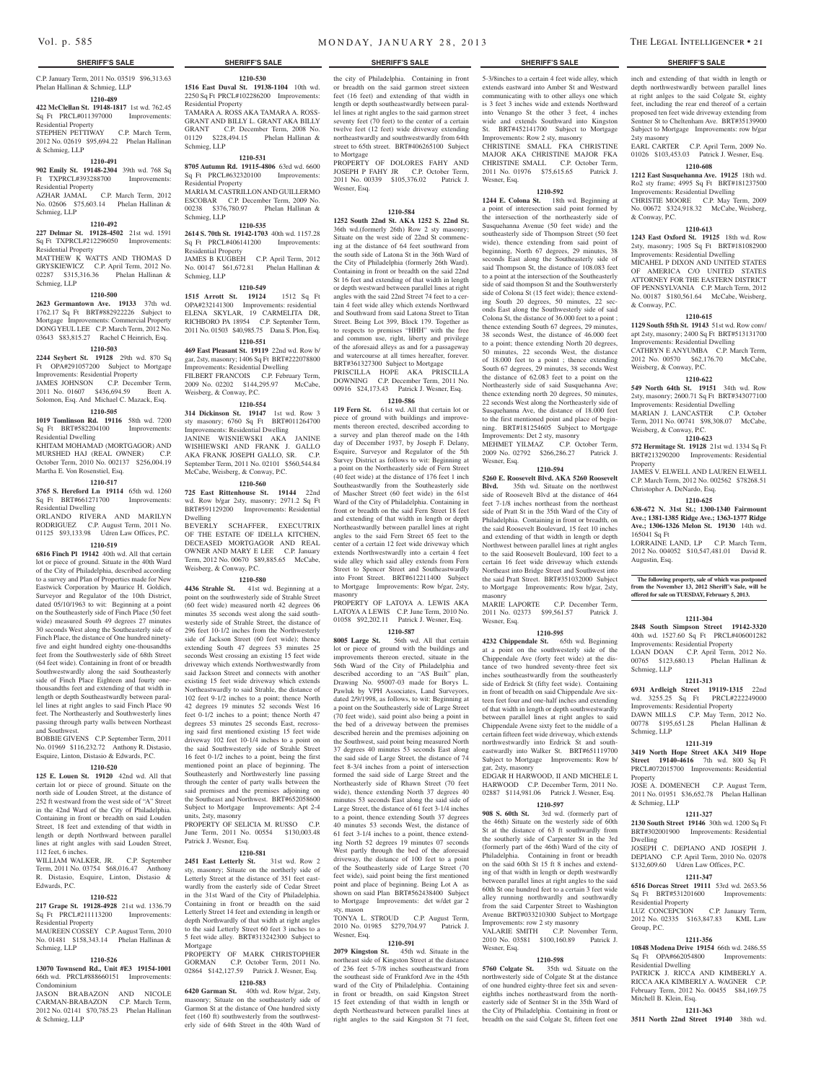C.P. January Term, 2011 No. 03519 \$96,313.63 Phelan Hallinan & Schmieg, LLP

#### **1210-489**

**422 McClellan St. 19148-1817** 1st wd. 762.45 Sq Ft PRCL#011397000 Improvements: Residential Property

STEPHEN PETTIWAY C.P. March Term, 2012 No. 02619 \$95,694.22 Phelan Hallinan & Schmieg, LLP

#### **1210-491**

**902 Emily St. 19148-2304** 39th wd. 768 Sq Ft TXPRCL#393288700 Improvements: Residential Property

AZHAR JAMAL C.P. March Term, 2012 No. 02606 \$75,603.14 Phelan Hallinan & Schmieg, LLP

# **1210-492**

Schmieg, LLP

**227 Delmar St. 19128-4502** 21st wd. 1591 Sq Ft TXPRCL#212296050 Improvements: Residential Property MATTHEW K WATTS AND THOMAS D GRYSKIEWICZ C.P. April Term, 2012 No. 02287 \$315,316.36 Phelan Hallinan &

# **1210-500**

**2623 Germantown Ave. 19133** 37th wd. 1762.17 Sq Ft BRT#882922226 Subject to Mortgage Improvements: Commercial Property DONG YEUL LEE C.P. March Term, 2012 No. 03643 \$83,815.27 Rachel C Heinrich, Esq.

#### **1210-503**

**2244 Seybert St. 19128** 29th wd. 870 Sq Ft OPA#291057200 Subject to Mortgage Improvements: Residential Property JAMES JOHNSON C.P. December Term,

2011 No. 01607 \$436,694.59 Brett A. Solomon, Esq. And Michael C. Mazack, Esq. **1210-505**

**1019 Tomlinson Rd. 19116** 58th wd. 7200 Sq Ft BRT#582204100 Residential Dwelling KHITAM MOHAMAD (MORTGAGOR) AND

MURSHED HAJ (REAL OWNER) C.P. October Term, 2010 No. 002137 \$256,004.19 Martha E. Von Rosenstiel, Esq.

### **1210-517**

**3765 S. Hereford Ln 19114** 65th wd. 1260 Sq Ft BRT#661271700 Improvements: Residential Dwelling

ORLANDO RIVERA AND MARILYN RODRIGUEZ C.P. August Term, 2011 No. 01125 \$93,133.98 Udren Law Offices, P.C.

# **1210-519**

**6816 Finch Pl 19142** 40th wd. All that certain lot or piece of ground. Situate in the 40th Ward of the City of Philadelphia, described according to a survey and Plan of Properties made for New Eastwick Corporation by Maurice H. Goldich, Surveyor and Regulator of the 10th District, dated 05/10/1963 to wit: Beginning at a point on the Southeasterly side of Finch Place (50 feet wide) measured South 49 degrees 27 minutes 30 seconds West along the Southeasterly side of Finch Place, the distance of One hundred ninetyfive and eight hundred eighty one-thousandths feet from the Southwesterly side of 68th Street (64 feet wide). Containing in front of or breadth Southwestwardly along the said Southeasterly side of Finch Place Eighteen and fourty onethousandths feet and extending of that width in length or depth Southeastwardly between parallel lines at right angles to said Finch Place 90 feet. The Northeasterly and Southwesterly lines passing through party walls between Northeast and Southwest.

BOBBIE GIVENS C.P. September Term, 2011 No. 01969 \$116,232.72 Anthony R. Distasio, Esquire, Linton, Distasio & Edwards, P.C.

#### **1210-520**

**125 E. Louen St. 19120** 42nd wd. All that certain lot or piece of ground. Situate on the north side of Louden Street, at the distance of 252 ft westward from the west side of "A" Street in the 42nd Ward of the City of Philadelphia. Containing in front or breadth on said Louden Street, 18 feet and extending of that width in length or depth Northward between parallel lines at right angles with said Louden Street, 112 feet, 6 inches.

WILLIAM WALKER, JR. C.P. September Term, 2011 No. 03754 \$68,016.47 Anthony R. Distasio, Esquire, Linton, Distasio & Edwards, P.C.

#### **1210-522**

#### **217 Grape St. 19128-4928** 21st wd. 1336.79 Sq Ft PRCL#211113200 Improvements: Residential Property

MAUREEN COSSEY C.P. August Term, 2010 No. 01481 \$158,343.14 Phelan Hallinan & Schmieg, LLP

#### **1210-526**

**13070 Townsend Rd., Unit #E3 19154-1001**  66th wd. PRCL#888660151 Improvements: Condominium

JASON BRABAZON AND NICOLE CARMAN-BRABAZON C.P. March Term, 2012 No. 02141 \$70,785.23 Phelan Hallinan & Schmieg, LLP

**1516 East Duval St. 19138-1104** 10th wd. 2250 Sq Ft PRCL#102286200 Improvements: Residential Property TAMARA A. ROSS AKA TAMARA A. ROSS-GRANT AND BILLY L. GRANT AKA BILLY GRANT C.P. December Term, 2008 No. 01129 \$228,494.15 Phelan Hallinan & Schmieg, LLP

#### **1210-531**

**8705 Autumn Rd. 19115-4806** 63rd wd. 6600 Sq Ft PRCL#632320100 Improvements: Residential Property MARIA M. CASTRILLONAND GUILLERMO

ESCOBAR C.P. December Term, 2009 No. 00238 \$376,780.97 Phelan Hallinan & Schmieg, LLP **1210-535**

**2614 S. 70th St. 19142-1703** 40th wd. 1157.28 Sq Ft PRCL#406141200 Improvements: Residential Property JAMES B KUGBEH C.P. April Term, 2012 No. 00147 \$61,672.81 Phelan Hallinan & Schmieg, LLP

#### **1210-549**

**1515 Arrott St. 19124** 1512 Sq Ft OPA#232141300 Improvements: residential ELENA SKYLAR, 19 CARMELITA DR, RICHBORO PA 18954 C.P. September Term, 2011 No. 01503 \$40,985.75 Dana S. Plon, Esq. **1210-551**

**469 East Pleasant St. 19119** 22nd wd. Row b/ gar, 2sty, masonry; 1406 Sq Ft BRT#222078800 Improvements: Residential Dwelling FILBERT FRANCOIS C.P. February Term, 2009 No. 02202 \$144,295.97 McCabe,

# Weisberg, & Conway, P.C.

**1210-554 314 Dickinson St. 19147** 1st wd. Row 3 sty masonry; 6760 Sq Ft BRT#011264700 Improvements: Residential Dwelling JANINE WISNIEWSKI AKA JANINE WISHIEWSKI AND FRANK J. GALLO AKA FRANK JOSEPH GALLO, SR. C.P. September Term, 2011 No. 02101 \$560,544.84 McCabe, Weisberg, & Conway, P.C.

# **1210-560**

**725 East Rittenhouse St. 19144** 22nd wd. Row b/gar 2sty, masonry; 2971.2 Sq Ft BRT#591129200 Improvements: Residential Dwelling SCHAFFER, EXECUTRIX

OF THE ESTATE OF IDELLA KITCHEN, DECEASED MORTGAGOR AND REAL OWNER AND MARY E LEE C.P. January Term, 2012 No. 00670 \$89,885.65 McCabe, Weisberg, & Conway, P.C.

#### **1210-580**

**4436 Strahle St.** 41st wd. Beginning at a point on the southwesterly side of Strahle Street (60 feet wide) measured north 42 degrees 06 minutes 35 seconds west along the said southwesterly side of Strahle Street, the distance of 296 feet 10-1/2 inches from the Northwesterly side of Jackson Street (60 feet wide); thence extending South 47 degrees 53 minutes 25 seconds West crossing an existing 15 feet wide driveway which extends Northwestwardly from said Jackson Street and connects with another existing 15 feet wide driveway which extends Northeastwardly to said Strahle, the distance of 102 feet 9-1/2 inches to a point; thence North 42 degrees 19 minutes 52 seconds West 16 feet 0-1/2 inches to a point; thence North 47 degrees 53 minutes 25 seconds East, recrossing said first mentioned existing 15 feet wide driveway 102 feet 10-1/4 inches to a point on the said Southwesterly side of Strahle Street 16 feet 0-1/2 inches to a point, being the first mentioned point an place of beginning. The Southeasterly and Northwesterly line passing through the center of party walls between the said premises and the premises adjoining on the Southeast and Northwest. BRT#652058600 Subject to Mortgage Improvements: Apt 2-4 units, 2sty, masonry

PROPERTY OF SELICIA M. RUSSO C.P. June Term, 2011 No. 00554 \$130,003.48 Patrick J. Wesner, Esq.

#### **1210-581**

**2451 East Letterly St.** 31st wd. Row 2 sty, masonry; Situate on the northerly side of Letterly Street at the distance of 351 feet eastwardly from the easterly side of Cedar Street in the 31st Ward of the City of Philadelphia. Containing in front or breadth on the said Letterly Street 14 feet and extending in length or depth Northwardly of that width at right angles to the said Letterly Street 60 feet 3 inches to a 5 feet wide alley. BRT#313242300 Subject to Mortgage PROPERTY OF MARK CHRISTOPHER

GORMAN C.P. October Term, 2011 No. 02864 \$142,127.59 Patrick J. Wesner, Esq.

# **1210-583**

**6420 Garman St.** 40th wd. Row b/gar, 2sty, masonry; Situate on the southeasterly side of Garmon St at the distance of One hundred sixty feet (160 ft) southwesterly from the southwesterly side of 64th Street in the 40th Ward of

#### **SHERIFF'S SALE SHERIFF'S SALE SHERIFF'S SALE SHERIFF'S SALE SHERIFF'S SALE**

the city of Philadelphia. Containing in front or breadth on the said garmon street sixteen feet (16 feet) and extending of that width in length or depth southeastwardly between parallel lines at right angles to the said garmon street seventy feet (70 feet) to the center of a certain twelve feet (12 feet) wide driveway extending northeastwardly and southwestwardly from 64th street to 65th street. BRT#406265100 Subject to Mortgage

PROPERTY OF DOLORES FAHY AND JOSEPH P FAHY JR C.P. October Term, 2011 No. 00339 \$105,376.02 Patrick J. Wesner, Esq.

#### **1210-584**

**1252 South 22nd St. AKA 1252 S. 22nd St.**  36th wd.(formerly 26th) Row 2 sty masonry; Situate on the west side of 22nd St commencing at the distance of 64 feet southward from the south side of Latona St in the 36th Ward of the City of Philadelphia (formerly 26th Ward). Containing in front or breadth on the said 22nd St 16 feet and extending of that width in length or depth westward between parallel lines at right angles with the said 22nd Street 74 feet to a certain 4 feet wide alley which extends Northward and Southward from said Latona Street to Titan Street. Being Lot 399, Block 179. Together as to respects to premises "HHH" with the free and common use, right, liberty and privilege of the aforesaid alleys as and for a passageway and watercourse at all times hereafter, forever. BRT#361327300 Subject to Mortgage PRISCILLA HOPE AKA PRISCILLA DOWNING C.P. December Term, 2011 No. 00916 \$24,173.43 Patrick J. Wesner, Esq.

#### **1210-586**

**119 Fern St.** 61st wd. All that certain lot or piece of ground with buildings and improvements thereon erected, described according to a survey and plan thereof made on the 14th day of December 1937, by Joseph F. Delany, Esquire, Surveyor and Regulator of the 5th Survey District as follows to wit: Beginning at a point on the Northeasterly side of Fern Street (40 feet wide) at the distance of 176 feet 1 inch Southeastwardly from the Southeasterly side of Mascher Street (60 feet wide) in the 61st Ward of the City of Philadelphia. Containing in front or breadth on the said Fern Street 18 feet and extending of that width in length or depth Northeastwardly between parallel lines at right angles to the said Fern Street 65 feet to the center of a certain 12 feet wide driveway which extends Northwestwardly into a certain 4 feet wide alley which said alley extends from Fern Street to Spencer Street and Southeastwardly into Front Street. BRT#612211400 Subject to Mortgage Improvements: Row b/gar, 2sty,

masonry PROPERTY OF LATOYA A. LEWIS AKA LATOYA A LEWIS C.P. June Term, 2010 No. 01058 \$92,202.11 Patrick J. Wesner, Esq.

# **1210-587**

**8005 Large St.** 56th wd. All that certain lot or piece of ground with the buildings and improvements thereon erected, situate in the 56th Ward of the City of Philadelphia and described according to an "AS Built" plan, Drawing No. 95007-03 made for Borys L. Pawluk by VPH Associates, Land Surveyors, dated 2/9/1998, as follows, to wit: Beginning at a point on the Southeasterly side of Large Street (70 feet wide), said point also being a point in the bed of a driveway between the premises described herein and the premises adjoining on the Southwest, said point being measured North 37 degrees 40 minutes 53 seconds East along the said side of Large Street, the distance of 74 feet 8-3/4 inches from a point of intersection formed the said side of Large Street and the Northeasterly side of Rhawn Street (70 feet wide), thence extending North 37 degrees 40 minutes 53 seconds East along the said side of Large Street, the distance of 61 feet 3-1/4 inches to a point, thence extending South 37 degrees 40 minutes 53 seconds West, the distance of 61 feet 3-1/4 inches to a point, thence extending North 52 degrees 19 minutes 07 seconds West partly through the bed of the aforesaid driveway, the distance of 100 feet to a point of the Southeasterly side of Large Street (70 feet wide), said point being the first mentioned point and place of beginning. Being Lot A as shown on said Plan BRT#562438400 Subject to Mortgage Improvements: det w/det gar 2 sty, mason TONYA L. STROUD C.P. August Term,

2010 No. 01985 \$279,704.97 Patrick J. Wesner, Esq.

#### **1210-591**

**2079 Kingston St.** 45th wd. Situate in the northeast side of Kingston Street at the distance of 236 feet 5-7/8 inches southeastward from the southeast side of Frankford Ave in the 45th ward of the City of Philadelphia. Containing in front or breadth, on said Kingston Street 15 feet extending of that width in length or depth Northeastward between parallel lines at right angles to the said Kingston St 71 feet, 5-3/8inches to a certain 4 feet wide alley, which extends eastward into Amber St and Westward communicating with to other alleys one which is 3 feet 3 inches wide and extends Northward

into Venango St the other 3 feet, 4 inches wide and extends Southward into Kingston St. BRT#452141700 Subject to Mortgage Improvements: Row 2 sty, masonry CHRISTINE SMALL FKA CHRISTINE MAJOR AKA CHRISTINE MAJOR FKA CHRISTINE SMALL C.P. October Term, 2011 No. 01976 \$75,615.65 Patrick J. Wesner, Esq.

#### **1210-592**

**1244 E. Colona St.** 18th wd. Beginning at a point of interesection said point formed by the intersection of the northeasterly side of Susquehanna Avenue (50 feet wide) and the southeasterly side of Thompson Street (50 feet wide), thence extending from said point of beginning, North 67 degrees, 29 minutes, 38 seconds East along the Southeasterly side of said Thompson St, the distance of 108.083 feet to a point at the intersection of the Southeasterly side of said thompson St and the Southwersterly side of Colona St (15 feet wide); thence extending South 20 degrees, 50 minutes, 22 seconds East along the Southwesterly side of said Colona St, the distance of 36.000 feet to a point ; thence extending South 67 degrees, 29 minutes, 38 seconds West, the distance of 46.000 feet to a point; thence extending North 20 degrees, 50 minutes, 22 seconds West, the distance of 18.000 feet to a point ; thence extending South 67 degrees, 29 minutes, 38 seconds West the distance of 62.083 feet to a point on the Northeasterly side of said Susquehanna Ave; thence extending north 20 degrees, 50 minutes, 22 seconds West along the Northeasterly side of Susquehanna Ave, the distance of 18.000 feet to the first mentioned point and place of beginning. BRT#181254605 Subject to Mortgage Improvements: Det 2 sty, masonry<br>
MEHMET YILMAZ C.P. October Term,

MEHMET YILMAZ 2009 No. 02792 \$266,286.27 Patrick J. Wesner, Esq. **1210-594**

**5260 E. Roosevelt Blvd. AKA 5260 Roosevelt Blvd.** 35th wd. Situate on the northwest side of Roosevelt Blvd at the distance of 464 feet 7-1/8 inches northeast from the northeast side of Pratt St in the 35th Ward of the City of Philadelphia. Containing in front or breadth, on the said Roosevelt Boulevard, 15 feet 10 inches and extending of that width in length or depth Northwest between parallel lines at right angles to the said Roosevelt Boulevard, 100 feet to a certain 16 feet wide driveway which extends Northeast into Bridge Street and Southwest into the said Pratt Street. BRT#351032000 Subject to Mortgage Improvements: Row b/gar, 2sty, masonry

MARIE LAPORTE C.P. December Term, 2011 No. 02373 \$99,561.57 Patrick J. Wesner, Esq.

#### **1210-595**

**4232 Chippendale St.** 65th wd. Beginning at a point on the southwesterly side of the Chippendale Ave (forty feet wide) at the distance of two hundred seventy-three feet six inches southeastwardly from the southeasterly side of Erdrick St (fifty feet wide). Containing in front of breadth on said Chippendale Ave sixteen feet four and one-half inches and extending of that width in length or depth southwestwardly between parallel lines at right angles to said Chippendale Avene sixty feet to the middle of a certain fifteen feet wide driveway, which extends northwestwardly into Erdrick St and southeastwardly into Walker St. BRT#651119700 Subject to Mortgage Improvements: Row b/ gar, 2sty, masonry EDGAR H HARWOOD, II AND MICHELE L HARWOOD C.P. December Term, 2011 No. 02887 \$114,981.06 Patrick J. Wesner, Esq.

**1210-597**

**908 S. 60th St.** 3rd wd. (formerly part of the 46th) Situate on the westerly side of 60th St at the distance of 63 ft southwardly from the southerly side of Carpenter St in the 3rd (formerly part of the 46th) Ward of the city of Philadelphia. Containing in front or breadth on the said 60th St 15 ft 8 inches and extending of that width in length or depth westwardly between parallel lines at right angles to the said 60th St one hundred feet to a certain 3 feet wide alley running northwardly and southwardly from the said Carpenter Street to Washington Avenue BRT#033210300 Subject to Mortgage Improvements: row 2 sty masonry<br>VALARIE SMITH C.P. Nover C.P. November Term,

2010 No. 03581 \$100,160.89 Patrick J. Wesner, Esq.

#### **1210-598**

**5760 Colgate St.** 35th wd. Situate on the northwesterly side of Colgate St at the distance of one hundred eighty-three feet six and seveneighths inches northeastward from the northeasterly side of Sentner St in the 35th Ward of the City of Philadelphia. Containing in front or breadth on the said Colgate St, fifteen feet one

inch and extending of that width in length or depth northwestwardly between parallel lines at right anlges to the said Colgate St, eighty feet, including the rear end thereof of a certain proposed ten feet wide driveway extending from Sentner St to Cheltenham Ave. BRT#35139900 Subject to Mortgage Improvements: row b/gar 2sty masonry EARL CARTER C.P. April Term, 2009 No.

01026 \$103,453.03 Patrick J. Wesner, Esq. **1210-608**

**1212 East Susquehanna Ave. 19125** 18th wd. Ro2 sty frame; 4995 Sq Ft BRT#181237500 Improvements: Residential Dwelling

CHRISTIE MOORE C.P. May Term, 2009 No. 00672 \$324,918.32 McCabe, Weisberg, & Conway, P.C.

#### **1210-613**

**1243 East Oxford St. 19125** 18th wd. Row 2sty, masonry; 1905 Sq Ft BRT#181082900 Improvements: Residential Dwelling

MICAHEL P DIXON AND UNITED STATES OF AMERICA C/O UNITED STATES ATTORNEY FOR THE EASTERN DISTRICT OF PENNSYLVANIA C.P. March Term, 2012 No. 00187 \$180,561.64 McCabe, Weisberg, & Conway, P.C.

#### **1210-615**

**1129 South 55th St. 19143** 51st wd. Row conv/ apt 2sty, masonry; 2400 Sq Ft BRT#513131700 Improvements: Residential Dwelling

CATHRYN E ANYUMBA C.P. March Term, 2012 No. 00570 \$62,176.70 McCabe, Weisberg, & Conway, P.C.

**549 North 64th St. 19151** 34th wd. Row 2sty, masonry; 2600.71 Sq Ft BRT#343077100 Improvements: Residential Dwelling MARIAN J. LANCASTER C.P. October Term, 2011 No. 00741 \$98,308.07 McCabe,

**1210-623 572 Hermitage St. 19128** 21st wd. 1334 Sq Ft BRT#213290200 Improvements: Residential

JAMES V. ELWELL AND LAUREN ELWELL C.P. March Term, 2012 No. 002562 \$78268.51

**1210-625 638-672 N. 31st St.; 1300-1340 Fairmount Ave.; 1381-1385 Ridge Ave.; 1363-1377 Ridge Ave.; 1306-1326 Melon St. 19130** 14th wd.

LORRAINE LAND, LP CP March Term 2012 No. 004052 \$10,547,481.01 David R.

**The following property, sale of which was postponed from the November 13, 2012 Sheriff's Sale, will be offered for sale on TUESDAY, February 5, 2013.**

**1211-304 2848 South Simpson Street 19142-3320**  40th wd. 1527.60 Sq Ft PRCL#406001282 Improvements: Residential Property LOAN DOAN C.P. April Term, 2012 No. 00765 \$123,680.13 Phelan Hallinan &

**1211-313 6931 Ardleigh Street 19119-1315** 22nd wd. 3255.25 Sq Ft PRCL#222249000 Improvements: Residential Property DAWN MILLS C.P. May Term, 2012 No. 00778 \$195,651.28 Phelan Hallinan &

**1211-319 3419 North Hope Street AKA 3419 Hope Street 19140-4616** 7th wd. 800 Sq Ft PRCL#072015700 Improvements: Residential

JOSE A. DOMENECH C.P. August Term, 2011 No. 01951 \$36,652.78 Phelan Hallinan

**1211-327 2130 South Street 19146** 30th wd. 1200 Sq Ft BRT#302001900 Improvements: Residential

JOSEPH C. DEPIANO AND JOSEPH J. DEPIANO C.P. April Term, 2010 No. 02078 \$132,609.60 Udren Law Offices, P.C. **1211-347 6516 Dorcas Street 19111** 53rd wd. 2653.56 Sq Ft BRT#531201600 Improvements:

LUZ CONCEPCION C.P. January Term, 2012 No. 02335 \$163,847.83 KML Law

**1211-356 10848 Modena Drive 19154** 66th wd. 2486.55<br>
Sq Ft OPA#662054800 Improvements:

PATRICK J. RICCA AND KIMBERLY A. RICCA AKA KIMBERLY A. WAGNER C.P. February Term, 2012 No. 00455 \$84,169.75

**1211-363 3511 North 22nd Street 19140** 38th wd.

#### **1210-622**

Weisberg, & Conway, P.C.

Christopher A. DeNardo, Esq.

Property

165041 Sq Ft

Augustin, Esq.

Schmieg, LLP

Schmieg, LLP

& Schmieg, LLP

Residential Property

Sq Ft OPA#662054800 Residential Dwelling

Mitchell B. Klein, Esq.

Group, P.C.

Property

Dwelling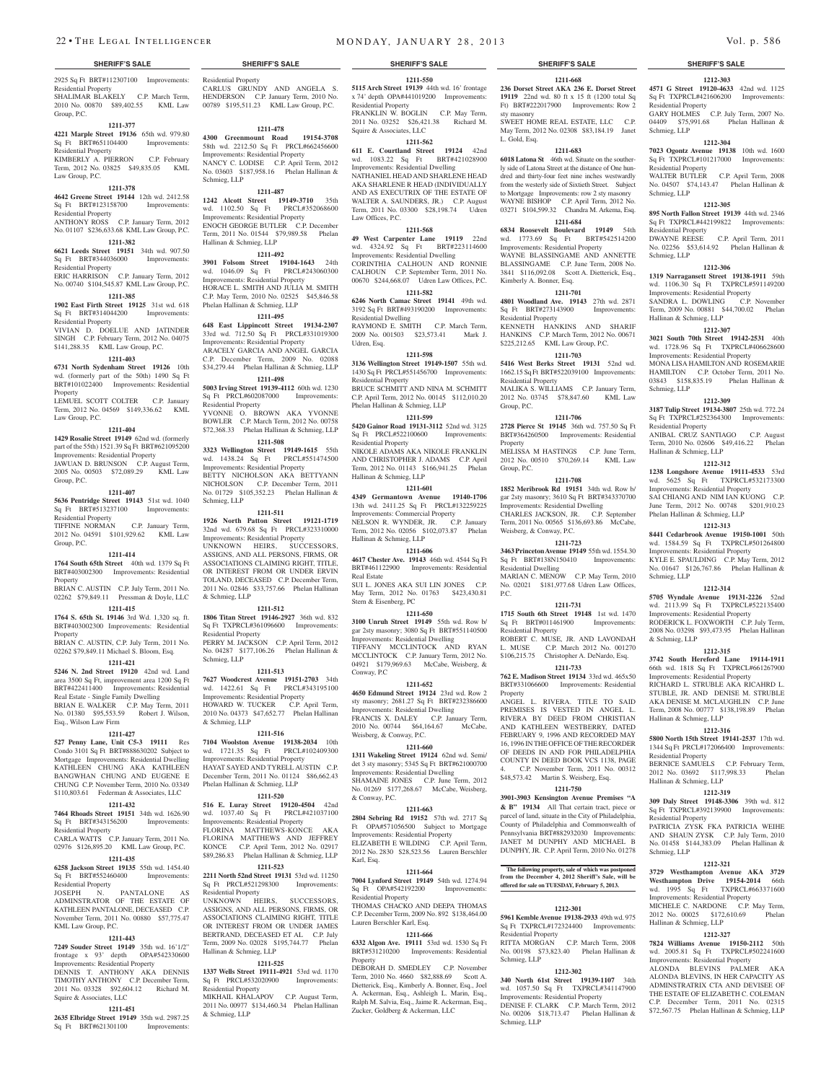2925 Sq Ft BRT#112307100 Improvements: Residential Property SHALIMAR BLAKELY C.P. March Term, 2010 No. 00870 \$89,402.55 KML Law Group, P.C.

#### **1211-377**

**4221 Marple Street 19136** 65th wd. 979.80 Sq Ft BRT#651104400 Improvements: Residential Property

KIMBERLY A. PIERRON C.P. February Term, 2012 No. 03825 \$49,835.05 KML Law Group, P.C.

#### **1211-378**

**4642 Greene Street 19144** 12th wd. 2412.58 Sq Ft BRT#123158700 Improvements: Residential Property ANTHONY ROSS C.P. January Term, 2012

# No. 01107 \$236,633.68 KML Law Group, P.C. **1211-382**

**6621 Leeds Street 19151** 34th wd. 907.50 Sq Ft BRT#344036000 Residential Property ERIC HARRISON C.P. January Term, 2012

No. 00740 \$104,545.87 KML Law Group, P.C. **1211-385**

#### **1902 East Firth Street 19125** 31st wd. 618 Sq Ft BRT#314044200

Residential Property VIVIAN D. DOELUE AND JATINDER

SINGH C.P. February Term, 2012 No. 04075 \$141,288.35 KML Law Group, P.C. **1211-403**

# **6731 North Sydenham Street 19126** 10th

wd. (formerly part of the 50th) 1490 Sq Ft BRT#101022400 Improvements: Residential Property

LEMUEL SCOTT COLTER C.P. January Term, 2012 No. 04569 \$149,336.62 KML Law Group, P.C.

### **1211-404**

**1429 Rosalie Street 19149** 62nd wd. (formerly part of the 55th) 1521.39 Sq Ft BRT#621095200 Improvements: Residential Property JAWUAN D. BRUNSON C.P. August Term, 2005 No. 00503 \$72,089.29 KML Law Group, P.C.

#### **1211-407**

**5636 Pentridge Street 19143** 51st wd. 1040

Sq Ft BRT#513237100 Improvements: Residential Property TIFFINE NORMAN C.P. January Term,

2012 No. 04591 \$101,929.62 KML Law Group, P.C.

#### **1211-414**

**1764 South 65th Street** 40th wd. 1379 Sq Ft BRT#403002300 Improvements: Residential Property

BRIAN C. AUSTIN C.P. July Term, 2011 No. 02262 \$79,849.11 Pressman & Doyle, LLC

#### **1211-415 1764 S. 65th St. 19146** 3rd Wd. 1,320 sq. ft.

Property

BRT#403002300 Improvements: Residential Residential Property

BRIAN C. AUSTIN, C.P. July Term, 2011 No. 02262 \$79,849.11 Michael S. Bloom, Esq. **1211-421**

**5246 N. 2nd Street 19120** 42nd wd. Land area 3500 Sq Ft, improvement area 1200 Sq Ft BRT#422411400 Improvements: Residential Real Estate - Single Family Dwelling BRIAN E. WALKER C.P. May Term, 2011 No. 01380 \$95,553.59 Robert J. Wilson,

# Esq., Wilson Law Firm **1211-427**

**527 Penny Lane, Unit C5-3 19111** Res Condo 3101 Sq Ft BRT#888630202 Subject to Mortgage Improvements: Residential Dwelling KATHLEEN CHUNG AKA KATHLEEN BANGWHAN CHUNG AND EUGENE E CHUNG C.P. November Term, 2010 No. 03349 \$110,803.61 Federman & Associates, LLC

#### **1211-432**

**7464 Rhoads Street 19151** 34th wd. 1626.90 Sq Ft BRT#343156200 Improvements: Residential Property

CARLA WATTS C.P. January Term, 2011 No. 02976 \$126,895.20 KML Law Group, P.C.

# **1211-435**

**6258 Jackson Street 19135** 55th wd. 1454.40 Sq Ft BRT#552460400 Improvements: Residential Property

JOSEPH N. PANTALONE AS DMINSTRATOR OF THE ESTATE OF KATHLEEN PANTALONE, DECEASED C.P. November Term, 2011 No. 00880 \$57,775.47 KML Law Group, P.C.

# **1211-443**

**7249 Souder Street 19149** 35th wd. 16'1/2" frontage x 93' depth OPA#542330600 Improvements: Residential Property DENNIS T. ANTHONY AKA DENNIS TIMOTHY ANTHONY C.P. December Term, 2011 No. 03328 \$92,604.12 Richard M. Squire & Associates, LLC

#### **1211-451**

**2635 Elbridge Street 19149** 35th wd. 2987.25 Sq Ft BRT#621301100 Improvements:

Residential Property CARLUS GRUNDY AND ANGELA S. HENDERSON C.P. January Term, 2010 No.

00789 \$195,511.23 KML Law Group, P.C. **1211-478**

#### **4300 Greenmount Road 19154-3708**  58th wd. 2212.50 Sq Ft PRCL#662456600 Improvements: Residential Property NANCY C. LODISE C.P. April Term, 2012 No. 03603 \$187,958.16 Phelan Hallinan & Schmieg, LLP

**1211-487 1242 Alcott Street 19149-3710** 35th wd. 1102.50 Sq Ft PRCL#352068600 Improvements: Residential Property ENOCH GEORGE BUTLER C.P. December Term, 2011 No. 01544 \$79,989.58 Phelan Hallinan & Schmieg, LLP

#### **1211-492**

**3901 Folsom Street 19104-1643** 24th<br>wd. 1046.09 Sq Ft PRCL#243060300 wd. 1046.09 Sq Ft Improvements: Residential Property HORACE L. SMITH AND JULIA M. SMITH C.P. May Term, 2010 No. 02525 \$45,846.58 Phelan Hallinan & Schmieg, LLP

#### **1211-495**

**648 East Lippincott Street 19134-2307**  33rd wd. 712.50 Sq Ft PRCL#331019300 Improvements: Residential Property ARACELY GARCIA AND ANGEL GARCIA C.P. December Term, 2009 No. 02088

# \$34,279.44 Phelan Hallinan & Schmieg, LLP

**1211-498 5003 Irving Street 19139-4112** 60th wd. 1230 Sq Ft PRCL#602087000 Improvements: Residential Property YVONNE O. BROWN AKA YVONNE

BOWLER C.P. March Term, 2012 No. 00758 \$72,368.33 Phelan Hallinan & Schmieg, LLP **1211-508**

**3323 Wellington Street 19149-1615** 55th wd. 1438.24 Sq Ft PRCL#551474500 Improvements: Residential Property BETTY NICHOLSON AKA BETTYANN NICHOLSON C.P. December Term, 2011 No. 01729 \$105,352.23 Phelan Hallinan & Schmieg, LLP

**1211-511**

**1926 North Patton Street 19121-1719**  32nd wd. 679.68 Sq Ft PRCL#323310000 Improvements: Residential Property UNKNOWN HEIRS, SUCCESSORS, ASSIGNS, AND ALL PERSONS, FIRMS, OR ASSOCIATIONS CLAIMING RIGHT, TITLE OR INTEREST FROM OR UNDER ERVIN TOLAND, DECEASED C.P. December Term, 2011 No. 02846 \$33,757.66 Phelan Hallinan & Schmieg, LLP

#### **1211-512**

**1806 Titan Street 19146-2927** 36th wd. 832 Sq Ft TXPRCL#361096600 Improvements: PERRY M. JACKSON C.P. April Term, 2012

No. 04287 \$177,106.26 Phelan Hallinan & Schmieg, LLP **1211-513**

**7627 Woodcrest Avenue 19151-2703** 34th wd. 1422.61 Sq Ft PRCL#343195100 Improvements: Residential Property HOWARD W. TUCKER C.P. April Term, 2010 No. 04373 \$47,652.77 Phelan Hallinan & Schmieg, LLP

**7104 Woolston Avenue 19138-2034** 10th wd. 1721.35 Sq Ft PRCL#102409300 Improvements: Residential Property HAYAT SAYED AND TYRELL AUSTIN C.P. December Term, 2011 No. 01124 \$86,662.43 Phelan Hallinan & Schmieg, LLP

**1211-516**

### **1211-520**

**516 E. Luray Street 19120-4504** 42nd wd. 1037.40 Sq Ft PRCL#421037100 Improvements: Residential Property FLORINA MATTHEWS-KONCE AKA FLORINA MATTHEWS AND JEFFREY KONCE C.P. April Term, 2012 No. 02917 \$89,286.83 Phelan Hallinan & Schmieg, LLP

**1211-523**

**2211 North 52nd Street 19131** 53rd wd. 11250 Sq Ft PRCL#521298300 Improvements: Residential Property UNKNOWN HEIRS, SUCCESSORS, ASSIGNS, AND ALL PERSONS, FIRMS, OR ASSOCIATIONS CLAIMING RIGHT, TITLE OR INTEREST FROM OR UNDER JAMES BERTRAND, DECEASED ET AL C.P. July Term, 2009 No. 02028 \$195,744.77 Phelan Hallinan & Schmieg, LLP

#### **1211-525**

**1337 Wells Street 19111-4921** 53rd wd. 1170 Sq Ft PRCL#532020900 Improvements: Residential Property MIKHAIL KHALAPOV C.P. August Term,

2011 No. 00977 \$134,460.34 Phelan Hallinan & Schmieg, LLP

# 22 • THE LEGAL INTELLIGENCER MONDAY, JANUARY 28, 2013 Vol. p. 586

**1211-668**

**19119** 22nd wd. 80 ft x 15 ft (1200 total Sq Ft) BRT#222017900 Improvements: Row 2

SWEET HOME REAL ESTATE, LLC. C.P. May Term, 2012 No. 02308 \$83,184.19 Janet

**1211-683 6018 Latona St** 46th wd. Situate on the southerly side of Latona Street at the distance of One hundred and thirty-four feet nine inches westwardly from the westerly side of Sixtieth Street. Subject to Mortgage Improvements: row 2 sty masonry WAYNE BISHOP C.P. April Term, 2012 No. 03271 \$104,599.32 Chandra M. Arkema, Esq. **1211-684 6834 Roosevelt Boulevard 19149** 54th wd. 1773.69 Sq Ft BRT#542514200 Improvements: Residential Property WAYNE BLASSINGAME AND ANNETTE BLASSINGAME C.P. June Term, 2008 No. 3841 \$116,092.08 Scott A. Dietterick, Esq.,

**1211-701 4801 Woodland Ave. 19143** 27th wd. 2871 Sq Ft BRT#273143900 Improvements:

KENNETH HANKINS AND SHARIF HANKINS C.P. March Term, 2012 No. 00671 \$225,212.65 KML Law Group, P.C. **1211-703 5416 West Berks Street 19131** 52nd wd. 1662.15 Sq Ft BRT#522039100 Improvements:

MALIKA S. WILLIAMS C.P. January Term, 2012 No. 03745 \$78,847.60 KML Law

**1211-706 2728 Pierce St 19145** 36th wd. 757.50 Sq Ft BRT#364260500 Improvements: Residential

MELISSA M HASTINGS C.P. June Term, 2012 No. 00510 \$70,269.14 KML Law

**1211-708 1852 Meribrook Rd 19151** 34th wd. Row b/ gar 2sty masonry; 3610 Sq Ft BRT#343370700 Improvements: Residential Dwelling CHARLES JACKSON, JR. C.P. September Term, 2011 No. 00565 \$136,693.86 McCabe,

**1211-723 3463 Princeton Avenue 19149** 55th wd. 1554.30 Sq Ft BRT#138N150410 Improvements:

MARIAN C. MENOW C.P. May Term, 2010 No. 02021 \$181,977.68 Udren Law Offices,

**1211-731 1715 South 6th Street 19148** 1st wd. 1470<br> **Sq** Ft BRT#011461900 Improvements:

ROBERT C. MUSE, JR. AND LAVONDAH L. MUSE C.P. March 2012 No. 001270 \$106,215.75 Christopher A. DeNardo, Esq. **1211-733 762 E. Madison Street 19134** 33rd wd. 465x50 BRT#331066600 Improvements: Residential

ANGEL L. RIVERA. TITLE TO SAID PREMISES IS VESTED IN ANGEL L. RIVERA BY DEED FROM CHRISTIAN AND KATHLEEN WESTBERRY, DATED FEBRUARY 9, 1996 AND RECORDED MAY 16, 1996 IN THE OFFICE OF THE RECORDER OF DEEDS IN AND FOR PHILADELPHIA COUNTY IN DEED BOOK VCS 1138, PAGE 4. C.P. November Term, 2011 No. 00312

\$48,573.42 Martin S. Weisberg, Esq. **1211-750 3901-3903 Kensington Avenue Premises "A & B" 19134** All That certain tract, piece or parcel of land, situate in the City of Philadelphia, County of Philadelphia and Commonwealth of Pennsylvania BRT#882932030 Improvements: JANET M DUNPHY AND MICHAEL B DUNPHY, JR. C.P. April Term, 2010 No. 01278 **The following property, sale of which was postponed from the December 4, 2012 Sheriff's Sale, will be offered for sale on TUESDAY, February 5, 2013.**

**1212-301 5961 Kemble Avenue 19138-2933** 49th wd. 975 Sq Ft TXPRCL#172324400 Improvements:

RITTA MORGAN C.P. March Term, 2008 No. 00198 \$73,823.40 Phelan Hallinan &

**1212-302 340 North 61st Street 19139-1107** 34th wd. 1057.50 Sq Ft TXPRCL#341147900 Improvements: Residential Property DENISE F. CLARK C.P. March Term, 2012 No. 00206 \$18,713.47 Phelan Hallinan &

Residential Property

Schmieg, LLP

Schmieg, LLP

sty masonry

L. Gold, Esq.

Kimberly A. Bonner, Esq.

Residential Property

Residential Property

Group, P.C.

**Property** 

Group, P.C.

Weisberg, & Conway, P.C.

Sq Ft BRT#011461900 Residential Property

Residential Dwelling

P.C.

Property

**236 Dorset Street AKA 236 E. Dorset Street 4571 G Street 19120-4633** 42nd wd. 1125

Residential Property

Residential Property

Residential Property

Hallinan & Schmieg, LLP

Schmieg, LLP

Schmieg, LLP

Schmieg, LLP

Residential Property

Schmieg, LLP

& Schmieg, LLP

Hallinan & Schmieg, LLP

Hallinan & Schmieg, LLP

Residential Property

Residential Property

Hallinan & Schmieg, LLP

Improvements: Residential Property ALONDA BLEVINS PALMER AKA ALONDA BLEVINS, IN HER CAPACITY AS ADMINSTRATRIX CTA AND DEVISEE OF THE ESTATE OF ELIZABETH C. COLEMAN C.P. December Term, 2011 No. 02315 \$72,567.75 Phelan Hallinan & Schmieg, LLP

Schmieg, LLP

Hallinan & Schmieg, LLP

Phelan Hallinan & Schmieg, LLP

Schmieg, LLP

**1212-303** Sq Ft TXPRCL#421606200 Improvements:

GARY HOLMES C.P. July Term, 2007 No. 04409 \$75,991.68 Phelan Hallinan &

**1212-304 7023 Ogontz Avenue 19138** 10th wd. 1600 Sq Ft TXPRCL#101217000 Improvements:

WALTER BUTLER C.P. April Term, 2008 No. 04507 \$74,143.47 Phelan Hallinan &

**1212-305 895 North Fallon Street 19139** 44th wd. 2346 Sq Ft TXPRCL#442199822 Improvements:

DWAYNE REESE C.P. April Term, 2011 No. 02256 \$53,614.92 Phelan Hallinan &

**1212-306 1319 Narragansett Street 19138-1911** 59th wd. 1106.30 Sq Ft TXPRCL#591149200 Improvements: Residential Property

SANDRA L. DOWLING C.P. November Term, 2009 No. 00881 \$44,700.02 Phelan

**1212-307 3021 South 70th Street 19142-2531** 40th wd. 1728.96 Sq Ft TXPRCL#406628600 Improvements: Residential Property MONA LISA HAMILTONAND ROSEMARIE HAMILTON C.P. October Term, 2011 No. 03843 \$158,835.19 Phelan Hallinan &

**1212-309 3187 Tulip Street 19134-3807** 25th wd. 772.24 Sq Ft TXPRCL#252364300 Improvements:

ANIBAL CRUZ SANTIAGO C.P. August Term, 2010 No. 02606 \$49,416.22 Phelan

**1212-312 1238 Longshore Avenue 19111-4533** 53rd wd. 5625 Sq Ft TXPRCL#532173300 Improvements: Residential Property SAI CHIANG AND NIM IAN KUONG C.P. June Term, 2012 No. 00748 \$201,910.23

**1212-313 8441 Cedarbrook Avenue 19150-1001** 50th wd. 1584.59 Sq Ft TXPRCL#501264800 Improvements: Residential Property KYLE E. SPAULDING C.P. May Term, 2012 No. 01647 \$126,767.86 Phelan Hallinan &

**1212-314 5705 Wyndale Avenue 19131-2226** 52nd wd. 2113.99 Sq Ft TXPRCL#522135400 Improvements: Residential Property RODERICK L. FOXWORTH C.P. July Term, 2008 No. 03298 \$93,473.95 Phelan Hallinan

**1212-315 3742 South Hereford Lane 19114-1911**  66th wd. 1818 Sq Ft TXPRCL#661267900 Improvements: Residential Property RICHARD L. STRUBLE AKA RICAHRD L. STUBLE, JR. AND DENISE M. STRUBLE AKA DENISE M. MCLAUGHLIN C.P. June Term, 2008 No. 00777 \$138,198.89 Phelan

**1212-316 5800 North 15th Street 19141-2537** 17th wd. 1344 Sq Ft PRCL#172066400 Improvements:

BERNICE SAMUELS C.P. February Term, 2012 No. 03692 \$117,998.33 Phelan

**1212-319 309 Daly Street 19148-3306** 39th wd. 812 Sq Ft TXPRCL#392139900 Improvements:

PATRICIA ZYSK FKA PATRICIA WEIHE AND SHAUN ZYSK C.P. July Term, 2010 No. 01458 \$144,383.09 Phelan Hallinan &

**1212-321 3729 Westhampton Avenue AKA 3729 Westhampton Drive 19154-2014** 66th wd. 1995 Sq Ft TXPRCL#663371600 Improvements: Residential Property MICHELE C. NARDONE C.P. May Term, 2012 No. 00025 \$172,610.69 Phelan

**1212-327 7824 Williams Avenue 19150-2112** 50th wd. 2005.81 Sq Ft TXPRCL#502241600

**1211-550 5115 Arch Street 19139** 44th wd. 16' frontage x 74' depth OPA#441019200 Improvements:

Residential Property FRANKLIN W. BOGLIN C.P. May Term, 2011 No. 03252 \$26,421.38 Richard M. Squire  $\&$  Associates, LLC

### **1211-562**

**611 E. Courtland Street 19124** 42nd wd. 1083.22 Sq Ft BRT#421028900 Improvements: Residential Dwelling NATHANIEL HEADAND SHARLENE HEAD AKA SHARLENE R HEAD (INDIVIDUALLY AND AS EXECUTRIX OF THE ESTATE OF WALTER A. SAUNDERS, JR.) C.P. August Term, 2011 No. 03300 \$28,198.74 Udren Law Offices, P.C.

#### **1211-568**

**49 West Carpenter Lane 19119** 22nd wd. 4324.92 Sq Ft BRT#223114600 Improvements: Residential Dwelling CORINTHIA CALHOUN AND RONNIE CALHOUN C.P. September Term, 2011 No. 00670 \$244,668.07 Udren Law Offices, P.C.

**1211-582 6246 North Camac Street 19141** 49th wd. 3192 Sq Ft BRT#493190200 Improvements:

Residential Dwelling RAYMOND E. SMITH C.P. March Term, 2009 No. 001503 \$23,573.41 Mark J. Udren, Esq.

# **1211-598**

**3136 Wellington Street 19149-1507** 55th wd. 1430 Sq Ft PRCL#551456700 Improvements: Residential Property BRUCE SCHMITT AND NINA M. SCHMITT

C.P. April Term, 2012 No. 00145 \$112,010.20 Phelan Hallinan & Schmieg, LLP **1211-599**

**5420 Gainor Road 19131-3112** 52nd wd. 3125 Sq Ft PRCL#522100600 Improvements: Residential Property

NIKOLE ADAMS AKA NIKOLE FRANKLIN AND CHRISTOPHER J. ADAMS C.P. April Term, 2012 No. 01143 \$166,941.25 Phelan Hallinan & Schmieg, LLP

# **1211-601**

**4349 Germantown Avenue 19140-1706**  13th wd. 2411.25 Sq Ft PRCL#132259225 Improvements: Commercial Property NELSON R. WYNDER, JR. C.P. January Term, 2012 No. 02056 \$102,073.87 Phelan Hallinan & Schmieg, LLP

#### **1211-606**

**4617 Chester Ave. 19143** 46th wd. 4544 Sq Ft BRT#461122900 Improvements: Residential Real Estate

SUI L. JONES AKA SUI LIN JONES C.P. May Term, 2012 No. 01763 \$423,430.81 Stern & Eisenberg, PC

#### **1211-650**

**3100 Unruh Street 19149** 55th wd. Row b/ gar 2sty masonry; 3080 Sq Ft BRT#551140500 Improvements: Residential Dwelling TIFFANY MCCLINTOCK AND RY MCCLINTOCK C.P. January Term, 2012 No. 04921 \$179,969.63 McCabe, Weisberg, & Conway, P.C

#### **1211-652**

**4650 Edmund Street 19124** 23rd wd. Row 2 sty masonry; 2681.27 Sq Ft BRT#232386600 Improvements: Residential Dwelling FRANCIS X. DALEY C.P. January Term, 2010 No. 00744 \$64,164.67 McCabe, Weisberg, & Conway, P.C.

#### **1211-660**

**1311 Wakeling Street 19124** 62nd wd. Semi/ det 3 sty masonry; 5345 Sq Ft BRT#621000700 Improvements: Residential Dwelling SHAMAINE JONES C.P. June Term, 2012 No. 01269 \$177,268.67 McCabe, Weisberg, & Conway, P.C.

# **1211-663**

**2804 Sebring Rd 19152** 57th wd. 2717 Sq Ft OPA#571056500 Subject to Mortgage Improvements: Residential Property ELIZABETH E WILDING C.P. April Term, 2012 No. 2830 \$28,523.56 Lauren Berschler Karl, Esq.

#### **1211-664 7004 Lynford Street 19149** 54th wd. 1274.94 Sq Ft OPA#542192200 Improvements:

THOMAS CHACKO AND DEEPA THOMAS C.P. December Term, 2009 No. 892 \$138,464.00

**1211-666 6332 Algon Ave. 19111** 53rd wd. 1530 Sq Ft BRT#531210200 Improvements: Residential

DEBORAH D. SMEDLEY C.P. November Term, 2010 No. 4660 \$82,888.69 Scott A. Dietterick, Esq., Kimberly A. Bonner, Esq., Joel A. Ackerman, Esq., Ashleigh L. Marin, Esq., Ralph M. Salvia, Esq., Jaime R. Ackerman, Esq., Zucker, Goldberg & Ackerman, LLC

Residential Property

Property

Lauren Berschler Karl, Esq.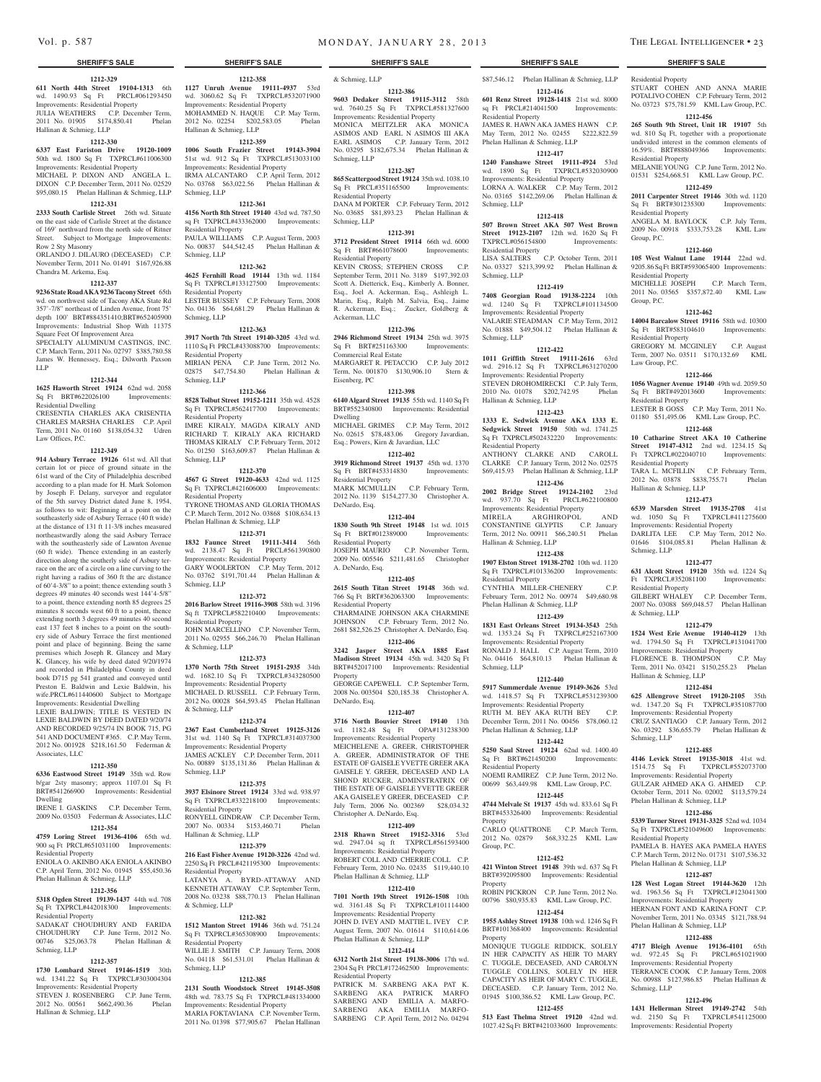#### **1212-329**

**611 North 44th Street 19104-1313** 6th wd. 1490.93 Sq Ft PRCL#061293450 Improvements: Residential Property JULIA WEATHERS C.P. December Term, 2011 No. 01905 \$174,850.41 Phelan Hallinan & Schmieg, LLP

# **1212-330**

**6337 East Fariston Drive 19120-1009**  50th wd. 1800 Sq Ft TXPRCL#611006300 Improvements: Residential Property MICHAEL P. DIXON AND ANGELA L. DIXON C.P. December Term, 2011 No. 02529

# \$95,080.15 Phelan Hallinan & Schmieg, LLP **1212-331**

**2333 South Carlisle Street** 26th wd. Situate on the east side of Carlisle Street at the distance of 169' northward from the north side of Ritner Street. Subject to Mortgage Improvements: Row 2 Sty Masonry

ORLANDO J. DILAURO (DECEASED) C.P. November Term, 2011 No. 01491 \$167,926.88 Chandra M. Arkema, Esq.

#### **1212-337**

**9236 State Road AKA 9236 Tacony Street** 65th wd. on northwest side of Tacony AKA State Rd 357'-7/8" northeast of Linden Avenue, front 75' depth 100' BRT#884351410;BRT#652405900 Improvements: Industrial Shop With 11375 Square Feet Of Improvement Area

SPECIALTY ALUMINUM CASTINGS, INC. C.P. March Term, 2011 No. 02797 \$385,780.58 James W. Hennessey, Esq.; Dilworth Paxson LLP

#### **1212-344**

**1625 Haworth Street 19124** 62nd wd. 2058<br>
Sq Ft BRT#622026100 Improvements: Sq Ft BRT#622026100 Residential Dwelling

CRESENTIA CHARLES AKA CRISENTIA CHARLES MARSHA CHARLES C.P. April Term, 2011 No. 01160 \$138,054.32 Udren Law Offices, P.C.

#### **1212-349**

**914 Asbury Terrace 19126** 61st wd. All that certain lot or piece of ground situate in the 61st ward of the City of Philadelphia described according to a plan made for H. Mark Solomon by Joseph F. Delany, surveyor and regulator of the 5th survey District dated June 8, 1954, as follows to wit: Beginning at a point on the southeasterly side of Asbury Terrace (40 ft wide) at the distance of 131 ft 11-3/8 inches measured northeastwardly along the said Asbury Terrace with the southeasterly side of Lawnton Avenue (60 ft wide). Thence extending in an easterly direction along the southerly side of Asbury terrace on the arc of a circle on a line curving to the right having a radius of 360 ft the arc distance of 60'4-3/8" to a point; thence extending south 3 degrees 49 minutes 40 seconds west 144'4-5/8" to a point, thence extending north 85 degrees 25 minutes 8 seconds west 60 ft to a point, thence extending north 3 degrees 49 minutes 40 second east 137 feet 8 inches to a point on the southery side of Asbury Terrace the first mentioned point and place of beginning. Being the same premises which Joseph R. Glancey and Mary K. Glancey, his wife by deed dated 9/20/1974 and recorded in Philadelphia County in deed book D715 pg 541 granted and conveyed until Preston E. Baldwin and Lexie Baldwin, his wife.PRCL#611440600 Subject to Mortgage Improvements: Residential Dwelling

LEXIE BALDWIN; TITLE IS VESTED IN LEXIE BALDWIN BY DEED DATED 9/20/74 AND RECORDED 9/25/74 IN BOOK 715, PG 541 AND DOCUMENT #365. C.P. May Term, 2012 No. 001928 \$218,161.50 Federman & Associates, LLC

# **1212-350**

**6336 Eastwood Street 19149** 35th wd. Row b/gar 2sty masonry; approx 1107.01 Sq Ft BRT#541266900 Improvements: Residential

Dwelling IRENE I. GASKINS C.P. December Term,

### 2009 No. 03503 Federman & Associates, LLC

**1212-354**

**4759 Loring Street 19136-4106** 65th wd. 900 sq Ft PRCL#651031100 Improvements: Residential Property

ENIOLA O. AKINBO AKA ENIOLA AKINBO C.P. April Term, 2012 No. 01945 \$55,450.36 Phelan Hallinan & Schmieg, LLP

# **1212-356**

**5318 Ogden Street 19139-1437** 44th wd. 708 Sq Ft TXPRCL#442018300 Improvements: Residential Property

SADAKAT CHOUDHURY AND FARIDA CHOUDHURY C.P. June Term, 2012 No. 00746 \$25,063.78 Phelan Hallinan & Schmieg, LLP

### **1212-357**

**1730 Lombard Street 19146-1519** 30th wd. 1341.22 Sq Ft TXPRCL#303004304 Improvements: Residential Property STEVEN J. ROSENBERG C.P. June Term,<br>2012 No. 00561 \$662,490.36 Phelan 2012 No. 00561 \$662,490.36 Hallinan & Schmieg, LLP

**1212-358**

**1127 Unruh Avenue 19111-4937** 53rd wd. 3060.62 Sq Ft TXPRCL#532071900 Improvements: Residential Property MOHAMMED N. HAQUE C.P. May Term, 2012 No. 02254 \$202,583.05 Phelan Hallinan & Schmieg, LLP

### **1212-359**

**1006 South Frazier Street 19143-3904**  51st wd. 912 Sq Ft TXPRCL#513033100 Improvements: Residential Property IRMA ALCANTARO C.P. April Term, 2012 No. 03768 \$63,022.56 Phelan Hallinan & Schmieg, LLP

#### **1212-361**

**4156 North 8th Street 19140** 43rd wd. 787.50 sq Ft TXPRCL#433362000 Improvements: Residential Property PAULA WILLIAMS C.P. August Term, 2003 No. 00837 \$44,542.45 Phelan Hallinan & Schmieg, LLP

#### **1212-362**

**4625 Fernhill Road 19144** 13th wd. 1184 Sq Ft TXPRCL#133127500 Improvements: Residential Property LESTER BUSSEY C.P. February Term, 2008 No. 04136 \$64,681.29 Phelan Hallinan & Schmieg, LLP

#### **1212-363**

**3917 North 7th Street 19140-3205** 43rd wd. 1110 Sq Ft PRCL#433088700 Improvements: Residential Property MIRIAN PENA C.P. June Term, 2012 No. 02875 \$47,754.80 Phelan Hallinan &

Schmieg, LLP **1212-366**

**8528 Tolbut Street 19152-1211** 35th wd. 4528 Sq Ft TXPRCL#562417700 Improvements: Residential Property IMRE KIRALY, MAGDA KIRALY A

RICHARD T. KIRALY AKA RICHARD THOMAS KIRALY C.P. February Term, 2012 No. 01250 \$163,609.87 Phelan Hallinan & Schmieg, LLP

# **1212-370**

**4567 G Street 19120-4633** 42nd wd. 1125 Sq Ft TXPRCL#421606000 Improvements: Residential Property TYRONE THOMAS AND GLORIA THOMAS

C.P. March Term, 2012 No. 03868 \$108,634.13 Phelan Hallinan & Schmieg, LLP **1212-371**

**1832 Faunce Street 19111-3414** 56th

wd. 2138.47 Sq Ft PRCL#561390800 Improvements: Residential Property GARY WOOLERTON C.P. May Term, 2012 No. 03762 \$191,701.44 Phelan Hallinan & Schmieg, LLP

#### **1212-372**

**2016 Barlow Street 19116-3908** 58th wd. 3196 Sq ft TXPRCL#582210400 Improvements: Residential Property

JOHN MARCELLINO C.P. November Term, 2011 No. 02955 \$66,246.70 Phelan Hallinan & Schmieg, LLP

#### **1212-373**

**1370 North 75th Street 19151-2935** 34th wd. 1682.10 Sq Ft TXPRCL#343280500 Improvements: Residential Property MICHAEL D. RUSSELL C.P. February Term, 2012 No. 00028 \$64,593.45 Phelan Hallinan & Schmieg, LLP

#### **1212-374**

**2367 East Cumberland Street 19125-3126**  31st wd. 1140 Sq Ft TXPRCL#314037300 Improvements: Residential Property JAMES ACKLEY C.P. December Term, 2011 No. 00889 \$135,131.86 Phelan Hallinan & Schmieg, LLP

#### **1212-375**

**3937 Elsinore Street 19124** 33rd wd. 938.97 Sq Ft TXPRCL#332218100 Improvements: Residential Property

RONYELL GINDRAW C.P. December Term, 2007 No. 00334 \$153,460.71 Phelan Hallinan & Schmieg, LLP

#### **1212-379**

**216 East Fisher Avenue 19120-3226** 42nd wd. 2250 Sq Ft PRCL#421195300 Improvements: Residential Property

LATANYA A. BYRD-ATTAWAY AND KENNETH ATTAWAY C.P. September Term, 2008 No. 03238 \$88,770.13 Phelan Hallinan & Schmieg, LLP

# **1212-382**

**1512 Manton Street 19146** 36th wd. 751.24 Sq Ft TXPRCL#365308900 Improvements: Residential Property WILLIE J. SMITH C.P. January Term, 2008

No. 04118 \$61,531.01 Phelan Hallinan & Schmieg, LLP

# **1212-385**

**2131 South Woodstock Street 19145-3508**  48th wd. 783.75 Sq Ft TXPRCL#481334000 Improvements: Residential Property

MARIA FOKTAVIANA C.P. November Term, 2011 No. 01398 \$77,905.67 Phelan Hallinan

\$87,546.12 Phelan Hallinan & Schmieg, LLP **1212-416 601 Renz Street 19128-1418** 21st wd. 8000 sq Ft PRCL#214041500 Improvements:

Residential Property

Residential Property

Residential Property

Residential Property

Residential Property

Residential Property

Residential Property

Schmieg, LLP

Residential Property

& Schmieg, LLP

Schmieg, LLP

Hallinan & Schmieg, LLP

Hallinan & Schmieg, LLP

Law Group, P.C.

Group, P.C.

Group, P.C.

STUART COHEN AND ANNA MARIE POTALIVO COHEN C.P. February Term, 2012 No. 03723 \$75,781.59 KML Law Group, P.C. **1212-456 265 South 9th Street, Unit 1R 19107** 5th wd. 810 Sq Ft, together with a proportionate undivided interest in the common elements of 16.59%. BRT#888049366 Improvements:

MELANIE YOUNG C.P. June Term, 2012 No. 01531 \$254,668.51 KML Law Group, P.C. **1212-459 2011 Carpenter Street 19146** 30th wd. 1120 Sq Ft BRT#301235300 Improvements:

ANGELA M. BAYLOCK C.P. July Term, 2009 No. 00918 \$333,753.28 KML Law

**1212-460 105 West Walnut Lane 19144** 22nd wd. 9205.86 Sq Ft BRT#593065400 Improvements:

MICHELLE JOSEPH C.P. March Term, 2011 No. 03565 \$357,872.40 KML Law

**1212-462 14004 Barcalow Street 19116** 58th wd. 10300 Sq Ft BRT#583104610 Improvements:

GREGORY M. MCGINLEY C.P. August Term, 2007 No. 03511 \$170,132.69 KML

**1212-466 1056 Wagner Avenue 19140** 49th wd. 2059.50 Sq Ft BRT#492013600 Improvements:

LESTER B GOSS C.P. May Term, 2011 No. 01180 \$51,495.06 KML Law Group, P.C. **1212-468 10 Catharine Street AKA 10 Catherine Street 19147-4312** 2nd wd. 1234.15 Sq Ft TXPRCL#022040710 Improvements:

TARA L. MCFILLIN C.P. February Term, 2012 No. 03878 \$838,755.71 Phelan

**1212-473 6539 Marsden Street 19135-2708** 41st wd. 1050 Sq Ft TXPRCL#411275600 Improvements: Residential Property DARLITA LEE C.P. May Term, 2012 No. 01646 \$104,085.81 Phelan Hallinan &

**1212-477 631 Alcott Street 19120** 35th wd. 1224 Sq Ft TXPRCL#352081100 Improvements:

GILBERT WHALEY C.P. December Term, 2007 No. 03088 \$69,048.57 Phelan Hallinan

**1212-479 1524 West Erie Avenue 19140-4129** 13th wd. 1794.50 Sq Ft TXPRCL#131041700 Improvements: Residential Property FLORENCE B. THOMPSON C.P. May Term, 2011 No. 03421 \$150,255.23 Phelan

**1212-484 625 Allengrove Street 19120-2105** 35th wd. 1347.20 Sq Ft TXPRCL#351087700 Improvements: Residential Property CRUZ SANTIAGO C.P. January Term, 2012 No. 03292 \$36,655.79 Phelan Hallinan &

**1212-485 4146 Levick Street 19135-3018** 41st wd. 1514.75 Sq Ft TXPRCL#552073700 Improvements: Residential Property GULZAR AHMED AKA G. AHMED C.P. October Term, 2011 No. 02002 \$113,579.24

**1212-486 5339 Turner Street 19131-3325** 52nd wd. 1034 Sq Ft TXPRCL#521049600 Improvements:

PAMELA B. HAYES AKA PAMELA HAYES C.P. March Term, 2012 No. 01731 \$107,536.32

**1212-487 128 West Logan Street 19144-3620** 12th wd. 1963.56 Sq Ft TXPRCL#123041300 Improvements: Residential Property HERNAN FONT AND KARINA FONT CP. November Term, 2011 No. 03345 \$121,788.94

**1212-488 4717 Bleigh Avenue 19136-4101** 65th wd. 972.45 Sq Ft PRCL#651021900 Improvements: Residential Property TERRANCE COOK C.P. January Term, 2008 No. 00988 \$127,986.85 Phelan Hallinan &

**1212-496 1431 Hellerman Street 19149-2742** 54th wd. 2150 Sq Ft TXPRCL#541125000 Improvements: Residential Property

Phelan Hallinan & Schmieg, LLP

Phelan Hallinan & Schmieg, LLP

Phelan Hallinan & Schmieg, LLP

Residential Property

Schmieg, LLP

JAMES R. HAWN AKA JAMES HAWN C.P. May Term, 2012 No. 02455 \$222,822.59

**1212-417 1240 Fanshawe Street 19111-4924** 53rd wd. 1890 Sq Ft TXPRCL#532030900 Improvements: Residential Property LORNA A. WALKER C.P. May Term, 2012 No. 03165 \$142,269.06 Phelan Hallinan &

**1212-418 507 Brown Street AKA 507 West Brown Street 19123-2107** 12th wd. 1620 Sq Ft TXPRCL#056154800 Improvements:

LISA SALTERS C.P. October Term, 2011 No. 03327 \$213,399.92 Phelan Hallinan &

**1212-419 7408 Georgian Road 19138-2224** 10th wd. 1240 Sq Ft TXPRCL#101134500 Improvements: Residential Property VALARIE STEADMAN C.P. May Term, 2012 No. 01888 \$49,504.12 Phelan Hallinan &

**1212-422 1011 Griffith Street 19111-2616** 63rd wd. 2916.12 Sq Ft TXPRCL#631270200 Improvements: Residential Property STEVEN DROHOMIRECKI C.P. July Term, 2010 No. 01078 \$202,742.95 Phelan

**1212-423 1333 E. Sedwick Avenue AKA 1333 E. Sedgwick Street 19150** 50th wd. 1741.25 Sq Ft TXPRCL#502432220 Improvements:

ANTHONY CLARKE AND CAROLL CLARKE C.P. January Term, 2012 No. 02575 \$69,415.93 Phelan Hallinan & Schmieg, LLP **1212-436 2002 Bridge Street 19124-2102** 23rd wd. 937.70 Sq Ft PRCL#622100800 Improvements: Residential Property MIRELA ARGHIROPOL AND CONSTANTINE GLYPTIS C.P. January Term, 2012 No. 00911 \$66,240.51 Phelan

**1212-438 1907 Elston Street 19138-2702** 10th wd. 1120 Sq Ft TXPRCL#101336200 Improvements:

CYNTHIA MILLER-CHENERY C.P. February Term, 2012 No. 00974 \$49,680.98

**1212-439 1831 East Orleans Street 19134-3543** 25th wd. 1353.24 Sq Ft TXPRCL#252167300 Improvements: Residential Property RONALD J. HALL C.P. August Term, 2010 No. 04416 \$64,810.13 Phelan Hallinan &

**1212-440 5917 Summerdale Avenue 19149-3626** 53rd wd. 1418.57 Sq Ft TXPRCL#531239300 Improvements: Residential Property RUTH M. BEY AKA RUTH BEY C.P. December Term, 2011 No. 00456 \$78,060.12

**1212-442 5250 Saul Street 19124** 62nd wd. 1400.40 Sq Ft BRT#621450200 Improvements:

NOEMI RAMIREZ C.P. June Term, 2012 No. 00699 \$63,449.98 KML Law Group, P.C. **1212-445 4744 Melvale St 19137** 45th wd. 833.61 Sq Ft BRT#453326400 Improvements: Residential

CARLO QUATTRONE C.P. March Term, 2012 No. 02879 \$68,332.25 KML Law

**1212-452 421 Winton Street 19148** 39th wd. 637 Sq Ft BRT#392095800 Improvements: Residential

ROBIN PICKRON C.P. June Term, 2012 No. 00796 \$80,935.83 KML Law Group, P.C. **1212-454 1955 Ashley Street 19138** 10th wd. 1246 Sq Ft BRT#101368400 Improvements: Residential

MONIQUE TUGGLE RIDDICK, SOLELY IN HER CAPACITY AS HEIR TO MARY C. TUGGLE, DECEASED, AND CAROLYN TUGGLE COLLINS, SOLELY IN HER CAPACITY AS HEIR OF MARY C. TUGGLE, DECEASED. C.P. January Term, 2012 No. 01945 \$100,386.52 KML Law Group, P.C. **1212-455 513 East Thelma Street 19120** 42nd wd. 1027.42 Sq Ft BRT#421033600 Improvements:

Phelan Hallinan & Schmieg, LLP

Residential Property

Schmieg, LLP

Residential Property

Schmieg, LLP

Schmieg, LLP

Hallinan & Schmieg, LLP

Residential Property

Hallinan & Schmieg, LLP

Phelan Hallinan & Schmieg, LLP

Phelan Hallinan & Schmieg, LLP

Residential Property

Property

Group, P.C.

Property

Property

Residential Property

Schmieg, LLP

### & Schmieg, LLP

#### **1212-386**

**9603 Dedaker Street 19115-3112** 58th wd. 7640.25 Sq Ft TXPRCL#581327600 Improvements: Residential Property MONICA MEITZLER AKA MONICA ASIMOS AND EARL N ASIMOS III AKA EARL ASIMOS C.P. January Term, 2012 No. 03295 \$182,675.34 Phelan Hallinan & Schmieg, LLP

### **1212-387**

**865 Scattergood Street 19124** 35th wd. 1038.10 Sq Ft PRCL#351165500 Improvements: Residential Property DANA M PORTER C.P. February Term, 2012

No. 03685 \$81,893.23 Phelan Hallinan & Schmieg, LLP **1212-391**

**3712 President Street 19114** 66th wd. 6000 Sq Ft BRT#661078600 Improvements: Residential Property

KEVIN CROSS; STEPHEN CROSS C.P. September Term, 2011 No. 3189 \$197,392.03 Scott A. Dietterick, Esq., Kimberly A. Bonner, Esq., Joel A. Ackerman, Esq., Ashleigh L. Marin, Esq., Ralph M. Salvia, Esq., Jaime R. Ackerman, Esq.; Zucker, Goldberg & Ackerman, LLC

#### **1212-396**

**2946 Richmond Street 19134** 25th wd. 3975 Sq Ft BRT#251163300 Improvements: Commercial Real Estate MARGARET R. PETACCIO C.P. July 2012 Term, No. 001870 \$130,906.10 Stern &

#### **1212-398**

Eisenberg, PC

**6140 Algard Street 19135** 55th wd. 1140 Sq Ft BRT#552340800 Improvements: Residential Dwelling

MICHAEL GRIMES C.P. May Term, 2012 No. 02615 \$78,483.06 Gregory Javardian, Esq.; Powers, Kirn & Javardian, LLC

# **1212-402**

**3919 Richmond Street 19137** 45th wd. 1370 Sq Ft BRT#453314830 Improvements: Residential Property MARK MCMULLIN C.P. February Term, 2012 No. 1139 \$154,277.30 Christopher A. DeNardo, Esq.

### **1212-404**

**1830 South 9th Street 19148** 1st wd. 1015 Sq Ft BRT#012389000 Improvements: Residential Property JOSEPH MAURIO C.P. November Term, 2009 No. 005546 \$211,481.65 Christopher A. DeNardo, Esq.

### **1212-405**

**2615 South Titan Street 19148** 36th wd. 766 Sq Ft BRT#362063300 Improvements: Residential Property CHARMAINE JOHNSON AKA CHARMINE JOHNSON C.P. February Term, 2012 No. 2681 \$82,526.25 Christopher A. DeNardo, Esq.

**1212-406 3242 Jasper Street AKA 1885 East** 

**Madison Street 19134** 45th wd. 3420 Sq Ft BRT#452017100 Improvements: Residential Property

GEORGE CAPEWELL C.P. September Term, 2008 No. 003504 \$20,185.38 Christopher A. DeNardo, Esq.

#### **1212-407**

**3716 North Bouvier Street 19140** 13th wd. 1182.48 Sq Ft OPA#131238300 Improvements: Residential Property

MEICHELENE A. GREER, CHRISTOPHER A. GREER, ADMINISTRATOR OF THE ESTATE OF GAISELE YVETTE GREER AKA GAISELE Y. GREER, DECEASED AND LA SHOND RUCKER, ADMINSTRATRIX OF THE ESTATE OF GAISELE YVETTE GREER AKA GAISELE Y GREER, DECEASED C.P. July Term, 2006 No. 002369 \$28,034.32 Christopher A. DeNardo, Esq.

#### **1212-409**

**2318 Rhawn Street 19152-3316** 53rd wd. 2947.04 sq ft TXPRCL#561593400 Improvements: Residential Property ROBERT COLL AND CHERRIE COLL C.P. February Term, 2010 No. 02435 \$119,440.10 Phelan Hallinan & Schmieg, LLP

# **1212-410**

**7101 North 19th Street 19126-1508** 10th wd. 3161.48 Sq Ft TXPRCL#101114400 Improvements: Residential Property JOHN D. IVEY AND MATTIE L. IVEY C.P. August Term, 2007 No. 01614 \$110,614.06

#### **1212-414 6312 North 21st Street 19138-3006** 17th wd. 2304 Sq Ft PRCL#172462500 Improvements:

PATRICK M. SARBENG AKA PAT K. SARBENG AKA PATRICK MARFO SARBENG AND EMILIA A. MARFO-SARBENG AKA EMILIA MARFO-SARBENG C.P. April Term, 2012 No. 04294

Phelan Hallinan & Schmieg, LLP

Residential Property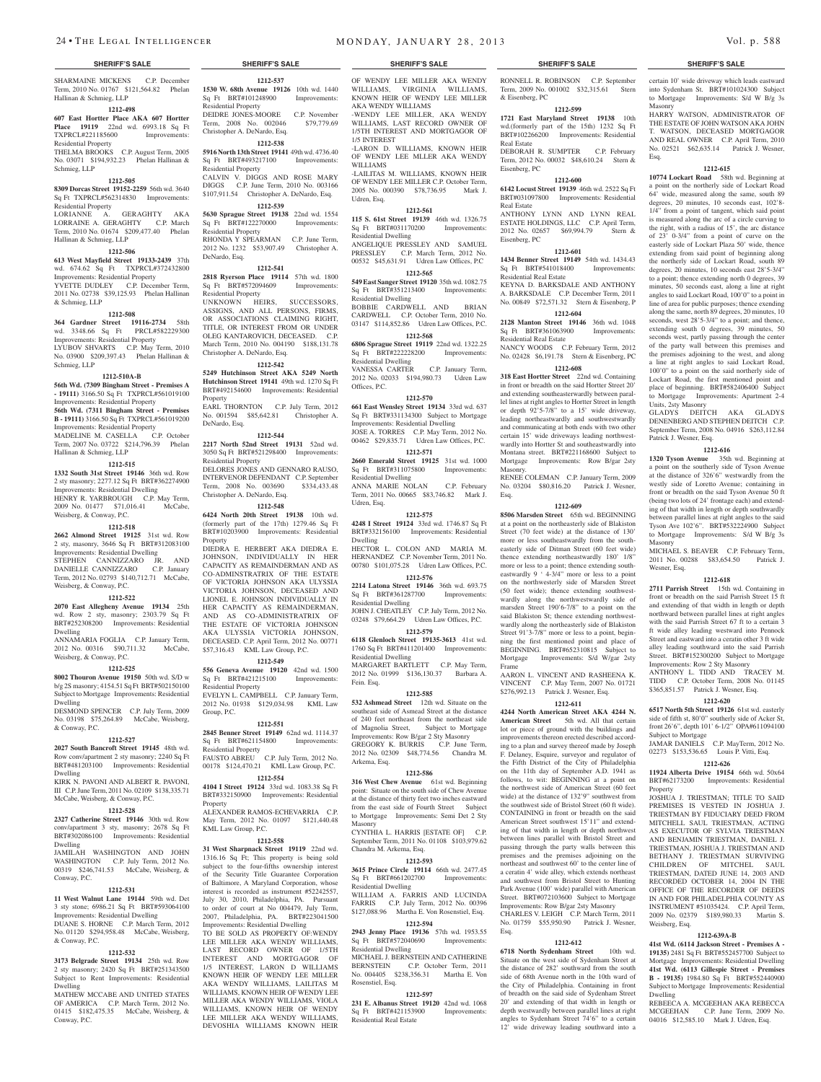SHARMAINE MICKENS C.P. December Term, 2010 No. 01767 \$121,564.82 Phelan Hallinan & Schmieg, LLP

#### **1212-498**

**607 East Hortter Place AKA 607 Hortter Place 19119** 22nd wd. 6993.18 Sq Ft TXPRCL#221185600 Improvements: Residential Property

THELMA BROOKS C.P. August Term, 2005 No. 03071 \$194,932.23 Phelan Hallinan & Schmieg, LLP

#### **1212-505**

**8309 Dorcas Street 19152-2259** 56th wd. 3640 Sq Ft TXPRCL#562314830 Improvements: Residential Property LORIANNE A. GERAGHTY AKA

LORRAINE A. GERAGHTY C.P. March Term, 2010 No. 01674 \$209,477.40 Phelan Hallinan & Schmieg, LLP

#### **1212-506**

**613 West Mayfield Street 19133-2439** 37th wd. 674.62 Sq Ft TXPRCL#372432800 Improvements: Residential Property YVETTE DUDLEY C.P. December Term, 2011 No. 02738 \$39,125.93 Phelan Hallinan & Schmieg, LLP

### **1212-508**

**364 Gardner Street 19116-2734** 58th wd. 3348.66 Sq Ft Improvements: Residential Property LYUBOV SHVARTS C.P. May Term, 2010 No. 03900 \$209,397.43 Phelan Hallinan & Schmieg, LLP

#### **1212-510A-B**

**56th Wd. (7309 Bingham Street - Premises A - 19111)** 3166.50 Sq Ft TXPRCL#561019100 Improvements: Residential Property

#### **56th Wd. (7311 Bingham Street - Premises B - 19111)** 3166.50 Sq Ft TXPRCL#561019200

Improvements: Residential Property<br>MADELINE M CASELLA CP October MADELINE M. CASELLA Term, 2007 No. 03722 \$214,796.39 Phelan Hallinan & Schmieg, LLP

### **1212-515**

**1332 South 31st Street 19146** 36th wd. Row 2 sty masonry; 2277.12 Sq Ft BRT#362274900 Improvements: Residential Dwelling HENRY R. YARBROUGH C.P. May Term,<br>2009 No. 01477 \$71,016.41 McCabe. 2009 No. 01477 \$71,016.41 Weisberg, & Conway, P.C.

#### **1212-518**

**2662 Almond Street 19125** 31st wd. Row 2 sty, masonry, 3646 Sq Ft BRT#312083100 Improvements: Residential Dwelling STEPHEN CANNIZZARO JR. A

DANIELLE CANNIZZARO C.P. January Term, 2012 No. 02793 \$140,712.71 McCabe, Weisberg, & Conway, P.C.

#### **1212-522**

**2070 East Allegheny Avenue 19134** 25th wd. Row 2 sty, masonry; 2303.79 Sq Ft BRT#252308200 Improvements: Residential Dwelling

ANNAMARIA FOGLIA C.P. January Term, 2012 No. 00316 \$90,711.32 McCabe, Weisberg, & Conway, P.C.

#### **1212-525**

**8002 Thouron Avenue 19150** 50th wd. S/D w b/g 2S masonry; 4154.51 Sq Ft BRT#502150100 Subject to Mortgage Improvements: Residential Dwelling

DESMOND SPENCER C.P. July Term, 2009 No. 03198 \$75,264.89 McCabe, Weisberg, & Conway, P.C.

#### **1212-527**

**2027 South Bancroft Street 19145** 48th wd. Row conv/apartment 2 sty masonry; 2240 Sq Ft BRT#481203100 Improvements: Residential Dwelling

KIRK N. PAVONI AND ALBERT R. PAVONI, III C.P. June Term, 2011 No. 02109 \$138,335.71 McCabe, Weisberg, & Conway, P.C.

#### **1212-528**

**2327 Catherine Street 19146** 30th wd. Row conv/apartment 3 sty, masonry; 2678 Sq Ft BRT#302086100 Improvements: Residential Dwelling

JAMILAH WASHINGTON AND JOHN WASHINGTON C.P. July Term, 2012 No. 00319 \$246,741.53 McCabe, Weisberg, & Conway, P.C.

#### **1212-531**

**11 West Walnut Lane 19144** 59th wd. Det 3 sty stone; 6986.21 Sq Ft BRT#593064100

Improvements: Residential Dwelling DUANE S. HORNE C.P. March Term, 2012 No. 01120 \$294,958.48 McCabe, Weisberg, & Conway, P.C.

# **1212-532**

**3173 Belgrade Street 19134** 25th wd. Row 2 sty masonry; 2420 Sq Ft BRT#251343500 Subject to Rent Improvements: Residential Dwelling

MATHEW MCCABE AND UNITED STATES OF AMERICA C.P. March Term, 2012 No. 01415 \$182,475.35 McCabe, Weisberg, & Conway, P.C.

### **1212-537 1530 W. 68th Avenue 19126** 10th wd. 1440<br>Sq Ft BRT#101248900 Improvements: Sq Ft BRT#101248900 Residential Property

DEIDRE JONES-MOORE C.P. November Term, 2008 No. 002046 \$79,779.69 Christopher A. DeNardo, Esq. **1212-538**

**5916 North 13th Street 19141** 49th wd. 4736.40 Sq Ft BRT#493217100 Improvements: Residential Property CALVIN V. DIGGS AND ROSE MARY DIGGS C.P. June Term, 2010 No. 003166 \$107,911.54 Christopher A. DeNardo, Esq.

# **1212-539**

**5630 Sprague Street 19138** 22nd wd. 1554 Sq Ft BRT#122270000 Residential Property RHONDA Y SPEARMAN C.P. June Term, 2012 No. 1232 \$53,907.49 Christopher A.

DeNardo, Esq. **1212-541**

**2818 Ryerson Place 19114** 57th wd. 1800 Sq Ft BRT#572094609 Improvements: Residential Property

UNKNOWN HEIRS, SUCCESSORS, ASSIGNS, AND ALL PERSONS, FIRMS, OR ASSOCIATIONS CLAIMING RIGHT, TITLE, OR INTEREST FROM OR UNDER OLEG KANTAROVICH, DECEASED. C.P. March Term, 2010 No. 004190 \$188,131.78 Christopher A. DeNardo, Esq.

#### **1212-542**

**5249 Hutchinson Street AKA 5249 North Hutchinson Street 19141** 49th wd. 1270 Sq Ft BRT#492154600 Improvements: Residential **Property** EARL THORNTON C.P. July Term, 2012 No. 001594 \$85,642.81 Christopher A.

DeNardo, Esq.

**1212-544 2217 North 52nd Street 19131** 52nd wd. 3050 Sq Ft BRT#521298400 Improvements: Residential Property DELORES JONES AND GENNARO RAUSO,

INTERVENOR DEFENDANT C.P. September<br>Term 2008 No 003690 \$334 433 48 Term, 2008 No. 003690 Christopher A. DeNardo, Esq. **1212-548**

**6424 North 20th Street 19138** 10th wd. (formerly part of the 17th) 1279.46 Sq Ft BRT#10203900 Improvements: Residential Property DIEDRA E. HERBERT AKA DIEDRA E. JOHNSON, INDIVIDUALLY IN HER CAPACITY AS REMAINDERMAN AND AS CO-ADMINSTRATRIX OF THE ESTATE

OF VICTORIA JOHNSON AKA ULYSSIA VICTORIA JOHNSON, DECEASED AND LIONEL E. JOHNSON INDIVIDUALLY IN HER CAPACITY AS REMAINDERMAN, AND AS CO-ADMINISTRATRIX OF THE ESTATE OF VICTORIA JOHNSO AKA ULYSSIA VICTORIA JOHNSON, DECEASED. C.P. April Term, 2012 No. 00771 \$57,316.43 KML Law Group, P.C.

# **1212-549**

**556 Geneva Avenue 19120** 42nd wd. 1500 Sq Ft BRT#421215100 Improvements: Residential Property EVELYN L. CAMPBELL C.P. January Term, 2012 No. 01938 \$129,034.98 KML Law

# **1212-551**

Group, P.C.

**2845 Benner Street 19149** 62nd wd. 1114.37 Sq Ft BRT#621154800 Improvements: Residential Property FAUSTO ABREU C.P. July Term, 2012 No. 00178 \$124,470.21 KML Law Group, P.C.

**1212-554 4104 I Street 19124** 33rd wd. 1083.38 Sq Ft BRT#332150900 Improvements: Residential

Property ALEXANDER RAMOS-ECHEVARRIA C.P. May Term, 2012 No. 01097 \$121,440.48 KML Law Group, P.C.

#### **1212-558**

**31 West Sharpnack Street 19119** 22nd wd. 1316.16 Sq Ft; This property is being sold subject to the four-fifths ownership interest of the Security Title Guarantee Corporation of Baltimore, A Maryland Corporation, whose interest is recorded as instrument #52242557, July 30, 2010, Philadelphia, PA. Pursuant to order of court at No 004479, July Term, 2007, Philadelphia, PA. BRT#223041500 Improvements: Residential Dwelling TO BE SOLD AS PROPERTY OF:WENDY

LEE MILLER AKA WENDY WILLIAMS, LAST RECORD OWNER OF 1/5TH INTEREST AND MORTGAGOR OF 1/5 INTEREST, LARON D WILLIAMS KNOWN HEIR OF WENDY LEE MILLER AKA WENDY WILLIAMS, LAILITAS M WILLIAMS, KNOWN HEIR OF WENDY LEE MILLER AKA WENDY WILLIAMS, VIOLA WILLIAMS, KNOWN HEIR OF WENDY LEE MILLER AKA WENDY WILLIAMS, DEVOSHIA WILLIAMS KNOWN HEIR

#### **SHERIFF'S SALE SHERIFF'S SALE SHERIFF'S SALE SHERIFF'S SALE SHERIFF'S SALE**

OF WENDY LEE MILLER AKA WENDY WILLIAMS, VIRGINIA WILLIAMS, KNOWN HEIR OF WENDY LEE MILLER AKA WENDY WILLIAMS -WENDY LEE MILLER, AKA WENDY

RONNELL R. ROBINSON C.P. September Term, 2009 No. 001002 \$32,315.61 Stern

certain 10' wide driveway which leads eastward into Sydenham St. BRT#101024300 Subject to Mortgage Improvements: S/d W B/g 3s

HARRY WATSON, ADMINISTRATOR OF THE ESTATE OF JOHN WATSON AKA JOHN T. WATSON, DECEASED MORTGAGOR AND REAL OWNER C.P. April Term, 2010 No. 02521 \$62,635.14 Patrick J. Wesner,

**1212-615 10774 Lockart Road** 58th wd. Beginning at a point on the northerly side of Lockart Road 64' wide, measured along the same, south 89 degrees, 20 minutes, 10 seconds east, 102'8- 1/4" from a point of tangent, which said point is measured along the arc of a circle curving to the right, with a radius of 15', the arc distance of 23' 0-3/4" from a point of curve on the easterly side of Lockart Plaza 50' wide, thence extending from said point of beginning along the northerly side of Lockart Road, south 89 degrees, 20 minutes, 10 seconds east 28'5-3/4" to a point; thence extending north 0 degrees, 39 minutes, 50 seconds east, along a line at right angles to said Lockart Road, 100'0" to a point in line of area for public purposes; thence exending along the same, north 89 degrees, 20 minutes, 10 seconds, west 28'5-3/4" to a point; and thence, extending south 0 degrees, 39 minutes, 50 seconds west, partly passing through the center of the party wall between this premises and the premises adjoining to the west, and along a line at right angles to said Lockart Road, 100'0" to a point on the said northerly side of Lockart Road, the first mentioned point and place of beginning. BRT#582406400 Subject to Mortgage Improvements: Apartment 2-4

Masonry

Esq.

Units, 2sty Masonry

Patrick J. Wesner, Esq.

Masonry

Wesner, Esq.

Subject to Mortgage

Property

Weisberg, Esq.

Dwelling

GLADYS DEITCH AKA GLADYS DENENBERG AND STEPHEN DEITCH C.P. September Term, 2008 No. 04916 \$263,112.84

**1212-616 1320 Tyson Avenue** 35th wd. Beginning at a point on the southerly side of Tyson Avenue at the distance of 326'6" westwardly from the westly side of Loretto Avenue; containing in front or breadth on the said Tyson Avenue 50 ft (being two lots of 24' frontage each) and extending of that width in length or depth southwardly between parallel lines at right angles to the said Tyson Ave 102'6". BRT#532224900 Subject to Mortgage Improvements: S/d W B/g 3s

MICHAEL S. BEAVER C.P. February Term, 2011 No. 00288 \$83,654.50 Patrick J.

**1212-618 2711 Parrish Street** 15th wd. Containing in front or breadth on the said Parrish Street 15 ft and extending of that width in length or depth northward between parallel lines at right angles with the said Parrish Street 67 ft to a certain 3 ft wide alley leading westward into Pennock Street and eastward into a ceratin other 3 ft wide alley leading southward into the said Parrish Street. BRT#152300200 Subject to Mortgage Improvements: Row 2 Sty Masonry ANTHONY L. TIDD AND TRACEY M. TIDD C.P. October Term, 2008 No. 01145 \$365,851.57 Patrick J. Wesner, Esq. **1212-620 6517 North 5th Street 19126** 61st wd. easterly side of fifth st, 80'0" southerly side of Acker St, front 26'6", depth 101' 6-1/2" OPA#611094100

JAMAR DANIELS C.P. MayTerm, 2012 No. 02273 \$153,536.65 Louis P. Vitti, Esq. **1212-626 11924 Alberta Drive 19154** 66th wd. 50x64 BRT#62173200 Improvements: Residential

JOSHUA J. TRIESTMAN; TITLE TO SAID PREMISES IS VESTED IN JOSHUA J. TRIESTMAN BY FIDUCIARY DEED FROM MITCHELL SAUL TRIESTMAN, ACTING AS EXECUTOR OF SYLVIA TRIESTMAN AND BENJAMIN TRIESTMAN, DANIEL J. TRIESTMAN, JOSHUA J. TRIESTMAN AND BETHANY J. TRIESTMAN SURVIVING CHILDREN OF MITCHEL SAUL TRIESTMAN, DATED JUNE 14, 2003 AND RECORDED OCTOBER 14, 2004 IN THE OFFICE OF THE RECORDER OF DEEDS IN AND FOR PHILADELPHIA COUNTY AS INSTRUMENT #51035424. C.P. April Term, 2009 No. 02379 \$189,980.33 Martin S.

**1212-639A-B 41st Wd. (6114 Jackson Street - Premises A - 19135)** 2481 Sq Ft BRT#552457700 Subject to Mortgage Improvements: Residential Dwelling **41st Wd. (6113 Gillespie Street - Premises B - 19135)** 1984.80 Sq Ft BRT#552440900 Subject to Mortgage Improvements: Residential

REBEECA A. MCGEEHAN AKA REBECCA MCGEEHAN C.P. June Term, 2009 No. 04016 \$12,585.10 Mark J. Udren, Esq.

**1212-599 1721 East Maryland Street 19138** 10th wd.(formerly part of the 15th) 1232 Sq Ft BRT#102266200 Improvements: Residential

DEBORAH R. SUMPTER C.P. February Term, 2012 No. 00032 \$48,610.24 Stern &

**1212-600 6142 Locust Street 19139** 46th wd. 2522 Sq Ft BRT#031097800 Improvements: Residential

ANTHONY LYNN AND LYNN REAL ESTATE HOLDINGS, LLC C.P. April Term, 2012 No. 02657 \$69,994.79 Stern &

**1212-601 1434 Benner Street 19149** 54th wd. 1434.43 Sq Ft BRT#541018400 Improvements:

KEYNA D. BARKSDALE AND ANTHONY A. BARKSDALE C.P. December Term, 2011 No. 00849 \$72,571.32 Stern & Eisenberg, P **1212-604 2128 Manton Street 19146** 36th wd. 1048

NANCY WOODS C.P. February Term, 2012 No. 02428 \$6,191.78 Stern & Eisenberg, PC **1212-608 318 East Hortter Street** 22nd wd. Containing in front or breadth on the said Hortter Street 20' and extending southeasterwardly between parallel lines at right angles to Hortter Street in length or depth 92'5-7/8" to a 15' wide driveway, leading northeastwardly and southwestwardly and communicating at both ends with two other certain 15' wide driveways leading northwestwardly into Hortter St and southeastwardly into Montana street. BRT#221168600 Subject to Mortgage Improvements: Row B/gar 2sty

RENEE COLEMAN C.P. January Term, 2009 No. 03204 \$80,816.20 Patrick J. Wesner,

**1212-609 8506 Marsden Street** 65th wd. BEGINNING at a point on the northeasterly side of Blakiston Street (70 feet wide) at the distance of 130' more or less southeastwardly from the southeasterly side of Ditman Street (60 feet wide) thence extending northeastwardly 180' 1/8" more or less to a point; thence extending southeastwardly 9 ' 4-3/4" more or less to a point on the northwesterly side of Marsden Street (50 feet wide); thence extending southwestwardly along the northwestwardly side of marsden Street 190'6-7/8" to a point on the said Blakiston St; thence extending northwestwardly along the northeasterly side of Blakiston Street 91'3-7/8" more or less to a point, beginning the first mentioned point and place of BEGINNING. BRT#652310815 Subject to Mortgage Improvements: S/d W/gar 2sty

AARON L. VINCENT AND RASHEENA K. VINCENT C.P. May Term, 2007 No. 01721 \$276,992.13 Patrick J. Wesner, Esq. **1212-611 4244 North American Street AKA 4244 N. American Street** 5th wd. All that certain lot or piece of ground with the buildings and improvements thereon erected described according to a plan and survey thereof made by Joseph F. Delaney, Esquire, surveyor and regulator of the Fifth District of the City of Philadelphia on the 11th day of September A.D. 1941 as follows, to wit: BEGINNING at a point on the northwest side of American Street (60 feet wide) at the distance of 132'9" southwest from the southwest side of Bristol Street (60 ft wide). CONTAINING in front or breadth on the said American Street southwest 15'11" and extending of that width in length or depth northwest between lines parallel with Bristol Street and passing through the party walls between this premises and the premises adjoining on the northeast and southwest 60' to the center line of a ceratin 4' wide alley, which extends northeast and southwest from Bristol Street to Hunting Park Avenue (100' wide) parallel with American Street. BRT#072103600 Subject to Mortgage Improvements: Row B/gar 2sty Masonry CHARLES V. LEIGH C.P. March Term, 2011 No. 01759 \$55,950.90 Patrick J. Wesner,

**1212-612 6718 North Sydenham Street** 10th wd. Situate on the west side of Sydenham Street at the distance of 282' southward from the south side of 68th Avenue north in the 10th ward of the City of Philadelphia. Containing in front of breadth on the said side of Sydenham Street 20' and extending of that width in length or depth westwardly between parallel lines at right angles to Sydenham Street 74'6" to a certain 12' wide driveway leading southward into a

& Eisenberg, PC

Real Estate

Eisenberg, PC

Real Estate

Eisenberg, PC

Residential Real Estate

Sq Ft BRT#361063900 Residential Real Estate

Masonry.

Esq.

Frame

Esq.

WILLIAMS, LAST RECORD OWNER OF 1/5TH INTEREST AND MORTGAGOR OF 1/5 INTEREST -LARON D. WILLIAMS, KNOWN HEIR

OF WENDY LEE MLLER AKA WENDY WILLIAMS -LAILITAS M. WILLIAMS, KNOWN HEIR

OF WENDY LEE MILLER C.P. October Term, 2005 No. 000390 \$78,736.95 Mark J. Udren, Esq.

# **1212-561**

**115 S. 61st Street 19139** 46th wd. 1326.75 Sq Ft BRT#031170200 Improvements: Residential Dwelling

ANGELIQUE PRESSLEY AND SAMUEL<br>PRESSLEY C.P. March Term, 2012 No. C.P. March Term, 2012 No. 00532 \$45,631.91 Udren Law Offices, P.C **1212-565**

**549 East Sanger Street 19120** 35th wd. 1082.75 Sq Ft BRT#351213400 Improvements: Residential Dwelling BOBBIE CARDWELL AND BRIAN

CARDWELL C.P. October Term, 2010 No. 03147 \$114,852.86 Udren Law Offices, P.C. **1212-568**

**6806 Sprague Street 19119** 22nd wd. 1322.25 Sq Ft BRT#222228200 Improvements:

Residential Dwelling VANESSA CARTER C.P. January Term, 2012 No. 02033 \$194,980.73 Udren Law Offices, P.C.

#### **1212-570**

**661 East Wensley Street 19134** 33rd wd. 637 Sq Ft BRT#331134300 Subject to Mortgage Improvements: Residential Dwelling JOSE A. TORRES C.P. May Term, 2012 No. 00462 \$29,835.71 **Udren Law Offices, P.C.** 

**1212-571 2660 Emerald Street 19125** 31st wd. 1000 Sq Ft BRT#311075800 Improvements:

Residential Dwelling ANNA MARIE NOLAN C.P. February Term, 2011 No. 00665 \$83,746.82 Mark J.

# Udren, Esq.

**1212-575 4248 I Street 19124** 33rd wd. 1746.87 Sq Ft BRT#332156100 Improvements: Residential Dwelling HECTOR L. COLON AND MARIA M.

HERNANDEZ C.P. November Term, 2011 No. 00780 \$101,075.28 Udren Law Offices, P.C.

**1212-576 2214 Latona Street 19146** 36th wd. 693.75 Sq Ft BRT#361287700 Improvements: Residential Dwelling

JOHN J. CHEATLEY C.P. July Term, 2012 No. 03248 \$79,664.29 Udren Law Offices, P.C. **1212-579**

**6118 Glenloch Street 19135-3613** 41st wd.

1760 Sq Ft BRT#411201400 Improvements: Residential Dwelling MARGARET BARTLETT C.P. May Term,

2012 No. 01999 \$136,130.37 Barbara A. Fein. Esq.

**1212-585 532 Ashmead Street** 12th wd. Situate on the southeast side of Asmead Street at the distance of 240 feet northeast from the northeast side of Magnolia Street, Subject to Mortgage Improvements: Row B/gar 2 Sty Masonry GREGORY K. BURRIS C.P. June Term,

2012 No. 02309 \$48,774.56 Chandra M. Arkema, Esq. **1212-586**

**316 West Chew Avenue** 61st wd. Beginning point: Situate on the south side of Chew Avenue at the distance of thirty feet two inches eastward from the east side of Fourth Street Subject to Mortgage Improvements: Semi Det 2 Sty Masonry

CYNTHIA L. HARRIS [ESTATE OF] C.P. September Term, 2011 No. 01108 \$103,979.62 Chandra M. Arkema, Esq.

#### **1212-593**

**3615 Prince Circle 19114** 66th wd. 2477.45 Sq Ft BRT#661202700 Improvements: Residential Dwelling

WILLIAM A. FARRIS AND LUCINDA FARRIS C.P. July Term, 2012 No. 00396 \$127,088.96 Martha E. Von Rosenstiel, Esq. **1212-594**

# **2943 Jenny Place 19136** 57th wd. 1953.55

Rosenstiel, Esq.

Sq Ft BRT#421153900 Residential Real Estate

Sq Ft BRT#572040690 Improvements: Residential Dwelling MICHAEL J. BERNSTEIN AND CATHERINE BERNSTEIN C.P. October Term, 2011 No. 004405 \$238,356.31 Martha E. Von

**1212-597 231 E. Albanus Street 19120** 42nd wd. 1068<br>Sq. Ft BRT#421153900 Improvements: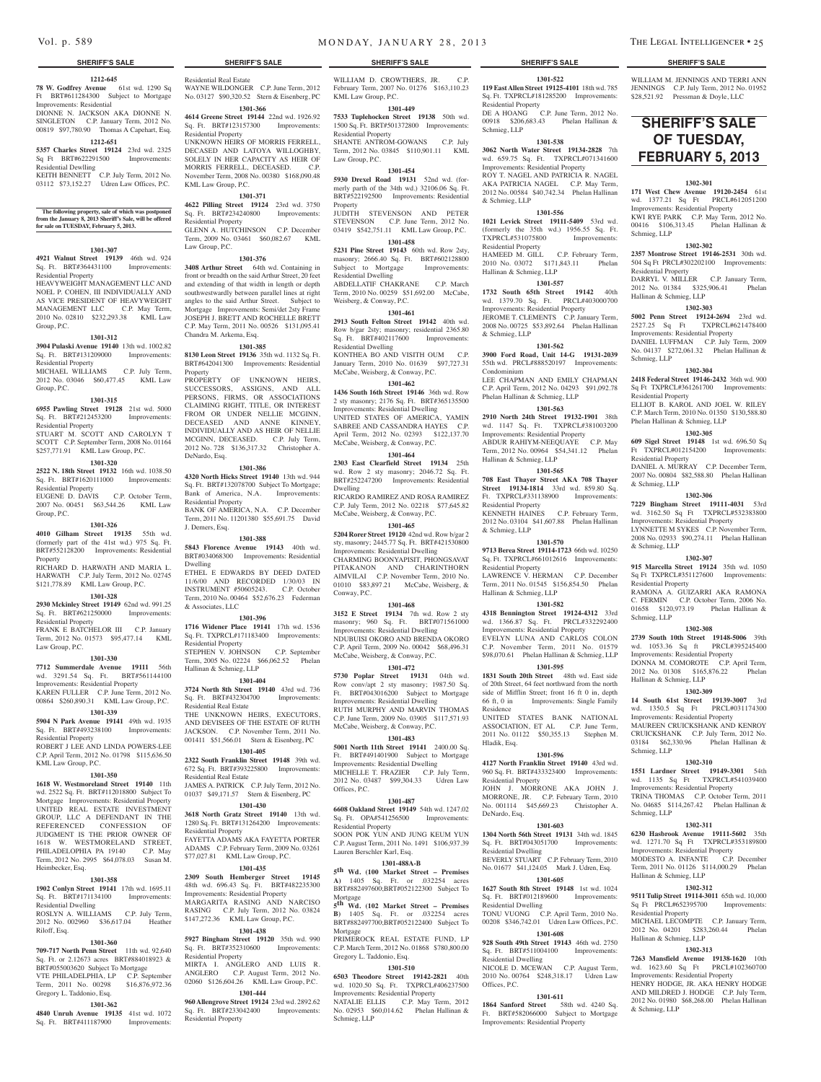#### **1212-645**

**78 W. Godfrey Avenue** 61st wd. 1290 Sq Ft BRT#611284300 Subject to Mortgage Improvements: Residential

DIONNE N. JACKSON AKA DIONNE N. SINGLETON C.P. January Term, 2012 No. 00819 \$97,780.90 Thomas A Capehart, Esq. **1212-651**

**5357 Charles Street 19124** 23rd wd. 2325 Sq Ft BRT#622291500 Improvements: Residential Dewlling

KEITH BENNETT C.P. July Term, 2012 No. 03112 \$73,152.27 Udren Law Offices, P.C.

# **The following property, sale of which was postponed from the January 8, 2013 Sheriff's Sale, will be offered for sale on TUESDAY, February 5, 2013.**

#### **1301-307**

**4921 Walnut Street 19139** 46th wd. 924 Sq. Ft. BRT#364431100 Improvements: Residential Property

HEAVYWEIGHT MANAGEMENT LLC AND NOEL P. COHEN, III INDIVIDUALLY AND AS VICE PRESIDENT OF HEAVYWEIGHT MANAGEMENT LLC C.P. May Term, 2010 No. 02810 \$232,293.38 KML Law Group, P.C.

### **1301-312**

**3904 Pulaski Avenue 19140** 13th wd. 1002.82 Sq. Ft. BRT#131209000 Improvements: Residential Property MICHAEL WILLIAMS C.P. July Term,

2012 No. 03046 \$60,477.45 KML Law Group, P.C.

# **1301-315**

**6955 Pawling Street 19128** 21st wd. 5000 Sq. Ft. BRT#212453200 Improvements: Residential Property

STUART M. SCOTT AND CAROLYN T SCOTT C.P. September Term, 2008 No. 01164 \$257,771.91 KML Law Group, P.C.

### **1301-320**

**2522 N. 18th Street 19132** 16th wd. 1038.50 Sq. Ft. BRT#1620111000 Improvements: Residential Property EUGENE D. DAVIS C.P. October Term, 2007 No. 00451 \$63,544.26 KML Law

Group, P.C. **1301-326**

**4010 Gilham Street 19135** 55th wd. (formerly part of the 41st wd.) 975 Sq. Ft. BRT#552128200 Improvements: Residential Property RICHARD D. HARWATH AND MARIA L.

HARWATH C.P. July Term, 2012 No. 02745 \$121,778.89 KML Law Group, P.C.

# **1301-328**

**2930 Mckinley Street 19149** 62nd wd. 991.25 Sq. Ft. BRT#621250000 Improvements: Residential Property

FRANK E BATCHELOR III C.P. January TRAIN E BATCHEON III C.I. Sunsang Law Group, P.C.

### **1301-330**

**7712 Summerdale Avenue 19111** 56th wd. 3291.54 Sq. Ft. BRT#561144100 Improvements: Residential Property KAREN FULLER C.P. June Term, 2012 No. 00864 \$260,890.31 KML Law Group, P.C.

# **1301-339**

**5904 N Park Avenue 19141** 49th wd. 1935 Sq. Ft. BRT#493238100 Improvements: Residential Property

ROBERT J LEE AND LINDA POWERS-LEE C.P. April Term, 2012 No. 01798 \$115,636.50 KML Law Group, P.C.

#### **1301-350**

**1618 W. Westmoreland Street 19140** 11th wd. 2522 Sq. Ft. BRT#112018800 Subject To Mortgage Improvements: Residential Property UNITED REAL ESTATE INVESTMENT GROUP, LLC A DEFENDANT IN THE REFERENCED CONFESSION OF JUDGMENT IS THE PRIOR OWNER OF 1618 W. WESTMORELAND STREET, PHILADELOPHIA PA 19140 C.P. May Term, 2012 No. 2995 \$64,078.03 Susan M. Heimbecker, Esq.

### **1301-358**

**1902 Conlyn Street 19141** 17th wd. 1695.11 Sq. Ft. BRT#171134100 Improvements: Residential Dwelling ROSLYN A. WILLIAMS C.P. July Term,

# 2012 No. 002960 \$36,617.04 Heather Riloff, Esq.

#### **1301-360**

**709-717 North Penn Street** 11th wd. 92,640 Sq. Ft. or 2.12673 acres BRT#884018923 & BRT#055003620 Subject To Mortgage VTE PHILADELPHIA, LP C.P. September Term, 2011 No. 00298 \$16,876,972.36 Gregory L. Taddonio, Esq.

# **1301-362**

**4840 Unruh Avenue 19135** 41st wd. 1072 Sq. Ft. BRT#411187900

Residential Real Estate WAYNE WILDONGER C.P. June Term, 2012

No. 03127 \$90,320.52 Stern & Eisenberg, PC **1301-366 4614 Greene Street 19144** 22nd wd. 1926.92

Sq. Ft. BRT#123157300 Improvements: Residential Property UNKNOWN HEIRS OF MORRIS FERRELL, DECASED AND LATOYA WILLOGHBY, SOLELY IN HER CAPACITY AS HEIR OF MORRIS FERRELL, DECEASED. C.P. November Term, 2008 No. 00380 \$168,090.48

# **1301-371**

KML Law Group, P.C.

**4622 Pilling Street 19124** 23rd wd. 3750 Sq. Ft. BRT#234240800 Improvements: Residential Property GLENN A. HUTCHINSON C.P. December Term, 2009 No. 03461 \$60,082.67 KML Law Group, P.C.

#### **1301-376**

**3408 Arthur Street** 64th wd. Containing in front or breadth on the said Arthur Street, 20 feet and extending of that width in length or depth southwestwardly between parallel lines at right angles to the said Arthur Street. Subject to Mortgage Improvements: Semi/det 2sty Frame JOSEPH J. BRETT AND ROCHELLE BRETT C.P. May Term, 2011 No. 00526 \$131,095.41 Chandra M. Arkema, Esq.

#### **1301-385**

**8130 Leon Street 19136** 35th wd. 1132 Sq. Ft. BRT#642041300 Improvements: Residential Property

PROPERTY OF UNKNOWN HEIRS, SUCCESSORS, ASSIGNS, AND ALL PERSONS, FIRMS, OR ASSOCIATIONS CLAIMING RIGHT, TITLE, OR INTEREST FROM OR UNDER NELLIE MCGINN, DECEASED AND ANNE KINNEY, INDIVIDUALLY AND AS HEIR OF NELLIE MCGINN, DECEASED. C.P. July Term, 2012 No. 728 \$136,317.32 Christopher A. DeNardo, Esq.

#### **1301-386**

**4320 North Hicks Street 19140** 13th wd. 944 Sq. Ft. BRT#132078700 Subject To Mortgage; Bank of America, N.A. Improvements: Residential Property

BANK OF AMERICA, N.A. C.P. December Term, 2011 No. 11201380 \$55,691.75 David J. Demers, Esq.

#### **1301-388**

**5843 Florence Avenue 19143** 40th wd. BRT#034068300 Improvements: Residential Dwelling ETHEL E EDWARDS BY DEED DATED

11/6/00 AND RECORDED 1/30/03 IN INSTRUMENT #50605243. C.P. October Term, 2010 No. 00464 \$52,676.23 Federman & Associates, LLC

#### **1301-396**

**1716 Widener Place 19141** 17th wd. 1536 Sq. Ft. TXPRCL#171183400 Improvements: Residential Property STEPHEN V. JOHNSON C.P. September Term, 2005 No. 02224 \$66,062.52 Phelan Hallinan & Schmieg, LLP

#### **1301-404**

**3724 North 8th Street 19140** 43rd wd. 736 Sq. Ft. BRT#432304700 Improvements: Residential Real Estate THE UNKNOWN HEIRS, EXECUTORS, AND DEVISEES OF THE ESTATE OF RUTH JACKSON. C.P. November Term, 2011 No. 001411 \$51,566.01 Stern & Eisenberg, PC

#### **1301-405**

**2322 South Franklin Street 19148** 39th wd. 672 Sq. Ft. BRT#393225800 Improvements: Residential Real Estate JAMES A. PATRICK C.P. July Term, 2012 No.

#### 01037 \$49,171.57 Stern & Eisenberg, PC **1301-430**

**3618 North Gratz Street 19140** 13th wd.

1280 Sq. Ft. BRT#131264200 Improvements: Residential Property FAYETTA ADAMS AKA FAYETTA PORTER ADAMS C.P. February Term, 2009 No. 03261

\$77,027.81 KML Law Group, P.C. **1301-435**

**2309 South Hemberger Street 19145**  48th wd. 696.43 Sq. Ft. BRT#482235300 Improvements: Residential Property MARGARITA RASING AND NARCISO RASING C.P. July Term, 2012 No. 03824 \$147,272.36 KML Law Group, P.C.

# **1301-438**

**5927 Bingham Street 19120** 35th wd. 990 Sq. Ft. BRT#352310600 Improvements: Residential Property MIRTA I. ANGLERO AND LUIS R. ANGLERO C.P. August Term, 2012 No. 02060 \$126,604.26 KML Law Group, P.C.

#### **1301-444**

**960 Allengrove Street 19124** 23rd wd. 2892.62 Sq. Ft. BRT#233042400 Improvements: Residential Property

WILLIAM D. CROWTHERS, JR. February Term, 2007 No. 01276 \$163,110.23 KML Law Group, P.C.

**1301-522 119 East Allen Street 19125-4101** 18th wd. 785 Sq. Ft. TXPRCL#181285200 Improvements: WILLIAM M. JENNINGS AND TERRI ANN JENNINGS C.P. July Term, 2012 No. 01952 \$28,521.92 Pressman & Doyle, LLC

**SHERIFF'S SALE OF TUESDAY, february 5, 2013** 

**1302-301 171 West Chew Avenue 19120-2454** 61st wd. 1377.21 Sq Ft PRCL#612051200 Improvements: Residential Property KWI RYE PARK C.P. May Term, 2012 No. 00416 \$106,313.45 Phelan Hallinan &

**1302-302 2357 Montrose Street 19146-2531** 30th wd. 504 Sq Ft PRCL#302202100 Improvements:

DARRYL V. MILLER C.P. January Term, 2012 No. 01384 \$325,906.41 Phelan

**1302-303 5002 Penn Street 19124-2694** 23rd wd. 2527.25 Sq Ft TXPRCL#621478400 Improvements: Residential Property DANIEL LUFFMAN C.P. July Term, 2009 No. 04137 \$272,061.32 Phelan Hallinan &

**1302-304 2418 Federal Street 19146-2432** 36th wd. 900 Sq Ft TXPRCL#361261700 Improvements:

ELLIOT B. KAROL AND JOEL W. RILEY C.P. March Term, 2010 No. 01350 \$130,588.80

**1302-305 609 Sigel Street 19148** 1st wd. 696.50 Sq Ft TXPRCL#012154200 Improvements:

DANIEL A. MURRAY C.P. December Term, 2007 No. 00804 \$82,588.80 Phelan Hallinan

**1302-306 7229 Bingham Street 19111-4031** 53rd wd. 3162.50 Sq Ft TXPRCL#532383800 Improvements: Residential Property LYNNETTE M SYKES C.P. November Term, 2008 No. 02933 \$90,274.11 Phelan Hallinan

**1302-307 915 Marcella Street 19124** 35th wd. 1050 Sq Ft TXPRCL#351127600 Improvements:

**1302-308 2739 South 10th Street 19148-5006** 39th wd. 1053.36 Sq ft PRCL#395245400 Improvements: Residential Property DONNA M. COMOROTE C.P. April Term, 2012 No. 01308 \$165,876.22 Phelan

**1302-309 14 South 61st Street 19139-3007** 3rd wd. 1350.5 Sq Ft PRCL#031174300 Improvements: Residential Property MAUREEN CRUICKSHANK AND KENROY CRUICKSHANK C.P. July Term, 2012 No. 03184 \$62,330.96 Phelan Hallinan &

**1302-310 1551 Lardner Street 19149-3301** 54th wd. 1135 Sq Ft TXPRCL#541039400 Improvements: Residential Property TRINA THOMAS C.P. October Term, 2011 No. 04685 \$114,267.42 Phelan Hallinan &

**1302-311 6230 Hasbrook Avenue 19111-5602** 35th wd. 1271.70 Sq Ft TXPRCL#353189800 Improvements: Residential Property MODESTO A. INFANTE C.P. December Term, 2011 No. 01126 \$114,000.29 Phelan

**1302-312 9511 Tulip Street 19114-3011** 65th wd. 10,000

MICHAEL LECOMPTE C.P. January Term, 2012 No. 04201 \$283,260.44 Phelan

**1302-313 7263 Mansfield Avenue 19138-1620** 10th wd. 1623.60 Sq Ft PRCL#102360700 Improvements: Residential Property HENRY HODGE, JR. AKA HENRY HODGE AND MILDRED J. HODGE C.P. July Term, 2012 No. 01980 \$68,268.00 Phelan Hallinan

RAMONA A. GUIZARRI AKA RAI C. FERMIN C.P. October Term, 2006 No. 01658 \$120,973.19 Phelan Hallinan &

Schmieg, LLP

Schmieg, LLP

Residential Property

Residential Property

& Schmieg, LLP

& Schmieg, LLP

Residential Property

Hallinan & Schmieg, LLP

Schmieg, LLP

Schmieg, LLP

Schmieg, LLP

Hallinan & Schmieg, LLP

Sq Ft PRCL#652395700 Residential Property

Hallinan & Schmieg, LLP

& Schmieg, LLP

Phelan Hallinan & Schmieg, LLP

Residential Property

Hallinan & Schmieg, LLP

DE A HOANG C.P. June Term, 2012 No. 00918 \$206,683.43 Phelan Hallinan &

**1301-538 3062 North Water Street 19134-2828** 7th wd. 659.75 Sq. Ft. TXPRCL#071341600 Improvements: Residential Property ROY T. NAGEL AND PATRICIA R. NAGEL AKA PATRICIA NAGEL C.P. May Term, 2012 No. 00584 \$40,742.34 Phelan Hallinan

**1301-556 1021 Levick Street 19111-5409** 53rd wd. (formerly the 35th wd.)  $1956.55$  Sq. Ft.<br>TXPRCL#531075800 Improvements:

HAMEED M. GILL C.P. February Term, 2010 No. 03072 \$171,843.11 Phelan

**1301-557 1732 South 65th Street 19142** 40th wd. 1379.70 Sq. Ft. PRCL#403000700 Improvements: Residential Property JEROME T. CLEMENTS C.P. January Term, 2008 No. 00725 \$53,892.64 Phelan Hallinan

**1301-562 3900 Ford Road, Unit 14-G 19131-2039**  55th wd. PRCL#888520197 Improvements:

LEE CHAPMAN AND EMILY CHAPMAN C.P. April Term, 2012 No. 04293 \$91,092.78 Phelan Hallinan & Schmieg, LLP

**1301-563 2910 North 24th Street 19132-1901** 38th wd. 1147 Sq. Ft. TXPRCL#381003200 Improvements: Residential Property ABDUR RAHIYM-NEEQUAYE C.P. May Term, 2012 No. 00964 \$54,341.12 Phelan

**1301-565 708 East Thayer Street AKA 708 Thayer Street 19134-1814** 33rd wd. 859.80 Sq. Ft. TXPRCL#331138900 Improvements:

KENNETH HAINES C.P. February Term, 2012 No. 03104 \$41,607.88 Phelan Hallinan

**1301-570 9713 Berea Street 19114-1723** 66th wd. 10250 Sq. Ft. TXPRCL#661012616 Improvements:

LAWRENCE V. HERMAN C.P. December Term, 2011 No. 01545 \$156,854.50 Phelan

**1301-582 4318 Bennington Street 19124-4312** 33rd wd. 1366.87 Sq. Ft. PRCL#332292400 Improvements: Residential Property EVELYN LUNA AND CARLOS COLON C.P. November Term, 2011 No. 01579 \$98,070.61 Phelan Hallinan & Schmieg, LLP **1301-595** 1831 South 20th Street 48th wd. East side of 20th Street, 64 feet northward from the north side of Mifflin Street; front 16 ft 0 in, depth 66 ft, 0 in Improvements: Single Family

UNITED STATES BANK NATIONAL ASSOCIATION, ET AL C.P. June Term, 2011 No. 01122 \$50,355.13 Stephen M.

**1301-596 4127 North Franklin Street 19140** 43rd wd. 960 Sq. Ft. BRT#433323400 Improvements:

JOHN J. MORRONE AKA JOHN J. MORRONE, JR. C.P. February Term, 2010 No. 001114 \$45,669.23 Christopher A.

**1301-603 1304 North 56th Street 19131** 34th wd. 1845 Sq. Ft. BRT#043051700 Improvements:

BEVERLY STUART C.P. February Term, 2010 No. 01677 \$41,124.05 Mark J. Udren, Esq. **1301-605 1627 South 8th Street 19148** 1st wd. 1024 Sq. Ft. BRT#012189600 Improvements:

TONU VUONG C.P. April Term, 2010 No. 00208 \$346,742.01 Udren Law Offices, P.C. **1301-608 928 South 49th Street 19143** 46th wd. 2750 Sq. Ft. BRT#511004100 Improvements:

NICOLE D. MCEWAN C.P. August Term, 2010 No. 00764 \$248,318.17 Udren Law

**1301-611 1864 Sanford Street** 58th wd. 4240 Sq. Ft. BRT#582066000 Subject to Mortgage Improvements: Residential Property

Hallinan & Schmieg, LLP

Residential Property

& Schmieg, LLP

Residential Property

Residence

Hladik, Esq.

Residential Property

Residential Dwelling

Residential Dwelling

Residential Dwelling

Offices, P.C.

DeNardo, Esq.

Hallinan & Schmieg, LLP

Residential Property

Schmieg, LLP

& Schmieg, LLP

TXPRCL#531075800 Residential Property

Hallinan & Schmieg, LLP

& Schmieg, LLP

Condominium

# **1301-449**

**7533 Tuplehocken Street 19138** 50th wd. 1500 Sq. Ft. BRT#501372800 Improvements: Residential Property SHANTE ANTROM-GOWANS C.P. July Term, 2012 No. 03845 \$110,901.11 KML Law Group, P.C.

# **1301-454**

**5930 Drexel Road 19131** 52nd wd. (formerly parth of the 34th wd.) 32106.06 Sq. Ft. BRT#522192500 Improvements: Residential Property JUDITH STEVENSON AND PETER STEVENSON C.P. June Term, 2012 No.

03419 \$542,751.11 KML Law Group, P.C.

# **1301-458**

**5231 Pine Street 19143** 60th wd. Row 2sty, masonry; 2666.40 Sq. Ft. BRT#602128800 Subject to Mortgage Improvements: Residential Dwelling ABDELLATIF CHAKRANE C.P. March Term, 2010 No. 00259 \$51,692.00 McCabe,

# Weisberg, & Conway, P.C.

**1301-461 2913 South Felton Street 19142** 40th wd. Row b/gar 2sty; masonry; residential 2365.80 Sq. Ft. BRT#402117600 Improvements: Residential Dwelling KONTHEA BO AND VISITH OUM C.P. January Term, 2010 No. 01639 \$97,727.31 McCabe, Weisberg, & Conway, P.C.

#### **1301-462**

**1436 South 16th Street 19146** 36th wd. Row 2 sty masonry; 2176 Sq. Ft. BRT#365135500 Improvements: Residential Dwelling UNITED STATES OF AMERICA, YAMIN SABREE AND CASSANDRA HAYES C.P. April Term, 2012 No. 02393 \$122,137.70 McCabe, Weisberg, & Conway, P.C.

### **1301-464**

**2303 East Clearfield Street 19134** 25th wd. Row 2 sty masonry; 2046.72 Sq. Ft. BRT#252247200 Improvements: Residential Dwelling

RICARDO RAMIREZ AND ROSA RAMIREZ C.P. July Term, 2012 No. 02218 \$77,645.82 McCabe, Weisberg, & Conway, P.C. **1301-465**

# **5204 Rorer Street 19120** 42nd wd. Row b/gar 2 sty, masonry; 2445.77 Sq. Ft. BRT#421530800

Improvements: Residential Dwelling CHARMING BOONYAPISIT, PHONGSAVAT PITAKANON AND CHARINTHORN AIMVILAI C.P. November Term, 2010 No. 01010 \$83,897.21 McCabe, Weisberg, & Conway, P.C.

#### **1301-468**

**3152 E Street 19134** 7th wd. Row 2 sty masonry; 960 Sq. Ft. BRT#071561000 Improvements: Residential Dwelling NDUBUISI OKORO AND BRENDA OKORO C.P. April Term, 2009 No. 00042 \$68,496.31 McCabe, Weisberg, & Conway, P.C.

### **1301-472**

**5730 Poplar Street 19131** 04th wd. Row conv/apt 2 sty masonry; 1987.50 Sq. Ft. BRT#043016200 Subject to Mortgage Improvements: Residential Dwelling RUTH MURPHY AND MARVIN THOMAS C.P. June Term, 2009 No. 03905 \$117,571.93 McCabe, Weisberg, & Conway, P.C.

# **1301-483**

**5001 North 11th Street 19141** 2400.00 Sq. Ft. BRT#491401900 Subject to Mortgage Improvements: Residential Dwelling MICHELLE T. FRAZIER C.P. July Term, 2012 No. 03487 \$99,304.33 Udren Law Offices, P.C.

#### **1301-487**

**6608 Oakland Street 19149** 54th wd. 1247.02 Sq. Ft. OPA#541256500 Improvements: Residential Property SOON POK YUN AND JUNG KEUM YUN

C.P. August Term, 2011 No. 1491 \$106,937.39 Lauren Berschler Karl, Esq.

# **1301-488A-B**

**5th Wd. (100 Market Street – Premises A)** 1405 Sq. Ft. or .032254 acres BRT#882497600;BRT#052122300 Subject To Mortgage **5th Wd. (102 Market Street – Premises** 

**B)** 1405 Sq. Ft. or .032254 acres BRT#882497700;BRT#052122400 Subject To

PRIMEROCK REAL ESTATE FUND, LP C.P. March Term, 2012 No. 01868 \$780,800.00

**1301-510 6503 Theodore Street 19142-2821** 40th wd. 1020.50 Sq. Ft. TXPRCL#406237500 Improvements: Residential Property NATALIE ELLIS C.P. May Term, 2012 No. 02953 \$60,014.62 Phelan Hallinan &

Mortgage

Schmieg, LLP

Gregory L. Taddonio, Esq.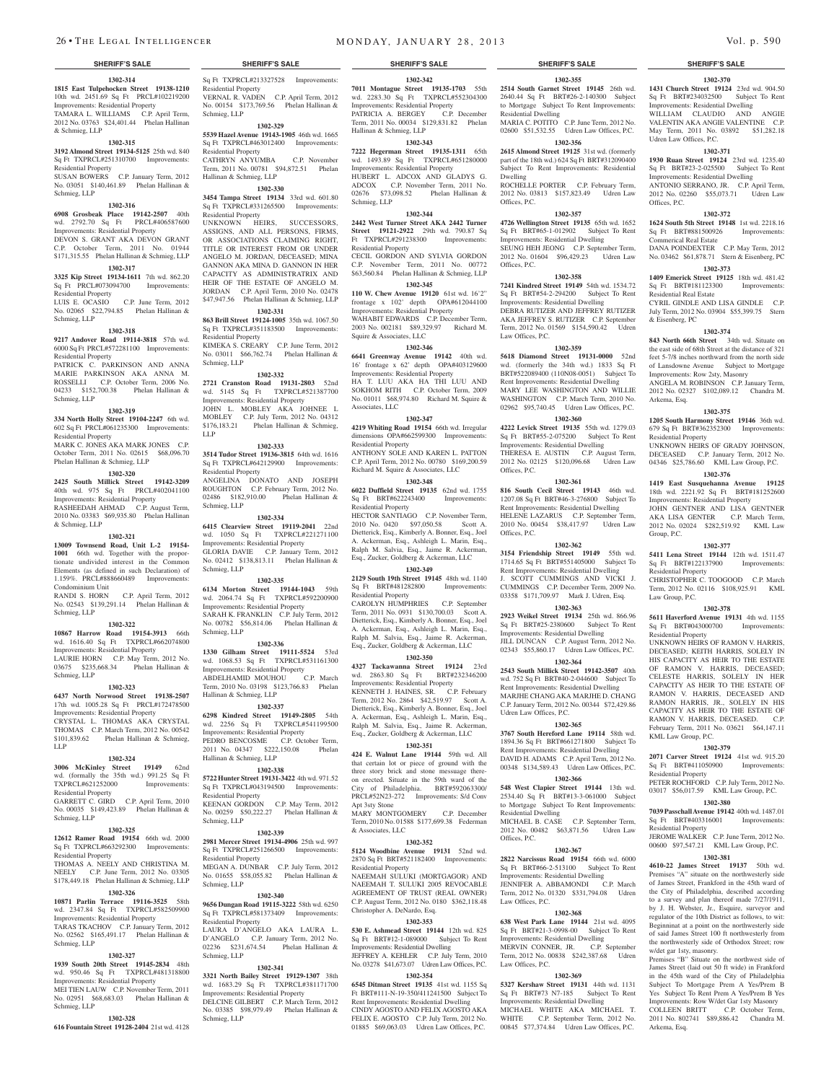**1302-314 1815 East Tulpehocken Street 19138-1210**  10th wd. 2451.69 Sq Ft PRCL#102219200 Improvements: Residential Property TAMARA L. WILLIAMS C.P. April Term, 2012 No. 03763 \$24,401.44 Phelan Hallinan & Schmieg, LLP

#### **1302-315**

**3192 Almond Street 19134-5125** 25th wd. 840 Sq Ft TXPRCL#251310700 Improvements: Residential Property

SUSAN BOWERS C.P. January Term, 2012 No. 03051 \$140,461.89 Phelan Hallinan & Schmieg, LLP

#### **1302-316**

**6908 Grosbeak Place 19142-2507** 40th wd. 2792.70 Sq Ft PRCL#406587600 Improvements: Residential Property

#### DEVON S. GRANT AKA DEVON GRANT C.P. October Term, 2011 No. 01944

\$171,315.55 Phelan Hallinan & Schmieg, LLP **1302-317**

# **3325 Kip Street 19134-1611** 7th wd. 862.20

Sq Ft PRCL#073094700 Improvements: Residential Property LUIS E. OCASIO C.P. June Term, 2012 No. 02065 \$22,794.85 Phelan Hallinan &

Schmieg, LLP

#### **1302-318**

**9217 Andover Road 19114-3818** 57th wd. 6000 Sq Ft PRCL#572281100 Improvements: Residential Property PATRICK C. PARKINSON AND ANNA MARIE PARKINSON AKA ANNA M. ROSSELLI C.P. October Term, 2006 No. 04233 \$152,700.38 Phelan Hallinan & Schmieg, LLP

#### **1302-319**

**334 North Holly Street 19104-2247** 6th wd. 602 Sq Ft PRCL#061235300 Improvements: Residential Property MARK C. JONES AKA MARK JONES C.P. October Term, 2011 No. 02615 \$68,096.70 Phelan Hallinan & Schmieg, LLP

#### **1302-320**

**2425 South Millick Street 19142-3209**  40th wd. 975 Sq Ft PRCL#402041100 Improvements: Residential Property RASHEEDAH AHMAD C.P. August Term, 2010 No. 03383 \$69,935.80 Phelan Hallinan

#### & Schmieg, LLP **1302-321**

**13009 Townsend Road, Unit L-2 19154- 1001** 66th wd. Together with the proportionate undivided interest in the Common Elements (as defined in such Declaration) of 1.159%. PRCL#888660489 Improvements: Condominium Unit RANDI S. HORN C.P. April Term, 2012 No. 02543 \$139,291.14 Phelan Hallinan & Schmieg, LLP

#### **1302-322**

**10867 Harrow Road 19154-3913** 66th wd. 1616.40 Sq Ft TXPRCL#662074800 Improvements: Residential Property LAURIE HORN C.P. May Term, 2012 No. 03675 \$235,668.34 Phelan Hallinan & Schmieg, LLP

#### **1302-323**

**6437 North Norwood Street 19138-2507**  17th wd. 1005.28 Sq Ft PRCL#172478500 Improvements: Residential Property CRYSTAL L. THOMAS AKA CRYSTAL THOMAS C.P. March Term, 2012 No. 00542 \$101,839.62 Phelan Hallinan & Schmieg, LLP

#### **1302-324**

**3006 McKinley Street 19149** 62nd wd. (formally the 35th wd.) 991.25 Sq Ft TXPRCL#621252000 Improvements: Residential Property

### GARRETT C. GIRD C.P. April Term, 2010 No. 00035 \$149,423.89 Phelan Hallinan &

# Schmieg, LLP

**1302-325 12612 Ramer Road 19154** 66th wd. 2000 Sq Ft TXPRCL#663292300 Improvements: Residential Property

THOMAS A. NEELY AND CHRISTINA M.<br>NEELY C.P. June Term. 2012 No. 03305 C.P. June Term, 2012 No. 03305 \$178,449.18 Phelan Hallinan & Schmieg, LLP

# **1302-326**

**10871 Parlin Terrace 19116-3525** wd. 2347.84 Sq Ft TXPRCL#582509900 Improvements: Residential Property TARAS TKACHOV C.P. January Term, 2012

# No. 02562 \$165,491.17 Phelan Hallinan & Schmieg, LLP

#### **1302-327**

**1939 South 20th Street 19145-2834** 48th wd. 950.46 Sq Ft TXPRCL#481318800 Improvements: Residential Property MEI TIEN LAUW C.P. November Term, 2011

### Schmieg, LLP **1302-328**

**616 Fountain Street 19128-2404** 21st wd. 4128

No. 02951 \$68,683.03 Phelan Hallinan &

Sq Ft TXPRCL#213327528 Improvements: Residential Property VERNAL R. VADEN C.P. April Term, 2012 No. 00154 \$173,769.56 Phelan Hallinan & Schmieg, LLP

#### **1302-329 5539 Hazel Avenue 19143-1905** 46th wd. 1665 Sq Ft TXPRCL#463012400 Improvements:

Residential Property CATHRYN ANYUMBA C.P. November Term, 2011 No. 00781 \$94,872.51 Phelan Hallinan & Schmieg, LLP

**1302-330 3454 Tampa Street 19134** 33rd wd. 601.80 Sq Ft TXPRCL#331265500 Improvements: Residential Property

UNKNOWN HEIRS, SUCCESSORS, ASSIGNS, AND ALL PERSONS, FIRMS, OR ASSOCIATIONS CLAIMING RIGHT, TITLE OR INTEREST FROM OR UNDER ANGELO M. JORDAN, DECEASED; MINA GANNON AKA MINA D. GANNON IN HER CAPACITY AS ADMINISTRATRIX AND HEIR OF THE ESTATE OF ANGELO M. JORDAN C.P. April Term, 2010 No. 02478 \$47,947.56 Phelan Hallinan & Schmieg, LLP **1302-331**

# **863 Brill Street 19124-1005** 35th wd. 1067.50

Sq Ft TXPRCL#351183500 Improvements: Residential Property KIMEKA S. CREARY C.P. June Term, 2012 No. 03011 \$66,762.74 Phelan Hallinan & Schmieg, LLP

**1302-332 2721 Cranston Road 19131-2803** 52nd wd. 5145 Sq Ft TXPRCL#521387700 Improvements: Residential Property JOHN L. MOBLEY AKA JOHNEE L MOBLEY C.P. July Term, 2012 No. 04312 \$176,183.21 Phelan Hallinan & Schmieg,

### **1302-333**

LLP

**3514 Tudor Street 19136-3815** 64th wd. 1616 Sq Ft TXPRCL#642129900 Improvements: Residential Property ANGELINA DONATO AND JOSEPH ROUGHTON C.P. February Term, 2012 No. 02486 \$182,910.00 Phelan Hallinan & Schmieg, LLP

#### **1302-334**

**6415 Clearview Street 19119-2041** 22nd wd. 1050 Sq Ft TXPRCL#221271100 Improvements: Residential Property GLORIA DAVIE C.P. January Term, 2012 No. 02412 \$138,813.11 Phelan Hallinan & Schmieg, LLP

#### **1302-335**

**6134 Morton Street 19144-1043** 59th wd. 2064.74 Sq Ft TXPRCL#592200900 Improvements: Residential Property SARAH K. FRANKLIN C.P. July Term, 2012 No. 00782 \$56,814.06 Phelan Hallinan & Schmieg, LLP

# **1302-336**

**1330 Gilham Street 19111-5524** 53rd wd. 1068.53 Sq Ft TXPRCL#531161300 Improvements: Residential Property ABDELHAMID MOUHOU C.P. March Term, 2010 No. 03198 \$123,766.83 Phelan Hallinan & Schmieg, LLP

#### **1302-337**

**6298 Kindred Street 19149-2805** 54th wd. 2256 Sq Ft TXPRCL#541199500 Improvements: Residential Property PEDRO BENCOSME C.P. October Term, 2011 No. 04347 \$222,150.08 Phelan Hallinan & Schmieg, LLP

#### **1302-338**

**5722 Hunter Street 19131-3422** 4th wd. 971.52 Sq Ft TXPRCL#043194500 Improvements: Residential Property KEENAN GORDON C.P. May Term, 2012 No. 00259 \$50,222.27 Phelan Hallinan & Schmieg, LLP

### **1302-339**

**2981 Mercer Street 19134-4906** 25th wd. 997 Sq Ft TXPRCL#251266500 Improvements: Residential Property MEGAN A. DUNBAR C.P. July Term, 2012 No. 01655 \$58,055.82 Phelan Hallinan & Schmieg, LLP

### **1302-340**

**9656 Dungan Road 19115-3222** 58th wd. 6250 Sq Ft TXPRCL#581373409 Improvements: Residential Property LAURA D'ANGELO AKA LAURA L.

D'ANGELO C.P. January Term, 2012 No. 02236 \$231,674.54 Phelan Hallinan & Schmieg, LLP

# **1302-341**

**3321 North Bailey Street 19129-1307** 38th wd. 1683.29 Sq Ft TXPRCL#381171700 Improvements: Residential Property DELCINE GILBERT C.P. March Term, 2012 No. 03385 \$98,979.49 Phelan Hallinan & Schmieg, LLP

#### **SHERIFF'S SALE SHERIFF'S SALE SHERIFF'S SALE SHERIFF'S SALE SHERIFF'S SALE**

**1302-355** 2640.44 Sq Ft BRT#26-2-140300 Subject to Mortgage Subject To Rent Improvements:

**1302-370 1431 Church Street 19124** 23rd wd. 904.50 Sq Ft BRT#234032500 Subject To Rent Improvements: Residential Dwelling WILLIAM CLAUDIO AND ANGIE VALENTIN AKA ANGIE VALENTINE C.P. May Term, 2011 No. 03892 \$51,282.18

**1302-371 1930 Ruan Street 19124** 23rd wd. 1235.40 Sq Ft BRT#23-2-025500 Subject To Rent Improvements: Residential Dwelling ANTONIO SERRANO, JR. C.P. April Term, 2012 No. 02260 \$55,073.71 Udren Law

**1302-372 1624 South 5th Street 19148** 1st wd. 2218.16 Sq Ft BRT#881500926 Improvements:

DANA POINDEXTER C.P. May Term, 2012 No. 03462 \$61,878.71 Stern & Eisenberg, PC **1302-373 1409 Emerick Street 19125** 18th wd. 481.42 Sq Ft BRT#181123300 Improvements:

CYRIL GINDLE AND LISA GINDLE C.P. July Term, 2012 No. 03904 \$55,399.75 Stern

**1302-374 843 North 66th Street** 34th wd. Situate on the east side of 68th Street at the distance of 321 feet 5-7/8 inches northward from the north side of Lansdowne Avenue Subject to Mortgage Improvements: Row 2sty, Masonry ANGELA M. ROBINSON C.P. January Term, 2012 No. 02327 \$102,089.12 Chandra M.

**1302-375 1205 South Harmony Street 19146** 36th wd. 679 Sq Ft BRT#362352300 Improvements:

UNKNOWN HEIRS OF GRADY JOHNSON, DECEASED C.P. January Term, 2012 No. 04346 \$25,786.60 KML Law Group, P.C. **1302-376 1419 East Susquehanna Avenue 19125**  18th wd. 2221.92 Sq Ft BRT#181252600 Improvements: Residential Property JOHN GENTNER AND LISA GENTNER AKA LISA GENTER C.P. March Term, 2012 No. 02024 \$282,519.92 KML Law

**1302-377 5411 Lena Street 19144** 12th wd. 1511.47 Sq Ft BRT#122137900 Improvements:

CHRISTOPHER C. TOOGOOD C.P. March Term, 2012 No. 02116 \$108,925.91 KML

**1302-378 5611 Haverford Avenue 19131** 4th wd. 1155 Sq Ft BRT#043000700 Improvements:

UNKNOWN HEIRS OF RAMON V. HARRIS, DECEASED; KEITH HARRIS, SOLELY IN HIS CAPACITY AS HEIR TO THE ESTATE OF RAMON V. HARRIS, DECEASED; CELESTE HARRIS, SOLELY IN HER CAPACITY AS HEIR TO THE ESTATE OF RAMON V. HARRIS, DECEASED AND RAMON HARRIS, JR., SOLELY IN HIS CAPACITY AS HEIR TO THE ESTATE OF RAMON V. HARRIS, DECEASED. C.P. February Term, 2011 No. 03621 \$64,147.11

**1302-379 2071 Carver Street 19124** 41st wd. 915.20 Sq Ft BRT#411050900 Improvements:

PETER ROCHFORD C.P. July Term, 2012 No. 03017 \$56,017.59 KML Law Group, P.C. **1302-380 7039 Passchall Avenue 19142** 40th wd. 1487.01 Sq Ft BRT#403316001 Improvements:

JEROME WALKER C.P. June Term, 2012 No. 00600 \$97,547.21 KML Law Group, P.C. **1302-381 4610-22 James Street 19137** 50th wd. Premises "A" situate on the northwesterly side of James Street, Frankford in the 45th ward of the City of Philadelphia, described according to a survey and plan thereof made 7/27/1911 by J. H. Webster, Jr., Esquire, surveyor and regulator of the 10th District as follows, to wit: Beginninat at a point on the northwesterly side of said James Street 100 ft northwesterly from the northwesterly side of Orthodox Street; row

Premises "B" Situate on the northwest side of James Street (laid out 50 ft wide) in Frankford in the 45th ward of the City of Philadelphia Subject To Mortgage Prem A Yes/Prem B Yes Subject To Rent Prem A Yes/Prem B Yes Improvements: Row W/det Gar 1sty Masonry COLLEEN BRITT C.P. October Term, 2011 No. 802741 \$89,886.42 Chandra M.

Udren Law Offices, P.C.

Commerical Real Estate

Residential Real Estate

& Eisenberg, PC

Arkema, Esq.

Group, P.C.

Residential Property

Law Group, P.C.

Residential Property

KML Law Group, P.C.

Residential Property

Residential Property

w/det gar 1sty, masonry.

Arkema, Esq.

Residential Property

Offices, P.C.

MARIA C. POTITO C.P. June Term, 2012 No. 02600 \$51,532.55 Udren Law Offices, P.C. **1302-356 2615 Almond Street 19125** 31st wd. (formerly part of the 18th wd.) 624 Sq Ft BRT#312090400 Subject To Rent Improvements: Residential

ROCHELLE PORTER C.P. February Term, 2012 No. 03813 \$157,823.49 Udren Law

**1302-357 4726 Wellington Street 19135** 65th wd. 1652 Sq Ft BRT#65-1-012902 Subject To Rent Improvements: Residential Dwelling SEUNG HEH JEONG C.P. September Term, 2012 No. 01604 \$96,429.23 Udren Law

**1302-358 7241 Kindred Street 19149** 54th wd. 1534.72 Sq Ft BRT#54-2-294200 Subject To Rent Improvements: Residential Dwelling DEBRA RUTIZER AND JEFFREY RUTIZER AKA JEFFREY S. RUTIZER C.P. September Term, 2012 No. 01569 \$154,590.42 Udren

**1302-359 5618 Diamond Street 19131-0000** 52nd wd. (formerly the 34th wd.) 1833 Sq Ft BRT#522089400 (110N08-0051) Subject To Rent Improvements: Residential Dwelling MARY LEE WASHINGTON AND WILLIE WASHINGTON C.P. March Term, 2010 No. 02962 \$95,740.45 Udren Law Offices, P.C. **1302-360 4222 Levick Street 19135** 55th wd. 1279.03 Sq Ft BRT#55-2-075200 Subject To Rent Improvements: Residential Dwelling THERESA E. AUSTIN C.P. August Term, 2012 No. 02125 \$120,096.68 Udren Law

**1302-361 816 South Cecil Street 19143** 46th wd. 1207.08 Sq Ft BRT#46-3-276800 Subject To Rent Improvements: Residential Dwelling HELENE LAZARUS C.P. September Term, 2010 No. 00454 \$38,417.97 Udren Law

**1302-362 3154 Friendship Street 19149** 55th wd. 1714.65 Sq Ft BRT#551405000 Subject To Rent Improvements: Residential Dwelling J. SCOTT CUMMINGS AND VICKI J. CUMMINGS C.P. December Term, 2009 No. 03358 \$171,709.97 Mark J. Udren, Esq. **1302-363 2923 Weikel Street 19134** 25th wd. 866.96 Sq Ft BRT#25-2380600 Subject To Rent Improvements: Residential Dwelling JILL DUNCAN C.P. August Term, 2012 No. 02343 \$55,860.17 Udren Law Offices, P.C. **1302-364 2543 South Millick Street 19142-3507** 40th wd. 752 Sq Ft BRT#40-2-044600 Subject To Rent Improvements: Residential Dwelling MARJHE CHANG AKA MARJHE D. CHANG C.P. January Term, 2012 No. 00344 \$72,429.86

Residential Dwelling

Dwelling

Offices, P.C.

Offices, P.C.

Law Offices, P.C.

Offices, P.C.

Offices, P.C.

Udren Law Offices, P.C.

Residential Dwelling

Offices, P.C.

Law Offices, P.C.

Law Offices, P.C.

**1302-365 3767 South Hereford Lane 19114** 58th wd. 1894.36 Sq Ft BRT#661271800 Subject To Rent Improvements: Residential Dwelling DAVID H. ADAMS C.P. April Term, 2012 No. 00348 \$134,589.43 Udren Law Offices, P.C. **1302-366 548 West Clapier Street 19144** 13th wd. 2534.40 Sq Ft BRT#13-3-061000 Subject to Mortgage Subject To Rent Improvements:

MICHAEL B. CASE C.P. September Term, 2012 No. 00482 \$63,871.56 Udren Law

**1302-367 2822 Narcissus Road 19154** 66th wd. 6000 Sq Ft BRT#66-2-513100 Subject To Rent Improvements: Residential Dwelling JENNIFER A. ABBAMONDI C.P. March Term, 2012 No. 01320 \$331,794.08 Udren

**1302-368 638 West Park Lane 19144** 21st wd. 4095 Sq Ft BRT#21-3-0998-00 Subject To Rent Improvements: Residential Dwelling MERVIN CONNER, JR. C.P. September Term, 2012 No. 00838 \$242,387.68 Udren

**1302-369 5327 Kershaw Street 19131** 44th wd. 1131 Sq Ft BRT#73 N7-185 Subject To Rent Improvements: Residential Dwelling MICHAEL WHITE AKA MICHAEL T. WHITE C.P. September Term, 2012 No. 00845 \$77,374.84 Udren Law Offices, P.C.

**1302-342 7011 Montague Street 19135-1703** 55th **2514 South Garnet Street 19145** 26th wd. wd. 2283.30 Sq Ft TXPRCL#552304300 Improvements: Residential Property<br>PATRICIA A. BERGEY C.P. December PATRICIA A. BERGEY Term, 2011 No. 00034 \$129,831.82 Phelan Hallinan & Schmieg, LLP

#### **1302-343**

**7222 Hegerman Street 19135-1311** 65th wd. 1493.89 Sq Ft TXPRCL#651280000 Improvements: Residential Property HUBERT L. ADCOX AND GLADYS G. ADCOX C.P. November Term, 2011 No. 02676 \$73,098.52 Phelan Hallinan & Schmieg, LLP

#### **1302-344**

**2442 West Turner Street AKA 2442 Turner Street 19121-2922** 29th wd. 790.87 Sq Ft TXPRCL#291238300 Improvements: Residential Property CECIL GORDON AND SYLVIA GORDON

C.P. November Term, 2011 No. 00772 \$63,560.84 Phelan Hallinan & Schmieg, LLP

#### **1302-345**

**110 W. Chew Avenue 19120** 61st wd. 16'2" frontage x 102' depth OPA#612044100

Improvements: Residential Property WAHABIT EDWARDS C.P. December Term, 2003 No. 002181 \$89,329.97 Richard M.

Squire & Associates, LLC **1302-346**

**6641 Greenway Avenue 19142** 40th wd. 16' frontage x 62' depth OPA#403129600 Improvements: Residential Property HA T. LUU AKA HA THI LUU AND SOKHOM RITH C.P. October Term, 2009 No. 01011 \$68,974.80 Richard M. Squire & Associates, LLC

#### **1302-347**

**4219 Whiting Road 19154** 66th wd. Irregular dimensions OPA#662599300 Improvements: Residential Property

ANTHONY SOLE AND KAREN L. PATTON C.P. April Term, 2012 No. 00780 \$169,200.59 Richard M. Squire & Associates, LLC

# **1302-348**

**6022 Duffield Street 19135** 62nd wd. 1755 Sq Ft BRT#622243400 Improvements: Residential Property

HECTOR SANTIAGO C.P. November Term, 2010 No. 0420 \$97,050.58 Scott A. Dietterick, Esq., Kimberly A. Bonner, Esq., Joel A. Ackerman, Esq., Ashleigh L. Marin, Esq., Ralph M. Salvia, Esq., Jaime R. Ackerman, Esq., Zucker, Goldberg & Ackerman, LLC

#### **1302-349**

**2129 South 19th Street 19145** 48th wd. 1140 Sq Ft BRT#481282800 Residential Property

CAROLYN HUMPHRIES C.P. September Term, 2011 No. 0931 \$130,700.03 Scott A. Dietterick, Esq., Kimberly A. Bonner, Esq., Joel A. Ackerman, Esq., Ashleigh L. Marin, Esq., Ralph M. Salvia, Esq., Jaime R. Ackerman, Esq., Zucker, Goldberg & Ackerman, LLC

#### **1302-350**

**4327 Tackawanna Street 19124** 23rd wd. 2863.80 Sq Ft BRT#232346200 Improvements: Residential Property

KENNETH J. HAINES, SR. C.P. February Term, 2012 No. 2864 \$42,519.97 Scott A. Dietterick, Esq., Kimberly A. Bonner, Esq., Joel A. Ackerman, Esq., Ashleigh L. Marin, Esq., Ralph M. Salvia, Esq., Jaime R. Ackerman, Esq., Zucker, Goldberg & Ackerman, LLC

#### **1302-351**

**424 E. Walnut Lane 19144** 59th wd. All that certain lot or piece of ground with the three story brick and stone messuage thereon erected. Situate in the 59th ward of the City of Philadelphia. BRT#592063300/ PRCL#52N23-272 Improvements: S/d Conv Apt 3sty Stone

MARY MONTGOMERY C.P. December Term, 2010 No. 01588 \$177,699.38 Federman & Associates, LLC

#### **1302-352**

**5124 Woodbine Avenue 19131** 52nd wd. 2870 Sq Ft BRT#521182400 Improvements:

Residential Property NAEEMAH SULUKI (MORTGAGOR) AND NAEEMAH T. SULUKI 2005 REVOCABLE AGREEMENT OF TRUST (REAL OWNER) C.P. August Term, 2012 No. 0180 \$362,118.48 Christopher A. DeNardo, Esq.

#### **1302-353**

**530 E. Ashmead Street 19144** 12th wd. 825 Sq Ft BRT#12-1-089000 Subject To Rent Improvements: Residential Dwelling JEFFREY A. KEHLER C.P. July Term, 2010 No. 03278 \$41,673.07 Udren Law Offices, P.C. **1302-354**

Ft BRT#111-N-19-350/411241500 Subject To Rent Improvements: Residential Dwelling CINDY AGOSTO AND FELIX AGOSTO AKA FELIX E. AGOSTO C.P. July Term, 2012 No. 01885 \$69,063.03 Udren Law Offices, P.C.

# **6545 Ditman Street 19135** 41st wd. 1155 Sq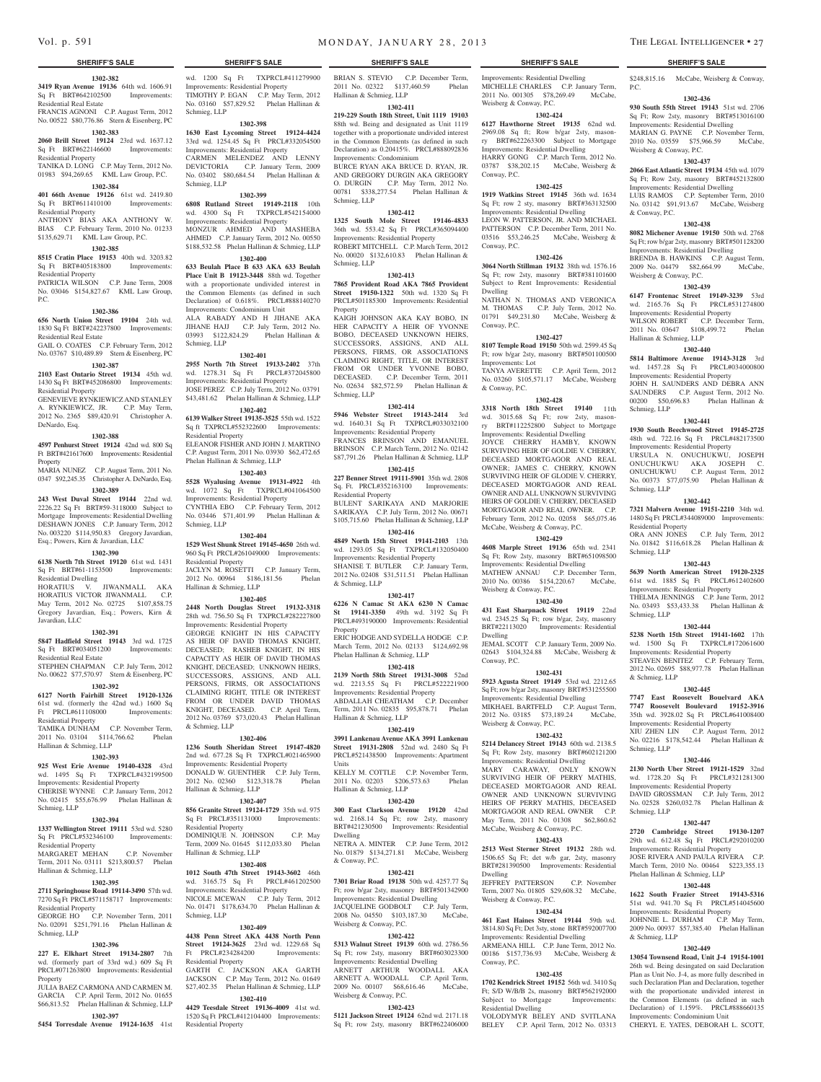#### **1302-382**

#### **3419 Ryan Avenue 19136** 64th wd. 1606.91 Sq Ft BRT#642102500 Improvements:

Residential Real Estate FRANCIS AGNONI C.P. August Term, 2012 No. 00522 \$80,776.86 Stern & Eisenberg, PC

# **1302-383**

**2060 Brill Street 19124** 23rd wd. 1637.12

#### Sq Ft BRT#622146600 Improvements: Residential Property TANIKA D. LONG C.P. May Term, 2012 No.

01983 \$94,269.65 KML Law Group, P.C.

# **1302-384**

**401 66th Avenue 19126** 61st wd. 2419.80 Sq Ft BRT#611410100 Improvements: Residential Property ANTHONY BIAS AKA ANTHONY W.

# BIAS C.P. February Term, 2010 No. 01233 \$135,629.71 KML Law Group, P.C. **1302-385**

**8515 Cratin Place 19153** 40th wd. 3203.82 Sq Ft BRT#405183800 Improvements: Residential Property

PATRICIA WILSON C.P. June Term, 2008 No. 03046 \$154,827.67 KML Law Group,  $PC$ .

#### **1302-386**

**656 North Union Street 19104** 24th wd.

1830 Sq Ft BRT#242237800 Improvements: Residential Real Estate GAIL O. COATES C.P. February Term, 2012 No. 03767 \$10,489.89 Stern & Eisenberg, PC

**1302-387 2103 East Ontario Street 19134** 45th wd. 1430 Sq Ft BRT#452086800 Improvements: Residential Property GENEVIEVE RYNKIEWICZ AND STANLEY

A. RYNKIEWICZ, JR. C.P. May Term, 2012 No. 2365 \$89,420.91 Christopher A. DeNardo, Esq.

#### **1302-388**

**4597 Penhurst Street 19124** 42nd wd. 800 Sq Ft BRT#421617600 Improvements: Residential Property

MARIA NUNEZ C.P. August Term, 2011 No. 0347 \$92,245.35 Christopher A. DeNardo, Esq. **1302-389**

**243 West Duval Street 19144** 22nd wd. 2226.22 Sq Ft BRT#59-3118000 Subject to Mortgage Improvements: Residential Dwelling DESHAWN JONES C.P. January Term, 2012 No. 003220 \$114,950.83 Gregory Javardian, Esq.; Powers, Kirn & Javardian, LLC

### **1302-390**

**6138 North 7th Street 19120** 61st wd. 1431 Sq Ft BRT#61-1153500 Improvements: Residential Dwelling

HORATIUS V. JIWANMALL AKA HORATIUS VICTOR JIWANMALL C.P. May Term, 2012 No. 02725 \$107,858.75 Gregory Javardian, Esq.; Powers, Kirn & Javardian, LLC

# **1302-391**

**5847 Hadfield Street 19143** 3rd wd. 1725 Sq Ft BRT#034051200 Improvements: Residential Real Estate STEPHEN CHAPMAN C.P. July Term, 2012

No. 00622 \$77,570.97 Stern & Eisenberg, PC **1302-392**

#### **6127 North Fairhill Street 19120-1326**

61st wd. (formerly the 42nd wd.) 1600 Sq Ft PRCL#611108000 Improvements: Residential Property

TAMIKA DUNHAM C.P. November Term, 2011 No. 03104 \$114,766.62 Phelan Hallinan & Schmieg, LLP

## **1302-393**

**925 West Erie Avenue 19140-4328** 43rd

# wd. 1495 Sq Ft TXPRCL#432199500

Improvements: Residential Property CHERISE WYNNE C.P. January Term, 2012 No. 02415 \$55,676.99 Phelan Hallinan & Schmieg, LLP

#### **1302-394**

**1337 Wellington Street 19111** 53rd wd. 5280 Sq Ft PRCL#532346100 Improvements: Residential Property

#### MARGARET MEHAN C.P. November Term, 2011 No. 03111 \$213,800.57 Phelan Hallinan & Schmieg, LLP

#### **1302-395**

**2711 Springhouse Road 19114-3490** 57th wd. 7270 Sq Ft PRCL#571158717 Improvements:

Residential Property GEORGE HO C.P. November Term, 2011 No. 02091 \$251,791.16 Phelan Hallinan &

#### **1302-396**

Schmieg, LLP

**227 E. Elkhart Street 19134-2807** 7th wd. (formerly part of 33rd wd.) 609 Sq Ft PRCL#071263800 Improvements: Residential Property

JULIA BAEZ CARMONA AND CARMEN M. GARCIA C.P. April Term, 2012 No. 01655 \$66,813.52 Phelan Hallinan & Schmieg, LLP **1302-397**

**5454 Torresdale Avenue 19124-1635** 41st

wd. 1200 Sq Ft TXPRCL#411279900 BRIAN S. STEVIO C.P. December Term, Improvements: Residential Property TIMOTHY P. EGAN C.P. May Term, 2012 No. 03160 \$57,829.52 Phelan Hallinan & Schmieg, LLP

#### **1302-398**

**1630 East Lycoming Street 19124-4424**  33rd wd. 1254.45 Sq Ft PRCL#332054500 Improvements: Residential Property CARMEN MELENDEZ AND LENNY DEVICTORIA C.P. January Term, 2009 No. 03402 \$80,684.54 Phelan Hallinan & Schmieg, LLP

## **1302-399**

**6808 Rutland Street 19149-2118** 10th wd. 4300 Sq Ft TXPRCL#542154000 Improvements: Residential Property

MONZUR AHMED AND MASHEBA AHMED C.P. January Term, 2012 No. 00550 \$188,532.58 Phelan Hallinan & Schmieg, LLP **1302-400**

#### **633 Beulah Place B 633 AKA 633 Beulah**

**Place Unit B 19123-3448** 88th wd. Together with a proportionate undivided interest in the Common Elements (as defined in such Declaration) of 0.618%. PRCL#888140270 Improvements: Condominium Unit ALA RABADY AND H JIHANE AKA JIHANE HAJJ C.P. July Term, 2012 No. 03993 \$122,824.29 Phelan Hallinan & Schmieg, LLP

#### **1302-401**

**2955 North 7th Street 19133-2402** 37th wd. 1278.31 Sq Ft PRCL#372045800 Improvements: Residential Property JOSE PEREZ C.P. July Term, 2012 No. 03791 \$43,481.62 Phelan Hallinan & Schmieg, LLP

#### **1302-402**

**6139 Walker Street 19135-3525** 55th wd. 1522 Sq ft TXPRCL#552322600 Improvements: Residential Property ELEANOR FISHER AND JOHN J. MARTINO C.P. August Term, 2011 No. 03930 \$62,472.65

# Phelan Hallinan & Schmieg, LLP

**1302-403 5528 Wyalusing Avenue 19131-4922** 4th wd. 1072 Sq Ft TXPRCL#041064500 Improvements: Residential Property CYNTHIA EBO C.P. February Term, 2012 No. 03446 \$71,401.99 Phelan Hallinan & Schmieg, LLP

#### **1302-404**

**1529 West Shunk Street 19145-4650** 26th wd. 960 Sq Ft PRCL#261049000 Improvements: Residential Property JACLYN M. ROSETTI C.P. January Term, 2012 No. 00964 \$186,181.56 Phelan Hallinan & Schmieg, LLP

**1302-405 2448 North Douglas Street 19132-3318**  28th wd. 756.50 Sq Ft TXPRCL#282227800 Improvements: Residential Property GEORGE KNIGHT IN HIS CAPACITY AS HEIR OF DAVID THOMAS KNIGHT, DECEASED; RASHEB KNIGHT, IN HIS CAPACITY AS HEIR OF DAVID THOMAS KNIGHT, DECEASED; UNKNOWN HEIRS, SUCCESSORS, ASSIGNS, AND ALL PERSONS, FIRMS, OR ASSOCIATIONS CLAIMING RIGHT, TITLE OR INTEREST FROM OR UNDER DAVID THOMAS KNIGHT, DECEASED. C.P. April Term, 2012 No. 03769 \$73,020.43 Phelan Hallinan

#### **1302-406**

& Schmieg, LLP

#### **1236 South Sheridan Street 19147-4820**  2nd wd. 677.28 Sq Ft TXPRCL#021465900

Improvements: Residential Property DONALD W. GUENTHER C.P. July Term, 2012 No. 02360 \$123,318.78 Phelan Hallinan & Schmieg, LLP

### **1302-407**

**856 Granite Street 19124-1729** 35th wd. 975 Sq Ft PRCL#351131000 Improvements: Residential Property DOMINIQUE N. JOHNSON C.P. May Term, 2009 No. 01645 \$112,033.80 Phelan Hallinan & Schmieg, LLP

#### **1302-408**

**1012 South 47th Street 19143-3602** 46th wd. 3165.75 Sq Ft PRCL#461202500 Improvements: Residential Property NICOLE MCEWAN C.P. July Term No. 01471 \$178,634.70 Phelan Hallinan & Schmieg, LLP

#### **1302-409**

**4438 Penn Street AKA 4438 North Penn Street 19124-3625** 23rd wd. 1229.68 Sq Ft PRCL#234284200 Improvements: Residential Property

GARTH C. JACKSON AKA GARTH JACKSON C.P. May Term, 2012 No. 01649 \$27,402.35 Phelan Hallinan & Schmieg, LLP **1302-410**

**4429 Teesdale Street 19136-4009** 41st wd. 1520 Sq Ft PRCL#412104400 Improvements: Residential Property

2011 No. 02322 \$137,460.59 Phelan Hallinan & Schmieg, LLP

Improvements: Residential Dwelling MICHELLE CHARLES C.P. January Term, 2011 No. 001305 \$78,269.49 McCabe,

**1302-424 6127 Hawthorne Street 19135** 62nd wd. 2969.08 Sq ft; Row b/gar 2sty, masonry BRT#622263300 Subject to Mortgage Improvements: Residential Dwelling HARRY GONG C.P. March Term, 2012 No. 03787 \$38,202.15 McCabe, Weisberg & \$248,815.16 McCabe, Weisberg & Conway,

**1302-436 930 South 55th Street 19143** 51st wd. 2706 Sq Ft; Row 2sty, masonry BRT#513016100 Improvements: Residential Dwelling MARIAN G. PAYNE C.P. November Term, 2010 No. 03559 \$75,966.59 McCabe,

**1302-437 2066 East Atlantic Street 19134** 45th wd. 1079 Sq Ft; Row 2sty, masonry BRT#452132800 Improvements: Residential Dwelling LUIS RAMOS C.P. September Term, 2010 No. 03142 \$91,913.67 McCabe, Weisberg

**1302-438 8082 Michener Avenue 19150** 50th wd. 2768 Sq Ft; row b/gar 2sty, masonry BRT#501128200 Improvements: Residential Dwelling BRENDA B. HAWKINS C.P. August Term, 2009 No. 04479 \$82,664.99 McCabe,

**1302-439 6147 Frontenac Street 19149-3239** 53rd wd. 2165.76 Sq Ft PRCL#531274800 Improvements: Residential Property WILSON ROBERT C.P. December Term, 2011 No. 03647 \$108,499.72 Phelan

**1302-440 5814 Baltimore Avenue 19143-3128** 3rd wd. 1457.28 Sq Ft PRCL#034000800 Improvements: Residential Property JOHN H. SAUNDERS AND DEBRA ANN SAUNDERS C.P. August Term, 2012 No. 00200 \$50,696.83 Phelan Hallinan &

**1302-441 1930 South Beechwood Street 19145-2725**  48th wd. 722.16 Sq Ft PRCL#482173500 Improvements: Residential Property URSULA N. ONUCHUKWU, JOSEPH ONUCHUKWU AKA JOSEPH C. ONUCHUKWU C.P. August Term, 2012 No. 00373 \$77,075.90 Phelan Hallinan &

**1302-442 7321 Malvern Avenue 19151-2210** 34th wd. 1480 Sq Ft PRCL#344089000 Improvements:

ORA ANN JONES C.P. July Term, 2012 No. 01842 \$116,618.28 Phelan Hallinan &

**1302-443 5639 North American Street 19120-2325**  61st wd. 1885 Sq Ft PRCL#612402600 Improvements: Residential Property THELMA JENNINGS C.P. June Term, 2012 No. 03493 \$53,433.38 Phelan Hallinan &

**1302-444 5238 North 15th Street 19141-1602** 17th wd. 1500 Sq Ft TXPRCL#172061600 Improvements: Residential Property STEAVEN BENITEZ C.P. February Term, 2012 No. 02695 \$88,977.78 Phelan Hallinan

**1302-445 7747 East Roosevelt Bouelvard AKA 7747 Roosevelt Boulevard 19152-3916**  35th wd. 3928.02 Sq Ft PRCL#641008400 Improvements: Residential Property XIU ZHEN LIN C.P. August Term, 2012 No. 02216 \$178,542.44 Phelan Hallinan &

**1302-446 2130 North Uber Street 19121-1529** 32nd wd. 1728.20 Sq Ft PRCL#321281300 Improvements: Residential Property DAVID GROSSMAN C.P. July Term, 2012 No. 02528 \$260,032.78 Phelan Hallinan &

**1302-447 2720 Cambridge Street 19130-1207**  29th wd. 612.48 Sq Ft PRCL#292010200 Improvements: Residential Property JOSE RIVERA AND PAULA RIVERA C.P. March Term, 2010 No. 00464 \$223,355.13

**1302-449 13054 Townsend Road, Unit J-4 19154-1001**  26th wd. Being desingated on said Declaration Plan as Unit No. J-4, as more fully described in such Declaration Plan and Declaration, together with the proportionate undivided interest in the Common Elements (as defined in such Declaration) of 1.159%. PRCL#888660135 Improvements: Condominium Unit CHERYL E. YATES, DEBORAH L. SCOTT,

Phelan Hallinan & Schmieg, LLP **1302-448 1622 South Frazier Street 19143-5316**  51st wd. 941.70 Sq Ft PRCL#514045600 Improvements: Residential Property JOHNNIE L. DURHAM C.P. May Term, 2009 No. 00937 \$57,385.40 Phelan Hallinan

Weisberg & Conway, P.C.

Weisberg & Conway, P.C.

Hallinan & Schmieg, LLP

Schmieg, LLP

Schmieg, LLP

Residential Property

Schmieg, LLP

Schmieg, LLP

& Schmieg, LLP

Schmieg, LLP

Schmieg, LLP

& Schmieg, LLP

& Conway, P.C.

P.C.

**1302-425 1919 Watkins Street 19145** 36th wd. 1634 Sq Ft; row 2 sty, masonry BRT#363132500 Improvements: Residential Dwelling LEON W. PATTERSON, JR. AND MICHAEL PATTERSON C.P. December Term, 2011 No. 03516 \$53,246.25 McCabe, Weisberg &

**1302-426 3064 North Stillman 19132** 38th wd. 1576.16 Sq Ft; row 2sty, masonry BRT#381101600 Subject to Rent Improvements: Residential

NATHAN N. THOMAS AND VERONICA M. THOMAS C.P. July Term, 2012 No. 01791 \$49,231.80 McCabe, Weisberg &

**1302-427 8107 Temple Road 19150** 50th wd. 2599.45 Sq Ft; row b/gar 2sty, masonry BRT#501100500

TANYA AVERETTE C.P. April Term, 2012 No. 03260 \$105,571.17 McCabe, Weisberg

**1302-428 3318 North 18th Street 19140** 11th wd. 3015.68 Sq Ft; row 2sty, masonry BRT#112252800 Subject to Mortgage Improvements: Residential Dwelling JOYCE CHERRY HAMBY, KNOWN SURVIVING HEIR OF GOLDIE V. CHERRY, DECEASED MORTGAGOR AND REAL OWNER; JAMES C. CHERRY, KNOWN SURVIVING HEIR OF GLODIE V. CHERRY, DECEASED MORTGAGOR AND REAL OWNER AND ALL UNKNOWN SURVIVING HEIRS OF GOLDIE V. CHERRY, DECEASED MORTGAGOR AND REAL OWNER. C.P. February Term, 2012 No. 02058 \$65,075.46 McCabe, Weisberg & Conway, P.C. **1302-429 4608 Marple Street 19136** 65th wd. 2341 Sq Ft; Row 2sty, masonry BRT#651098500 Improvements: Residential Dwelling MATHEW ANNAU C.P. December Term, 2010 No. 00386 \$154,220.67 McCabe,

Weisberg & Conway, P.C.

Conway, P.C.

Conway, P.C.

Dwelling

Conway, P.C.

Improvements: Lot

& Conway, P.C.

Weisberg & Conway, P.C.

Weisberg & Conway, P.C.

Dwelling

Dwelling

Conway, P.C.

Weisberg & Conway, P.C.

Subject to Mortgage Residential Dwelling

Conway, P.C.

**1302-430 431 East Sharpnack Street 19119** 22nd wd. 2345.25 Sq Ft; row b/gar, 2sty, masonry BRT#22113020 Improvements: Residential

JEMAL SCOTT C.P. January Term, 2009 No. 02643 \$104,324.88 McCabe, Weisberg &

**1302-431 5923 Agusta Street 19149** 53rd wd. 2212.65 Sq Ft; row b/gar 2sty, masonry BRT#531255500 Improvements: Residential Dwelling MIKHAEL BARTFELD C.P. August Term, 2012 No. 03185 \$73,189.24 McCabe,

**1302-432 5214 Delancey Street 19143** 60th wd. 2138.5 Sq Ft; Row 2sty, masonry BRT#602121200 Improvements: Residential Dwelling MARY CARAWAY, ONLY KNOWN SURVIVING HEIR OF PERRY MATHIS, DECEASED MORTGAGOR AND REAL OWNER AND UNKNOWN SURVIVING HEIRS OF PERRY MATHIS, DECEASED MORTGAGOR AND REAL OWNER C.P. May Term, 2011 No. 01308 \$62,860.62 McCabe, Weisberg & Conway, P.C. **1302-433 2513 West Sterner Street 19132** 28th wd. 1506.65 Sq Ft; det w/b gar, 2sty, masonry BRT#281390500 Improvements: Residential

JEFFREY PATTERSON C.P. November Term, 2007 No. 01805 \$29,608.32 McCabe,

**1302-434 461 East Haines Street 19144** 59th wd. 3814.80 Sq Ft; Det 3sty, stone BRT#592007700 Improvements: Residential Dwelling ARMEANA HILL C.P. June Term, 2012 No. 00186 \$157,736.93 McCabe, Weisberg &

**1302-435 1702 Kendrick Street 19152** 56th wd. 3410 Sq Ft; S/D W/B/B 2s, masonry BRT#562192000<br>Subject to Mortgage Improvements:

VOLODYMYR BELEY AND SVITLANA BELEY C.P. April Term, 2012 No. 03313

#### **1302-411**

**219-229 South 18th Street, Unit 1119 19103**  88th wd. Being and designated as Unit 1119 together with a proportionate undivided interest in the Common Elements (as defined in such Declaration) as 0.20415%. PRCL#888092836 Improvements: Condominium BURCE RYAN AKA BRUCE D. RYAN, JR. AND GREGORY DURGIN AKA GREGORY O. DURGIN C.P. May Term, 2012 No. 00781 \$338,277.54 Phelan Hallinan & Schmieg, LLP

#### **1302-412**

**1325 South Mole Street 19146-4833**  36th wd. 553.42 Sq Ft PRCL#365094400 Improvements: Residential Property ROBERT MITCHELL C.P. March Term, 2012 No. 00020 \$132,610.83 Phelan Hallinan & Schmieg, LLP

#### **1302-413**

**7865 Provident Road AKA 7865 Provident Street 19150-1322** 50th wd. 1320 Sq Ft PRCL#501185300 Improvements: Residential Property

KAIGH JOHNSON AKA KAY BOBO, IN HER CAPACITY A HEIR OF YVONNE BOBO, DECEASED UNKNOWN HEIRS, SUCCESSORS, ASSIGNS, AND ALL PERSONS, FIRMS, OR ASSOCIATIONS CLAIMING RIGHT, TITLE, OR INTEREST FROM OR UNDER YVONNE BOBO, DECEASED. C.P. December Term, 2011 No. 02634 \$82,572.59 Phelan Hallinan & Schmieg, LLP

# **1302-414**

**5946 Webster Street 19143-2414** 3rd wd. 1640.31 Sq Ft TXPRCL#033032100 Improvements: Residential Property FRANCES BRINSON AND EMANUEL BRINSON C.P. March Term, 2012 No. 02142 \$87,791.26 Phelan Hallinan & Schmieg, LLP

# **1302-415**

**227 Benner Street 19111-5901** 35th wd. 2808 Sq. Ft. PRCL#352163100 Improvements: Residential Property BULENT SARIKAYA AND MARJORIE SARIKAYA C.P. July Term, 2012 No. 00671 \$105,715.60 Phelan Hallinan & Schmieg, LLP

# **1302-416**

**4849 North 15th Street 19141-2103** 13th wd. 1293.05 Sq Ft TXPRCL#132050400 Improvements: Residential Property SHANISE T. BUTLER C.P. January Term, 2012 No. 02408 \$31,511.51 Phelan Hallinan

### & Schmieg, LLP **1302-417**

**6226 N Camac St AKA 6230 N Camac St 19141-3350** 49th wd. 3192 Sq Ft PRCL#493190000 Improvements: Residential Property ERIC HODGE AND SYDELLA HODGE C.P. March Term, 2012 No. 02133 \$124,692.98 Phelan Hallinan & Schmieg, LLP

**1302-418 2139 North 58th Street 19131-3008** 52nd wd. 2213.55 Sq Ft PRCL#522221900 Improvements: Residential Property ABDALLAH CHEATHAM C.P. December

Term, 2011 No. 02835 \$95,878.71 Phelan Hallinan & Schmieg, LLP **1302-419**

#### **3991 Lankenau Avenue AKA 3991 Lankenau Street 19131-2808** 52nd wd. 2480 Sq Ft PRCL#521438500 Improvements: Apartment

Units KELLY M. COTTLE C.P. November Term, 2011 No. 02203 \$206,573.63 Phelan Hallinan & Schmieg, LLP

**300 East Clarkson Avenue 19120** 42nd wd. 2168.14 Sq Ft; row 2sty, masonry BRT#421230500 Improvements: Residential

NETRA A. MINTER C.P. June Term, 2012 No. 01879 \$134,271.81 McCabe, Weisberg

**1302-421 7301 Briar Road 19138** 50th wd. 4257.77 Sq Ft; row b/gar 2sty, masonry BRT#501342900 Improvements: Residential Dwelling JACQUELINE GODBOLT C.P. July Term, 2008 No. 04550 \$103,187.30 McCabe,

**1302-422 5313 Walnut Street 19139** 60th wd. 2786.56 Sq Ft; row 2sty, masonry BRT#603023300 Improvements: Residential Dwelling ARNETT ARTHUR WOODALL AKA ARNETT A. WOODALL C.P. April Term, 2009 No. 00107 \$68,616.46 McCabe,

**1302-423 5121 Jackson Street 19124** 62nd wd. 2171.18 Sq Ft; row 2sty, masonry BRT#622406000

# **1302-420**

Dwelling

& Conway, P.C.

Weisberg & Conway, P.C.

Weisberg & Conway, P.C.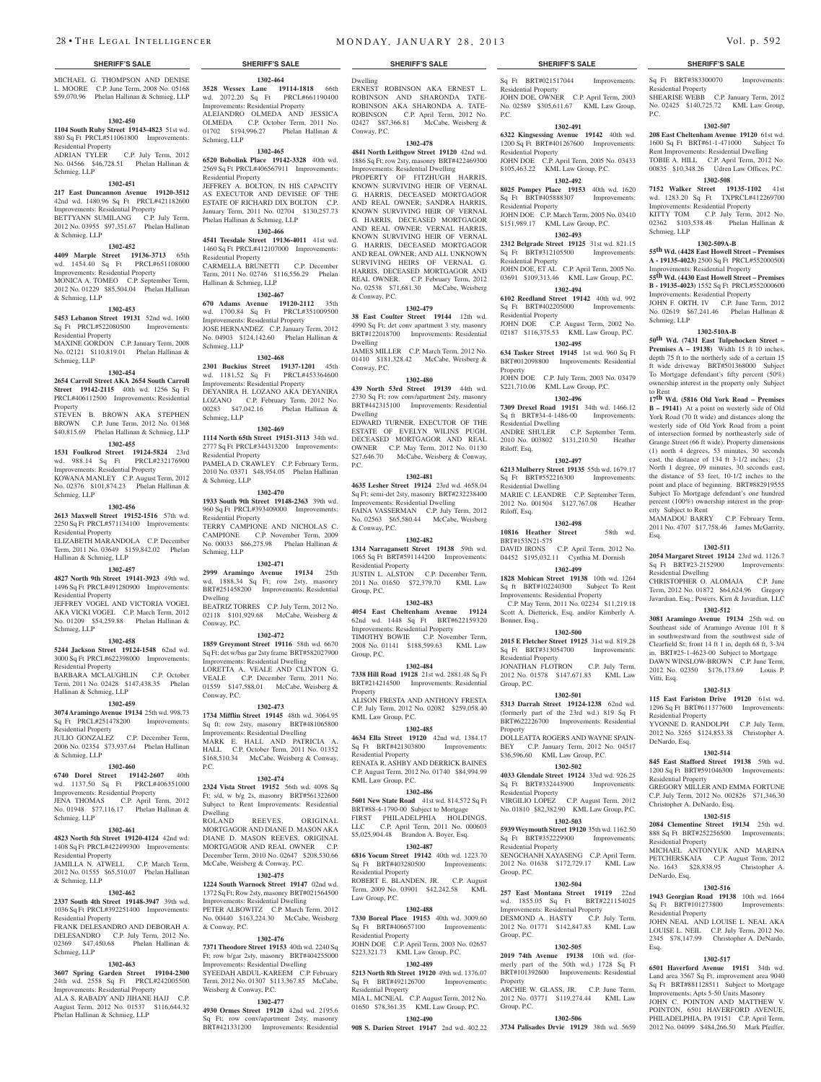MICHAEL G. THOMPSON AND DENISE L. MOORE C.P. June Term, 2008 No. 05168 \$59,070.96 Phelan Hallinan & Schmieg, LLP

#### **1302-450**

**1104 South Ruby Street 19143-4823** 51st wd. 880 Sq Ft PRCL#511061800 Improvements: Residential Property

ADRIAN TYLER C.P. July Term, 2012 No. 04566 \$46,728.51 Phelan Hallinan & Schmieg, LLP

# **1302-451**

**217 East Duncannon Avenue 19120-3512**  42nd wd. 1480.96 Sq Ft PRCL#421182600 Improvements: Residential Property BETTYANN SUMILANG C.P. July Term, 2012 No. 03955 \$97,351.67 Phelan Hallinan & Schmieg, LLP

# **1302-452**

**4409 Marple Street 19136-3713** 65th wd. 1454.40 Sq Ft PRCL#651108000 Improvements: Residential Property MONICA A. TOMEO C.P. September Term, 2012 No. 01229 \$85,504.04 Phelan Hallinan & Schmieg, LLP

**1302-453**

#### **5453 Lebanon Street 19131** 52nd wd. 1600 Sq Ft PRCL#522080500 Improvements: Residential Property MAXINE GORDON C.P. January Term, 2008

No. 02121 \$110,819.01 Phelan Hallinan & Schmieg, LLP

### **1302-454**

**2654 Carroll Street AKA 2654 South Carroll Street 19142-2115** 40th wd. 1256 Sq Ft PRCL#406112500 Improvements: Residential Property

STEVEN B. BROWN AKA STEPHEN BROWN C.P. June Term, 2012 No. 01368 \$40,815.69 Phelan Hallinan & Schmieg, LLP

#### **1302-455**

**1531 Foulkrod Street 19124-5824** 23rd wd. 988.14 Sq Ft PRCL#232176900 Improvements: Residential Property KOWANA MANLEY C.P. August Term, 2012 No. 02376 \$101,874.23 Phelan Hallinan & Schmieg, LLP

#### **1302-456**

**2613 Maxwell Street 19152-1516** 57th wd. 2250 Sq Ft PRCL#571134100 Improvements: Residential Property ELIZABETH MARANDOLA C.P. December Term, 2011 No. 03649 \$159,842.02 Phelan

#### Hallinan & Schmieg, LLP **1302-457**

**4827 North 9th Street 19141-3923** 49th wd. 1496 Sq Ft PRCL#491280900 Improvements:

Residential Property JEFFREY VOGEL AND VICTORIA VOGEL AKA VICKI VOGEL C.P. March Term, 2012 No. 01209 \$54,259.88 Phelan Hallinan & Schmieg, LLP

#### **1302-458**

**5244 Jackson Street 19124-1548** 62nd wd. 3000 Sq Ft PRCL#622398000 Improvements: Residential Property

BARBARA MCLAUGHLIN C.P. October Term, 2011 No. 02428 \$147,438.35 Phelan Hallinan & Schmieg, LLP

#### **1302-459**

**3074 Aramingo Avenue 19134** 25th wd. 998.73 Sq Ft PRCL#251478200 Improvements: Residential Property JULIO GONZALEZ C.P. December Term,

2006 No. 02354 \$73,937.64 Phelan Hallinan & Schmieg, LLP **1302-460**

#### **6740 Dorel Street 19142-2607** 40th

wd. 1137.50 Sq Ft PRCL#406351000 Improvements: Residential Property JENA THOMAS C.P. April Term, 2012 No. 01948 \$77,116.17 Phelan Hallinan &

# **1302-461**

Schmieg, LLP

**4823 North 5th Street 19120-4124** 42nd wd. 1408 Sq Ft PRCL#422499300 Improvements:

Residential Property JAMILLA N. ATWELL C.P. March Term, 2012 No. 01555 \$65,510.07 Phelan Hallinan & Schmieg, LLP

#### **1302-462**

**2337 South 4th Street 19148-3947** 39th wd. 1036 Sq Ft PRCL#392251400 Improvements: Residential Property FRANK DELESANDRO AND DEBORAH A.

DELESANDRO C.P. July Term, 2012 No.<br>02369 \$47,450.68 Phelan Hallinan & 02369 \$47,450.68 Schmieg, LLP

#### **1302-463**

**3607 Spring Garden Street 19104-2300**  24th wd. 2558 Sq Ft PRCL#242005500 Improvements: Residential Property ALA S. RABADY AND JIHANE HAJJ C.P. August Term, 2012 No. 01537 \$116,644.32 Phelan Hallinan & Schmieg, LLP

**1302-464 3528 Wessex Lane 19114-1818** 66th wd. 2072.20 Sq Ft PRCL#661190400 Improvements: Residential Property ALEJANDRO OLMEDA AND JESSICA OLMEDA C.P. October Term, 2011 No. 01702 \$194,996.27 Phelan Hallinan & Schmieg, LLP

#### **1302-465**

**6520 Bobolink Place 19142-3328** 40th wd. 2569 Sq Ft PRCL#406567911 Improvements: Residential Property JEFFREY A. BOLTON, IN HIS CAPACITY AS EXECUTOR AND DEVISEE OF THE ESTATE OF RICHARD DIX BOLTON C.P. January Term, 2011 No. 02704 \$130,257.73

# Phelan Hallinan & Schmieg, LLP

**1302-466 4541 Teesdale Street 19136-4011** 41st wd. 1460 Sq Ft PRCL#412107000 Improvements: Residential Property CARMELLA BRUNETTI C.P. December Term, 2011 No. 02746 \$116,556.29 Phelan Hallinan & Schmieg, LLP

#### **1302-467**

**670 Adams Avenue 19120-2112** 35th wd. 1700.84 Sq Ft PRCL#351009500 Improvements: Residential Property JOSE HERNANDEZ C.P. January Term, 2012 No. 04903 \$124,142.60 Phelan Hallinan & Schmieg, LLP

### **1302-468 2301 Buckius Street 19137-1201** 45th wd. 1181.52 Sq Ft PRCL#453364600

Improvements: Residential Property DEYANIRA H. LOZANO AKA DEYANIRA LOZANO C.P. February Term, 2012 No.<br>00283 \$47,042.16 Phelan Hallinan & 00283 \$47,042.16 Schmieg, LLP

# **1302-469**

**1114 North 65th Street 19151-3113** 34th wd. 2777 Sq Ft PRCL#344313200 Improvements: Residential Property PAMELA D. CRAWLEY C.P. February Term, 2010 No. 03371 \$48,954.05 Phelan Hallinan & Schmieg, LLP

# **1302-470**

**1933 South 9th Street 19148-2363** 39th wd. 960 Sq Ft PRCL#393409000 Improvements: Residential Property TERRY CAMPIONE AND NICHOLAS C. CAMPIONE C.P. November Term, 2009 No. 00033 \$66,275.98 Phelan Hallinan & Schmieg, LLP

#### **1302-471 2999 Aramingo Avenue 19134** 25th

wd. 1888.34 Sq Ft; row 2sty, masonry BRT#251458200 Improvements: Residential Dwelling BEATRIZ TORRES C.P. July Term, 2012 No. 02118 \$101,929.68 McCabe, Weisberg & Conway, P.C.

# **1302-472**

**1859 Greymont Street 19116** 58th wd. 6670 Sq Ft; det w/bas gar 2sty frame BRT#582027900 Improvements: Residential Dwelling

LORETTA A. VEALE AND CLINTON G. VEALE C.P. December Term, 2011 No. 01559 \$147,588.01 McCabe, Weisberg & Conway, P.C.

#### **1302-473**

**1734 Mifflin Street 19145** 48th wd. 3064.95 Sq ft; row 2sty, masonry BRT#481065800 Improvements: Residential Dwelling MARK E. HALL AND PATRICIA A. HALL C.P. October Term, 2011 No. 01352 \$168,510.34 McCabe, Weisberg & Conway, P.C.

#### **1302-474**

**2324 Vista Street 19152** 56th wd. 4098 Sq Ft; s/d, w b/g 2s, masonry BRT#561322600 Subject to Rent Improvements: Residential Dwelling<br>ROLAND REEVES, ORIGINAL MORTGAGOR AND DIANE D. MASON AKA DIANE D. MASON REEVES, ORIGINAL MORTGAGOR AND REAL OWNER C.P. December Term, 2010 No. 02647 \$208,530.66

McCabe, Weisberg & Conway, P.C. **1302-475**

#### **1224 South Warnock Street 19147** 02nd wd. 1372 Sq Ft; Row 2sty, masonry BRT#021564500 nts: Residential Dwelling PETER ALBOWITZ C.P. March Term, 2012 No. 00440 \$163,224.30 McCabe, Weisberg

& Conway, P.C. **1302-476**

**7371 Theodore Street 19153** 40th wd. 2240 Sq Ft; row b/gar 2sty, masonry BRT#404255000 Improvements: Residential Dwelling SYEEDAH ABDUL-KAREEM C.P. February Term, 2012 No. 01307 \$113,367.85 McCabe, Weisberg & Conway, P.C.

# **1302-477**

**4930 Ormes Street 19120** 42nd wd. 2195.6 Sq Ft; row conv/apartment 2sty, masonry BRT#421331200 Improvements: Residential

Sq Ft BRT#021517044 Improvements:

Sq Ft BRT#383300070 Improvements:

SHEARISE WEBB C.P. January Term, 2012 No. 02425 \$140,725.72 KML Law Group,

**1302-507 208 East Cheltenham Avenue 19120** 61st wd. 1600 Sq Ft BRT#61-1-471000 Subject To Rent Improvements: Residential Dwelling TOBIE A. HILL C.P. April Term, 2012 No. 00835 \$10,348.26 Udren Law Offices, P.C. **1302-508 7152 Walker Street 19135-1102** 41st wd. 1283.20 Sq Ft TXPRCL#412269700 Improvements: Residential Property KITTY TOM C.P. July Term, 2012 No. 02362 \$103,538.48 Phelan Hallinan &

**1302-509A-B 55th Wd. (4428 East Howell Street – Premises A - 19135-4023)** 2500 Sq Ft PRCL#552000500 Improvements: Residential Property **55th Wd. (4430 East Howell Street – Premises B - 19135-4023)** 1552 Sq Ft PRCL#552000600 Improvements: Residential Property JOHN F. ORTH, IV C.P. June Term, 2012 No. 02619 \$67,241.46 Phelan Hallinan &

**1302-510A-B 50th Wd. (7431 East Tulpehocken Street – Premises A – 19138)** Width 15 ft 10 inches, depth 75 ft to the northerly side of a certain 15 ft wide driveway BRT#501368000 Subject To Mortgage defendant's fifty percent (50%) ownership interest in the property only Subject

**17th Wd. (5816 Old York Road – Premises B – 19141)** At a point on westerly side of Old York Road (70 ft wide) and distances along the westerly side of Old York Road from a point of intersection formed by northeasterly side of Grange Street (66 ft wide). Property dimensions (1) north 4 degrees, 53 minutes, 30 seconds east, the distance of 134 ft 3-1/2 inches; (2) North 1 degree, 09 minutes, 30 seconds east, the distance of 53 feet, 10-1/2 inches to the point and place of beginning. BRT#882919555 Subject To Mortgage defendant's one hundred percent (100%) ownership interest in the prop-

MAMADOU BARRY C.P. February Term, 2011 No. 4707 \$17,758.46 James McGarrity,

**1302-511 2054 Margaret Street 19124** 23rd wd. 1126.7 Sq Ft BRT#23-2152900 Improvements:

CHRISTOPHER O. ALOMAJA C.P. June Term, 2012 No. 01872 \$64,624.96 Gregory Javardian, Esq.; Powers, Kirn & Javardian, LLC **1302-512 3081 Aramingo Avenue 19134** 25th wd. on Southeast side of Aramingo Avenue 101 ft 8 in southwestward from the southwest side of Clearfield St; front 14 ft 1 in, depth 68 ft, 3-3/4 in. BRT#25-1-4623-00 Subject to Mortgage DAWN WINSLOW-BROWN C.P. June Term, 2012 No. 02350 \$176,173.69 Louis P.

**1302-513 115 East Fariston Drive 19120** 61st wd. 1296 Sq Ft BRT#611377600 Improvements:

YVONNE D. RANDOLPH C.P. July Term, 2012 No. 3265 \$124,853.38 Christopher A.

**1302-514 845 East Stafford Street 19138** 59th wd. 1200 Sq Ft BRT#591046300 Improvements:

GREGORY MILLER AND EMMA FORTUNE C.P. July Term, 2012 No. 002826 \$71,346.30

**1302-515 2084 Clementine Street 19134** 25th wd. 888 Sq Ft BRT#252256500 Improvements:

MICHAEL ANTONYUK AND MARINA PETCHERSKAIA C.P. August Term, 2012 No. 1643 \$28,838.95 Christopher A.

**1302-516 1943 Georgian Road 19138** 10th wd. 1664

JOHN NEAL AND LOUISE L. NEAL AKA LOUISE L. NEIL C.P. July Term, 2012 No. 2345 \$78,147.99 Christopher A. DeNardo,

**1302-517 6501 Haverford Avenue 19151** 34th wd. Land area 3567 Sq Ft, improvement area 9040 Sq Ft BRT#881128511 Subject to Mortgage Improvements: Apts 5-50 Units Masonry JOHN C. POINTON AND MATTHEW V. POINTON, 6501 HAVERFORD AVENUE, PHILADELPHIA, PA 19151 C.P. April Term, 2012 No. 04099 \$484,266.50 Mark Pfeiffer,

Residential Property

Schmieg, LLP

Schmieg, LLP

to Rent

erty Subject to Rent

Residential Dwelling

Esq.

Vitti, Esq.

Residential Property

Residential Property

Residential Property

Sq Ft BRT#101273800 Residential Property

DeNardo, Esq.

Esq.

Christopher A. DeNardo, Esq.

DeNardo, Esq.

P.C.

JOHN DOE, OWNER C.P. April Term, 2003 No. 02589 \$305,611.67 KML Law Group,

**1302-491 6322 Kingsessing Avenue 19142** 40th wd. 1200 Sq Ft BRT#401267600 Improvements:

JOHN DOE C.P. April Term, 2005 No. 03433 \$105,463.22 KML Law Group, P.C. **1302-492 8025 Pompey Place 19153** 40th wd. 1620

JOHN DOE C.P. March Term, 2005 No. 03410 \$151,989.17 KML Law Group, P.C. **1302-493 2312 Belgrade Street 19125** 31st wd. 821.15<br>Sq Ft BRT#312105500 Improvements:

JOHN DOE, ET AL C.P. April Term, 2005 No. 03691 \$109,313.46 KML Law Group, P.C. **1302-494 6102 Reedland Street 19142** 40th wd. 992

JOHN DOE C.P. August Term, 2002 No. 02187 \$116,375.53 KML Law Group, P.C. **1302-495 634 Tasker Street 19145** 1st wd. 960 Sq Ft BRT#012098800 Improvements: Residential

JOHN DOE C.P. July Term, 2003 No. 03479 \$221,710.06 KML Law Group, P.C. **1302-496 7309 Drexel Road 19151** 34th wd. 1466.12 Sq ft BRT#34-4-1486-00 Improvements:

ANDRE SHULER C.P. September Term, 2010 No. 003802 \$131,210.50 Heather

**1302-497 6213 Mulberry Street 19135** 55th wd. 1679.17 Sq Ft BRT#552216300 Improvements:

MARIE C. LEANDRE C.P. September Term, 2012 No. 001504 \$127,767.08 Heather

**1302-498 10816 Heather Street** 58th wd.

DAVID IRONS C.P. April Term, 2012 No. 04452 \$195,032.11 Cynthia M. Dornish **1302-499 1828 Mohican Street 19138** 10th wd. 1264 Sq ft BRT#102240300 Subject To Rent Improvements: Residential Property

 C.P. May Term, 2011 No. 02234 \$11,219.18 Scott A. Dietterick, Esq. and/or Kimberly A.

**1302-500 2015 E Fletcher Street 19125** 31st wd. 819.28 Sq Ft BRT#313054700 Improvements:

JONATHAN FLOTRON C.P. July Term, 2012 No. 01578 \$147.671.83 KML Law

**1302-501 5313 Darrah Street 19124-1238** 62nd wd. (formerly part of the 23rd wd.) 819 Sq Ft BRT#622226700 Improvements: Residential

DOLLEATTA ROGERS AND WAYNE SPAIN-BEY C.P. January Term, 2012 No. 04517 \$36,596.60 KML Law Group, P.C. **1302-502 4033 Glendale Street 19124** 33rd wd. 926.25 Sq Ft BRT#332443900 Improvements:

VIRGILIO LOPEZ C.P. August Term, 2012 No. 01810 \$82,382.90 KML Law Group, P.C. **1302-503 5939 Weymouth Street 19120** 35th wd. 1162.50 Sq Ft BRT#352229900 Improvements:

SENGCHANH XAYASENG C.P. April Term, 2012 No. 01638 \$172,729.17 KML Law

**1302-504 257 East Montana Street 19119** 22nd 1855.05 Sq Ft BRT#221154025

**1302-505 2019 74th Avenue 19138** 10th wd. (formerly part of the 50th wd.) 1728 Sq Ft BRT#101392600 Improvements: Residential

ARCHIE W. GLASS, JR. C.P. June Term, 2012 No. 03771 \$119,274.44 KML Law

**1302-506 3734 Palisades Drvie 19129** 38th wd. 5659

Improvements: Residential Property DESMOND A. HASTY C.P. July Term, 2012 No. 01771 \$142,847.83 KML Law

Residential Property

Residential Property

Sq Ft BRT#405888307 Residential Property

Sq Ft BRT#312105500 Residential Property

Sq Ft BRT#402205000 Residential Property

Residential Dwelling

Residential Dwelling

BRT#153N21-575

Bonner, Esq.,

Group, P.C.

Property

Residential Property

Residential Property

Residential Property

Group, P.C.

Group, P.C.

Property

Group, P.C.

Property

Riloff, Esq.

Riloff, Esq.

P.C.

Dwelling ERNEST ROBINSON AKA ERNEST L. ROBINSON AND SHARONDA TATE-ROBINSON AKA SHARONDA A. TATE-<br>ROBINSON C.P. April Term, 2012 No. C.P. April Term, 2012 No. 02427 \$87,366.81 McCabe, Weisberg & Conway, P.C.

#### **1302-478**

**4841 North Leithgow Street 19120** 42nd wd. 1886 Sq Ft; row 2sty, masonry BRT#422469300 Improvements: Residential Dwelling

PROPERTY OF FITZHUGH HARRIS, KNOWN SURVIVING HEIR OF VERNAL G. HARRIS, DECEASED MORTGAGOR AND REAL OWNER; SANDRA HARRIS, KNOWN SURVIVING HEIR OF VERNAL G. HARRIS, DECEASED MORTGAGOR AND REAL OWNER; VERNAL HARRIS, KNOWN SURVIVING HEIR OF VERNAL G. HARRIS, DECEASED MORTGAGOR AND REAL OWNER; AND ALL UNKNOWN SURVIVING HEIRS OF VERNAL G. HARRIS, DECEASED MORTGAGOR AND REAL OWNER. C.P. February Term, 2012 No. 02538 \$71,681.30 McCabe, Weisberg & Conway, P.C.

#### **1302-479**

**38 East Coulter Street 19144** 12th wd. 4990 Sq Ft; det conv apartment 3 sty, masonry BRT#122018700 Improvements: Residential Dwelling JAMES MILLER C.P. March Term, 2012 No.

01410 \$181,328.42 McCabe, Weisberg & Conway, P.C. **1302-480**

**439 North 53rd Street 19139** 44th wd. 2730 Sq Ft; row conv/apartment 2sty, masonry BRT#442315100 Improvements: Residential Dwelling

EDWARD TURNER, EXECUTOR OF THE ESTATE OF EVELYN WILINS PUGH, DECEASED MORTGAGOR AND REAL OWNER C.P. May Term, 2012 No. 01130 \$27,646.70 McCabe, Weisberg & Conway, P.C.

#### **1302-481**

**4635 Lesher Street 19124** 23rd wd. 4658.04 Sq Ft; semi-det 2sty, masonry BRT#232238400 Improvements: Residential Dwelling FAINA VASSERMAN C.P. July Term, 2012 No. 02563 \$65,580.44 McCabe, Weisberg & Conway, P.C.

#### **1302-482 1314 Narragansett Street 19138** 59th wd.

1065 Sq Ft BRT#591144200 Improvements: Residential Property JUSTIN L. ALSTON C.P. December Term, 2011 No. 01650 \$72,379.70 KML Law Group, P.C.

#### **1302-483**

**4054 East Cheltenham Avenue 19124**  62nd wd. 1448 Sq Ft BRT#622159320 Improvements: Residential Property TIMOTHY BOWIE C.P. November Term, 2008 No. 01141 \$188,599.63 KML Law Group, P.C.

#### **1302-484**

**7338 Hill Road 19128** 21st wd. 2881.48 Sq Ft BRT#214214500 Improvements: Residential Property ALISON FRESTA AND ANTHONY FRESTA

C.P. July Term, 2012 No. 02082 \$259,058.40 KML Law Group, P.C. **1302-485**

**4634 Ella Street 19120** 42nd wd. 1384.17 Sq Ft BRT#421303800 Improvements: Residential Property RENATA R. ASHBY AND DERRICK BAINES C.P. August Term, 2012 No. 01740 \$84,994.99 KML Law Group, P.C.

#### **1302-486**

**5601 New State Road** 41st wd. 814,572 Sq Ft BRT#88-4-1790-00 Subject to Mortgage FIRST PHILADELPHIA HOLDINGS, LLC C.P. April Term, 2011 No. 000603 \$5,025,904.48 Brandon A. Boyer, Esq.

#### **1302-487**

**6816 Yocum Street 19142** 40th wd. 1223.70 Sq Ft BRT#403280500 Improvements: Residential Property ROBERT E. BLANDEN, JR. C.P. August Term, 2009 No. 03901 \$42,242.58 KML Law Group, P.C.

### **1302-488**

**7330 Boreal Place 19153** 40th wd. 3009.60 Sq Ft BRT#406657100 Improvements: Residential Property JOHN DOE C.P. April Term, 2003 No. 02657 \$223,321.73 KML Law Group, P.C.

**1302-489 5213 North 8th Street 19120** 49th wd. 1376.07 Sq Ft BRT#492126700 Improvements:

MIA L. MCNEAL C.P. August Term, 2012 No. 01650 \$78,361.35 KML Law Group, P.C. **1302-490 908 S. Darien Street 19147** 2nd wd. 402.22

Residential Property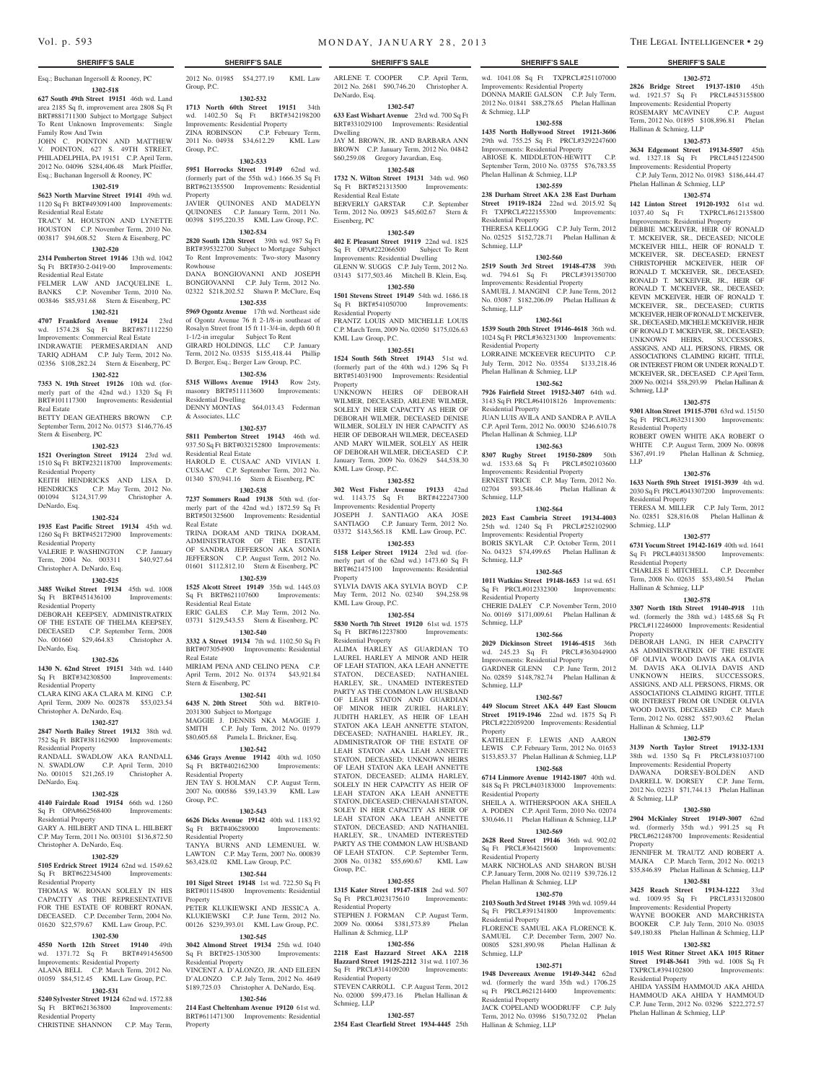Esq.; Buchanan Ingersoll & Rooney, PC **1302-518**

**627 South 49th Street 19151** 46th wd. Land area 2185 Sq ft, improvement area 2808 Sq Ft BRT#881711300 Subject to Mortgage Subject To Rent Unknown Improvements: Single Family Row And Twin

JOHN C. POINTON AND MATTHEW V. POINTON, 627 S. 49TH STREET, PHILADELPHIA, PA 19151 C.P. April Term, 2012 No. 04096 \$284,406.48 Mark Pfeiffer, Esq.; Buchanan Ingersoll & Rooney, PC

### **1302-519**

**5623 North Marvine Street 19141** 49th wd. 1120 Sq Ft BRT#493091400 Improvements: Residential Real Estate TRACY M. HOUSTON AND LYNETTE

HOUSTON C.P. November Term, 2010 No. 003817 \$94,608.52 Stern & Eisenberg, PC **1302-520**

**2314 Pemberton Street 19146** 13th wd. 1042 Sq Ft BRT#30-2-0419-00 Improvements: Residential Real Estate

FELMER LAW AND JACQUELINE L. BANKS C.P. November Term, 2010 No. 003846 \$85,931.68 Stern & Eisenberg, PC

#### **1302-521**

**4707 Frankford Avenue 19124** 23rd wd. 1574.28 Sq Ft BRT#871112250 Improvements: Commercial Real Estate INDRAWATIE PERMESARDIAN AND TARIQ ADHAM C.P. July Term, 2012 No. 02356 \$108,282.24 Stern & Eisenberg, PC

# **1302-522**

**7353 N. 19th Street 19126** 10th wd. (formerly part of the  $42nd$  wd.)  $1320$  Sq Ft BRT#101117300 Improvements: Residential Real Estate

BETTY DEAN GEATHERS BROWN C.P. September Term, 2012 No. 01573 \$146,776.45 Stern & Eisenberg, PC

#### **1302-523**

**1521 Overington Street 19124** 23rd wd. 1510 Sq Ft BRT#232118700 Improvements: Residential Property KEITH HENDRICKS AND LISA D. HENDRICKS C.P. May Term, 2012 No. 001094 \$124,317.99 Christopher A. DeNardo, Esq.

### **1302-524**

**1935 East Pacific Street 19134** 45th wd. 1260 Sq Ft BRT#452172900 Improvements:

Residential Property VALERIE P. WASHINGTON C.P. January Term, 2004 No. 003311 \$40,927.64 Christopher A. DeNardo, Esq.

# **1302-525**

**3485 Weikel Street 19134** 45th wd. 1008 Sq Ft BRT#451436100 Improvements: Residential Property

DEBORAH KEEPSEY, ADMINISTRATRIX OF THE ESTATE OF THELMA KEEPSEY, DECEASED C.P. September Term, 2008 No. 001660 \$29,464.83 Christopher A. DeNardo, Esq.

#### **1302-526**

**1430 N. 62nd Street 19151** 34th wd. 1440 Sq Ft BRT#342308500 Improvements:

Residential Property CLARA KING AKA CLARA M. KING C.P. April Term, 2009 No. 002878 \$53,023.54 Christopher A. DeNardo, Esq.

### **1302-527**

**2847 North Bailey Street 19132** 38th wd. 752 Sq Ft BRT#381162900 Improvements: Residential Property

RANDALL SWADLOW AKA RANDALL N. SWADLOW C.P. April Term, 2010 No. 001015 \$21,265.19 Christopher A. DeNardo, Esq.

#### **1302-528**

**4140 Fairdale Road 19154** 66th wd. 1260 Sq Ft OPA#662568400 Improvements: Residential Property GARY A. HILBERT AND TINA L. HILBERT C.P. May Term, 2011 No. 003101 \$136,872.50 Christopher A. DeNardo, Esq.

# **1302-529**

**5105 Erdrick Street 19124** 62nd wd. 1549.62 Sq Ft BRT#622345400 Improvements: Residential Property THOMAS W. RONAN SOLELY IN HIS

# CAPACITY AS THE REPRESENTATIVE FOR THE ESTATE OF ROBERT RONAN, DECEASED. C.P. December Term, 2004 No. 01620 \$22,579.67 KML Law Group, P.C.

#### **1302-530**

**4550 North 12th Street 19140** 49th wd. 1371.72 Sq Ft BRT#491456500 Improvements: Residential Property ALANA BELL C.P. March Term, 2012 No. 01059 \$84,512.45 KML Law Group, P.C.

# **1302-531 5240 Sylvester Street 19124** 62nd wd. 1572.88

Sq Ft BRT#621363800 Improvements: Residential Property

CHRISTINE SHANNON C.P. May Term,

Group, P.C.

**1302-532 1713 North 60th Street 19151** 34th wd. 1402.50 Sq Ft BRT#342198200 Improvements: Residential Property

ZINA ROBINSON C.P. February Term, 2011 No. 04938 \$34,612.29 KML Law Group, P.C. **1302-533**

# **5951 Horrocks Street 19149** 62nd wd. (formerly part of the 55th wd.) 1666.35 Sq Ft

BRT#621355500 Improvements: Residential Property JAVIER QUINONES AND MADELYN QUINONES C.P. January Term, 2011 No. 00398 \$195,220.35 KML Law Group, P.C. **1302-534**

**2820 South 12th Street** 39th wd. 987 Sq Ft BRT#395322700 Subject to Mortgage Subject To Rent Improvements: Two-story Masonry Rowhouse DANA BONGIOVANNI AND JOSEPH

BONGIOVANNI C.P. July Term, 2012 No. 02322 \$218,202.52 Shawn P. McClure, Esq **1302-535**

**5969 Ogontz Avenue** 17th wd. Northeast side of Ogontz Avenue 76 ft 2-1/8-in southeast of Rosalyn Street front 15 ft 11-3/4-in, depth 60 ft 1-1/2-in irregular Subject To Rent GIRARD HOLDINGS, LLC C.P. January Term, 2012 No. 03535 \$155,418.44 Phillip D. Berger, Esq.; Berger Law Group, P.C.

### **1302-536**

**5315 Willows Avenue 19143** Row 2sty, masonry BRT#511113600 Improvements: Residential Dwelling DENNY MONTAS \$64,013.43 Federman & Associates, LLC

#### **1302-537**

**5811 Pemberton Street 19143** 46th wd. 937.50 Sq Ft BRT#032152800 Improvements: Residential Real Estate HAROLD E. CUSAAC AND VIVIAN I. CUSAAC C.P. September Term, 2012 No. 01340 \$70,941.16 Stern & Eisenberg, PC

# **1302-538**

**7237 Sommers Road 19138** 50th wd. (formerly part of the 42nd wd.) 1872.59 Sq Ft BRT#501325600 Improvements: Residential Real Estate TRINA DORAM AND TRINA DORAM, ADMINISTRATOR OF THE ESTATE OF SANDRA JEFFERSON AKA SONIA

JEFFERSON C.P. August Term, 2012 No. 01601 \$112,812.10 Stern & Eisenberg, PC **1302-539**

**1525 Alcott Street 19149** 35th wd. 1445.03 Sq Ft BRT#621107600 Improvements: Residential Real Estate ERIC GALES C.P. May Term, 2012 No. 03731 \$129,543.53 Stern & Eisenberg, PC

**1302-540 3332 A Street 19134** 7th wd. 1102.50 Sq Ft BRT#073054900 Improvements: Residential Real Estate MIRIAM PENA AND CELINO PENA C.P.

April Term, 2012 No. 01374 \$43,921.84 Stern & Eisenberg, PC

#### **1302-541**

**6435 N. 20th Street** 50th wd. BRT#10- 2031300 Subject to Mortgage MAGGIE J. DENNIS NKA MAGGIE J. SMITH C.P. July Term, 2012 No. 01979 \$80,605.68 Pamela L. Brickner, Esq.

# **1302-542**

**6346 Grays Avenue 19142** 40th wd. 1050 Sq Ft BRT#402162300 Improvements: Residential Property JEN TAY S. HOLMAN C.P. August Term, 2007 No. 000586 \$59,143.39 KML Law Group, P.C.

# **1302-543**

**6626 Dicks Avenue 19142** 40th wd. 1183.92 Sq Ft BRT#406289000 Improvements: Residential Property TANYA BURNS AND LEMENUEL W. LAWTON C.P. May Term, 2007 No. 000839 \$63,428.02 KML Law Group, P.C.

### **1302-544**

**101 Sigel Street 19148** 1st wd. 722.50 Sq Ft BRT#011154800 Improvements: Residential **Property** 

PETER KLUKIEWSKI AND JESSICA A. KLUKIEWSKI C.P. June Term, 2012 No. 00126 \$239,393.01 KML Law Group, P.C. **1302-545**

### **3042 Almond Street 19134** 25th wd. 1040 Sq Ft BRT#25-1305300 Improvements: Residential Property

VINCENT A. D'ALONZO, JR. AND EILEEN D'ALONZO C.P. July Term, 2012 No. 4649 \$189,725.03 Christopher A. DeNardo, Esq. **1302-546**

**214 East Cheltenham Avenue 19120** 61st wd. BRT#611471300 Improvements: Residential Property

2012 No. 01985 \$54,277.19 KML Law ARLENE T. COOPER C.P. April Term, 2012 No. 2681 \$90,746.20 Christopher A. DeNardo, Esq.

wd. 1041.08 Sq Ft TXPRCL#251107000 Improvements: Residential Property DONNA MARIE GALSON C.P. July Term, 2012 No. 01841 \$88,278.65 Phelan Hallinan

**1302-572 2826 Bridge Street 19137-1810** 45th wd. 1921.57 Sq Ft PRCL#453155800 Improvements: Residential Property ROSEMARY MCAVINEY C.P. August Term, 2012 No. 01895 \$108,896.81 Phelan

**1302-573 3634 Edgemont Street 19134-5507** 45th wd. 1327.18 Sq Ft PRCL#451224500 Improvements: Residential Property

C.P. July Term, 2012 No. 01983 \$186,444.47

Hallinan & Schmieg, LLP

Phelan Hallinan & Schmieg, LLP **1302-574 142 Linton Street 19120-1932** 61st wd. 1037.40 Sq Ft TXPRCL#612135800 Improvements: Residential Property DEBBIE MCKEIVER, HEIR OF RONALD T. MCKEIVER, SR., DECEASED; NICOLE MCKEIVER HILL, HEIR OF RONALD T. MCKEIVER, SR. DECEASED; ERNEST CHRISTOPHER MCKEIVER, HEIR OF RONALD T. MCKEIVER, SR., DECEASED; RONALD T. MCKEIVER, JR., HEIR OF RONALD T. MCKEIVER, SR., DECEASED; KEVIN MCKEIVER, HEIR OF RONALD T. MCKEIVER, SR., DECEASED; CURTIS MCKEIVER, HEIR OF RONALD T. MCKEIVER. SR., DECEASED, MICHELE MCKEIVER, HEIR OF RONALD T. MCKEIVER, SR,. DECEASED; UNKNOWN HEIRS, SUCCESSORS, ASSIGNS, AND ALL PERSONS, FIRMS, OR ASSOCIATIONS CLAIMING RIGHT, TITLE, OR INTEREST FROM OR UNDER RONALD T. MCKEIVER, SR., DECEASED C.P. April Term, 2009 No. 00214 \$58,293.99 Phelan Hallinan &

Schmieg, LLP

LLP

Residential Property

Residential Property

Residential Property

Hallinan & Schmieg, LLP

Hallinan & Schmieg, LLP

& Schmieg, LLP

Residential Property

Property

Schmieg, LLP

Property

**1302-575 9301 Alton Street 19115-3701** 63rd wd. 15150 Sq Ft PRCL#632311300 Improvements:

ROBERT OWEN WHITE AKA ROBERT O WHITE C.P. August Term, 2009 No. 00898 \$367,491.19 Phelan Hallinan & Schmieg,

**1302-576 1633 North 59th Street 19151-3939** 4th wd. 2030 Sq Ft PRCL#043307200 Improvements:

TERESA M. MILLER C.P. July Term, 2012 No. 02851 \$28,816.08 Phelan Hallinan &

**1302-577 6731 Yocum Street 19142-1619** 40th wd. 1641 Sq Ft PRCL#403138500 Improvements:

CHARLES E MITCHELL C.P. December Term, 2008 No. 02635 \$53,480.54 Phelan

**1302-578 3307 North 18th Street 19140-4918** 11th wd. (formerly the 38th wd.) 1485.68 Sq Ft PRCL#112246000 Improvements: Residential

DEBORAH LANG, IN HER CAPACITY AS ADMINISTRATRIX OF THE ESTATE OF OLIVIA WOOD DAVIS AKA OLIVIA M. DAVIS AKA OLIVIA DAVIS AND UNKNOWN HEIRS, SUCCESSORS, ASSIGNS, AND ALL PERSONS, FIRMS, OR ASSOCIATIONS CLAIMING RIGHT, TITLE OR INTEREST FROM OR UNDER OLIVIA WOOD DAVIS, DECEASED C.P. March Term, 2012 No. 02882 \$57,903.62 Phelan

**1302-579 3139 North Taylor Street 19132-1331**  38th wd. 1350 Sq Ft PRCL#381037100 Improvements: Residential Property DAWANA DORSEY-BOLDEN DARRELL W. DORSEY C.P. June Term, 2012 No. 02231 \$71,744.13 Phelan Hallinan

**1302-580 2904 McKinley Street 19149-3007** 62nd wd. (formerly 35th wd.) 991.25 sq Ft PRCL#621248700 Improvements: Residential

JENNIFER M. TRAUTZ AND ROBERT A. MAJKA C.P. March Term, 2012 No. 00213 \$35,846.89 Phelan Hallinan & Schmieg, LLP **1302-581 3425 Reach Street 19134-1222** 33rd wd. 1009.95 Sq Ft PRCL#331320800 Improvements: Residential Property

WAYNE BOOKER AND MARCHRISTA BOOKER C.P. July Term, 2010 No. 03035 \$49,180.88 Phelan Hallinan & Schmieg, LLP **1302-582 1015 West Ritner Street AKA 1015 Ritner Street 19148-3641** 39th wd. 1008 Sq Ft TXPRCL#394102800 Improvements:

AHIDA YASSIM HAMMOUD AKA AHID HAMMOUD AKA AHIDA Y HAMMOUD C.P. June Term, 2012 No. 03296 \$222,272.57

Phelan Hallinan & Schmieg, LLP

**1302-558 1435 North Hollywood Street 19121-3606**  29th wd. 755.25 Sq Ft PRCL#3292247600 Improvements: Residential Property ABIOSE K. MIDDLETON-HEWITT C.P. September Term, 2010 No. 03755 \$76,783.55

**1302-559 238 Durham Street AKA 238 East Durham Street 19119-1824** 22nd wd. 2015.92 Sq Ft TXPRCL#222155300 Improvements:

THERESA KELLOGG C.P. July Term, 2012 No. 02525 \$152,728.71 Phelan Hallinan &

**1302-560 2519 South 3rd Street 19148-4738** 39th wd. 794.61 Sq Ft PRCL#391350700 Improvements: Residential Property SAMUEL J. MANGINI C.P. June Term, 2012 No. 03087 \$182,206.09 Phelan Hallinan &

**1302-561 1539 South 20th Street 19146-4618** 36th wd. 1024 Sq Ft PRCL#363231300 Improvements:

LORRAINE MCKEEVER RECUPITO C.P. July Term, 2012 No. 03554 \$133,218.46

**1302-562 7926 Fairfield Street 19152-3407** 64th wd. 3143 Sq Ft PRCL#641018126 Improvements:

JUAN LUIS AVILA AND SANDRA P. AVILA C.P. April Term, 2012 No. 00030 \$246.610.78

**1302-563 8307 Rugby Street 19150-2809** 50th wd. 1533.68 Sq Ft PRCL#502103600 Improvements: Residential Property ERNEST TRICE C.P. May Term, 2012 No. 02704 \$93,548.46 Phelan Hallinan &

**1302-564 2023 East Cambria Street 19134-4003**  25th wd. 1240 Sq Ft PRCL#252102900 Improvements: Residential Property BORIS SKYLAR C.P. October Term, 2011 No. 04323 \$74,499.65 Phelan Hallinan &

**1302-565 1011 Watkins Street 19148-1653** 1st wd. 651 Sq Ft PRCL#012332300 Improvements:

CHERIE DALEY C.P. November Term, 2010 No. 00169 \$171,009.61 Phelan Hallinan &

**1302-566 2029 Dickinson Street 19146-4515** 36th wd. 245.23 Sq Ft PRCL#363044900 Improvements: Residential Property GARDNER GLENN C.P. June Term, 2012 No. 02859 \$148,782.74 Phelan Hallinan &

**1302-567 449 Slocum Street AKA 449 East Sloucm Street 19119-1946** 22nd wd. 1875 Sq Ft PRCL#222059200 Improvements: Residential

KATHLEEN F. LEWIS AND AARON LEWIS C.P. February Term, 2012 No. 01653 \$153,853.37 Phelan Hallinan & Schmieg, LLP **1302-568 6714 Linmore Avenue 19142-1807** 40th wd. 848 Sq Ft PRCL#403183000 Improvements:

SHEILA A. WITHERSPOON AKA SHEILA A. PODEN C.P. April Term, 2010 No. 02074 \$30,646.11 Phelan Hallinan & Schmieg, LLP **1302-569 2628 Reed Street 19146** 36th wd. 902.02 Sq Ft PRCL#364215600 Improvements:

MARK NICHOLAS AND SHARON BUSH C.P. January Term, 2008 No. 02119 \$39,726.12

**1302-570 2103 South 3rd Street 19148** 39th wd. 1059.44 Sq Ft PRCL#391341800 Improvements:

FLORENCE SAMUEL AKA FLORENCE K. SAMUEL C.P. December Term, 2007 No. 00805 \$281,890.98 Phelan Hallinan &

**1302-571 1948 Devereaux Avenue 19149-3442** 62nd wd. (formerly the ward 35th wd.) 1706.25 sq Ft PRCL#621214400 Improvements:

JACK COPELAND WOODRUFF C.P. July Term, 2012 No. 03986 \$150,732.02 Phelan

Phelan Hallinan & Schmieg, LLP

Phelan Hallinan & Schmieg, LLP

Phelan Hallinan & Schmieg, LLP

Phelan Hallinan & Schmieg, LLP

& Schmieg, LLP

Residential Property

Schmieg, LLP

Schmieg, LLP

Residential Property

Residential Property

Schmieg, LLP

Schmieg, LLP

Schmieg, LLP

Schmieg, LLP

Property

Residential Property

Residential Property

Residential Property

Residential Property

Hallinan & Schmieg, LLP

Schmieg, LLP

Residential Property

# **1302-547**

**633 East Wishart Avenue** 23rd wd. 700 Sq Ft BRT#331029100 Improvements: Residential Dwelling JAY M. BROWN, JR. AND BARBARA ANN

BROWN C.P. January Term, 2012 No. 04842 \$60,259.08 Gregory Javardian, Esq. **1302-548**

**1732 N. Wilton Street 19131** 34th wd. 960 Sq Ft BRT#521313500 Improvements: Residential Real Estate BERVERLY GARSTAR C.P. September

Term, 2012 No. 00923 \$45,602.67 Stern & Eisenberg, PC **1302-549**

**402 E Pleasant Street 19119** 22nd wd. 1825 Sq Ft OPA#222066500 Subject To Rent Improvements: Residential Dwelling GLENN W. SUGGS C.P. July Term, 2012 No. 03143 \$177,503.46 Mitchell B. Klein, Esq.

#### **1302-550**

**1501 Stevens Street 19149** 54th wd. 1686.18 Sq Ft BRT#541050700 Improvements: Residential Property FRANTZ LOUIS AND MICHELLE LOUIS

C.P. March Term, 2009 No. 02050 \$175,026.63 KML Law Group, P.C. **1302-551**

**1524 South 56th Street 19143** 51st wd. (formerly part of the 40th wd.) 1296 Sq Ft BRT#514031900 Improvements: Residential Property

UNKNOWN HEIRS OF DEBORAH WILMER, DECEASED, ARLENE WILMER, SOLELY IN HER CAPACITY AS HEIR OF DEBORAH WILMER, DECEASED DENISE WILMER, SOLELY IN HER CAPACITY AS HEIR OF DEBORAH WILMER, DECEASED AND MARY WILMER, SOLELY AS HEIR OF DEBORAH WILMER, DECEASED C.P. January Term, 2009 No. 03629 \$44,538.30 KML Law Group, P.C.

#### **1302-552**

**302 West Fisher Avenue 19133** 42nd wd. 1143.75 Sq Ft BRT#422247300 Improvements: Residential Property JOSEPH J. SANTIAGO AKA JOSE SANTIAGO C.P. January Term, 2012 No. 03372 \$143,565.18 KML Law Group, P.C.

# **1302-553**

**5158 Leiper Street 19124** 23rd wd. (formerly part of the 62nd wd.) 1473.60 Sq Ft BRT#621475100 Improvements: Residential Property SYLVIA DAVIS AKA SYLVIA BOYD C.P.

May Term, 2012 No. 02340 \$94,258.98 KML Law Group, P.C.

# **1302-554**

**5830 North 7th Street 19120** 61st wd. 1575 Sq Ft BRT#612237800 Improvements: Residential Property ALIMA HARLEY AS GUARDIAN TO LAUREL HARLEY A MINOR AND HEIR OF LEAH STATION, AKA LEAH ANNETTE STATON, DECEASED; NATHANIEL HARLEY, SR., UNAMED INTERESTED PARTY AS THE COMMON LAW HUSBAND OF LEAH STATON AND GUARDIA OF MINOR HEIR ZURIEL HARLEY; JUDITH HARLEY, AS HEIR OF LEAH STATON AKA LEAH ANNETTE STATON, DECEASED; NATHANIEL HARLEY, JR., ADMINISTRATOR OF THE ESTATE OF LEAH STATON AKA LEAH ANNETTE STATON, DECEASED; UNKNOWN HEIRS OF LEAH STATON AKA LEAH ANNETTE STATON, DECEASED; ALIMA HARLEY, SOLELY IN HER CAPACITY AS HEIR OF LEAH STATON AKA LEAH ANNETTE STATON, DECEASED; CHENAIAH STATON, SOLEY IN HER CAPACITY AS HEIR OF LEAH STATON AKA LEAH ANNETTE STATON, DECEASED; AND NATHANIEL HARLEY, SR., UNAMED INTERESTED PARTY AS THE COMMON LAW HUSBAND OF LEAH STATON. C.P. September Term, 2008 No. 01382 \$55,690.67 KML Law Group, P.C.

#### **1302-555**

**1315 Kater Street 19147-1818** 2nd wd. 507 Sq Ft PRCL#023175610 Improvements: Residential Property STEPHEN J. FORMAN C.P. August Term,

#### 2009 No. 00064 \$381,573.89 Phelan Hallinan & Schmieg, LLP **1302-556**

**2218 East Hazzard Street AKA 2218 Hazzard Street 19125-2212** 31st wd. 1107.36 Sq Ft PRCL#314109200 Improvements: Residential Property STEVEN CARROLL C.P. August Term, 2012

#### No. 02000 \$99,473.16 Phelan Hallinan & Schmieg, LLP

**1302-557 2354 East Clearfield Street 1934-4445** 25th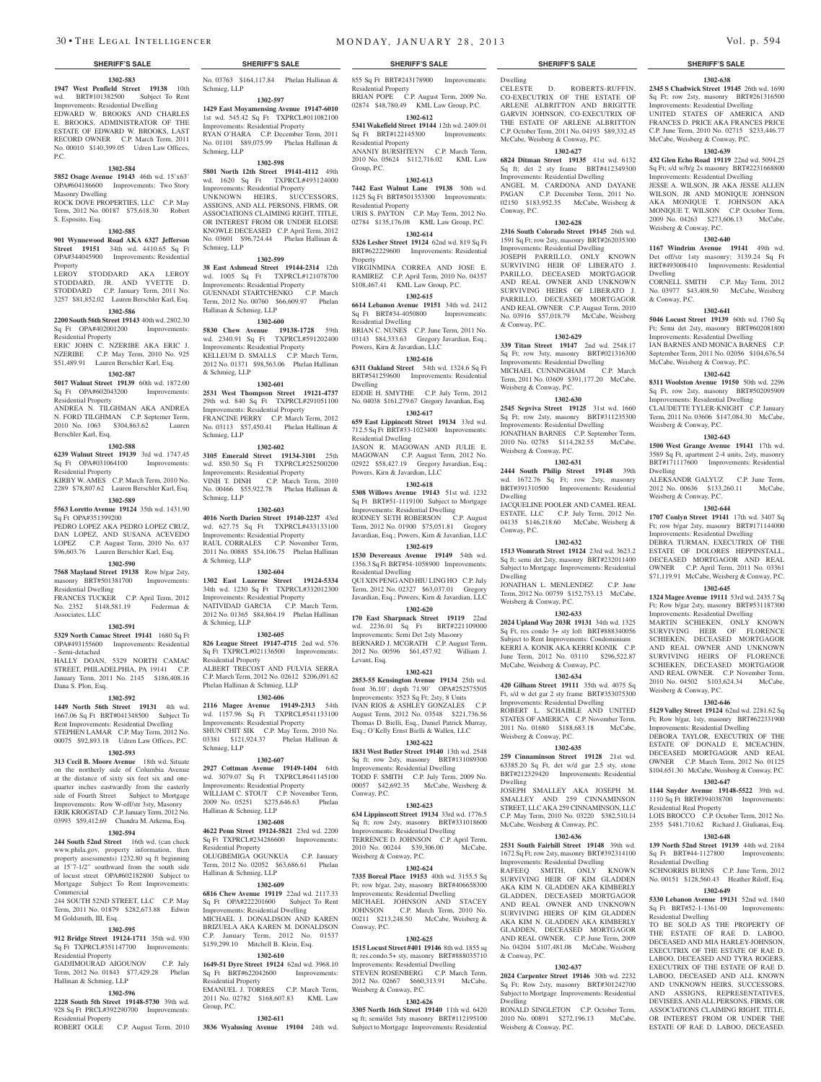**1302-583 1947 West Penfield Street 19138** 10th wd. BRT#101382500 Subject To Rent Improvements: Residential Dwelling EDWARD W. BROOKS AND CHARLES E. BROOKS, ADMINISTRATOR OF THE ESTATE OF EDWARD W. BROOKS, LAST RECORD OWNER C.P. March Term, 2011 No. 00010 \$140,399.05 Udren Law Offices, P.C.

#### **1302-584**

**5852 Osage Avenue 19143** 46th wd. 15'x63' OPA#604186600 Improvements: Two Story Masonry Dwelling

ROCK DOVE PROPERTIES, LLC C.P. May Term, 2012 No. 00187 \$75,618.30 Robert S. Esposito, Esq.

# **1302-585**

**901 Wynnewood Road AKA 6327 Jefferson Street 19151** 34th wd. 4410.65 Sq Ft OPA#344045900 Improvements: Residential

Property<br>LEROY STODDARD AKA LEROY STODDARD, JR. AND YVETTE D. STODDARD C.P. January Term, 2011 No. 3257 \$81,852.02 Lauren Berschler Karl, Esq.

#### **1302-586**

**2200 South 56th Street 19143** 40th wd. 2802.30

#### Sq Ft OPA#402001200 Improvements: Residential Property

ERIC JOHN C. NZERIBE AKA ERIC J. NZERIBE C.P. May Term, 2010 No. 925 \$51,489.91 Lauren Berschler Karl, Esq.

#### **1302-587**

**5017 Walnut Street 19139** 60th wd. 1872.00 Sq Ft OPA#602043200 Improvements: Residential Property

ANDREA N. TILGHMAN AKA ANDREA N. FORD TILGHMAN C.P. Septemer Term, 2010 No. 1063 \$304,863.62 Lauren Berschler Karl, Esq.

#### **1302-588**

**6239 Walnut Street 19139** 3rd wd. 1747.45 Sq Ft OPA#031064100 Improvements:

Residential Property KIRBY W. AMES C.P. March Term, 2010 No.

2289 \$78,807.62 Lauren Berschler Karl, Esq. **1302-589**

# **5563 Loretto Avenue 19124** 35th wd. 1431.90

Sq Ft OPA#351399200 PEDRO LOPEZ AKA PEDRO LOPEZ CRUZ, DAN LOPEZ, AND SUSANA ACEVEDO LOPEZ C.P. August Term, 2010 No. 637 \$96,603.76 Lauren Berschler Karl, Esq.

### **1302-590**

**7568 Mayland Street 19138** Row b/gar 2sty, masonry BRT#501381700 Improvements: Residential Dwelling

FRANCES TUCKER C.P. April Term, 2012 No. 2352 \$148,581.19 Federman & Associates, LLC

### **1302-591**

**5329 North Camac Street 19141** 1680 Sq Ft OPA#493155600 Improvements: Residential

- Semi-detached HALLY DOAN, 5329 NORTH CAMAC STREET, PHILADELPHIA, PA 19141 C.P. January Term, 2011 No. 2145 \$186,408.16 Dana S. Plon, Esq.

#### **1302-592**

**1449 North 56th Street 19131** 4th wd. 1667.06 Sq Ft BRT#041348500 Subject To Rent Improvements: Residential Dwelling STEPHEN LAMAR C.P. May Term, 2012 No. 00075 \$92,893.18 Udren Law Offices, P.C.

#### **1302-593**

**313 Cecil B. Moore Avenue** 18th wd. Situate on the northerly side of Columbia Avenue at the distance of sixty six feet six and onequarter inches eastwardly from the easterly side of Fourth Street Subject to Mortgage Improvements: Row W-off/str 3sty, Masonry ERIK KROGSTAD C.P. January Term, 2012 No. 03993 \$59,412.69 Chandra M. Arkema, Esq.

# **1302-594**

244 South 52nd Street 16th wd. (can check www.phila.gov, property information, then property assessments) 1232.80 sq ft beginning at 15'7-1/2" southward from the south side of locust street OPA#602182800 Subject to Mortgage Subject To Rent Improvements: **Commercial** 

 $244$  SOUTH 52ND STREET, LLC. Term, 2011 No. 01879 \$282,673.88 Edwin M Goldsmith, III, Esq.

#### **1302-595**

**912 Bridge Street 19124-1711** 35th wd. 930 Sq Ft TXPRCL#351147700 Improvements: esidential Property GADJIMOURAD AIGOUNOV C.P. July

Term, 2012 No. 01843 \$77,429.28 Phelan Hallinan & Schmieg, LLP

# **1302-596**

**2228 South 5th Street 19148-5730** 39th wd. 928 Sq Ft PRCL#392290700 Improvements: Residential Property

ROBERT OGLE C.P. August Term, 2010

No. 03763 \$164,117.84 Phelan Hallinan &

**1302-597 1429 East Moyamensing Avenue 19147-6010**  1st wd. 545.42 Sq Ft TXPRCL#011082100 Improvements: Residential Property RYAN O'HARA C.P. December Term, 2011 No. 01101 \$89,075.99 Phelan Hallinan &

**1302-598 5801 North 12th Street 19141-4112** 49th wd. 1620 Sq Ft TXPRCL#493124000 Improvements: Residential Property UNKNOWN HEIRS, SUCCESSORS, ASSIGNS, AND ALL PERSONS, FIRMS, OR ASSOCIATIONS CLAIMING RIGHT, TITLE, OR INTEREST FROM OR UNDER ELOISE KNOWLE DECEASED C.P. April Term, 2012 No. 03601 \$96,724.44 Phelan Hallinan &

**1302-599 38 East Ashmead Street 19144-2314** 12th wd. 1005 Sq Ft TXPRCL#121078700 Improvements: Residential Property GUENNADI STARTCHENKO C.P. March Term, 2012 No. 00760 \$66,609.97 Phelan

**1302-600 5830 Chew Avenue 19138-1728** 59th wd. 2340.91 Sq Ft TXPRCL#591202400 Improvements: Residential Property KELLEUM D. SMALLS C.P. March Term, 2012 No. 01371 \$98,563.06 Phelan Hallinan

**1302-601 2531 West Thompson Street 19121-4737**  29th wd. 840 Sq Ft TXPRCL#291051100 Improvements: Residential Property FRANCINE PERRY C.P. March Term, 2012 No. 03113 \$57,450.41 Phelan Hallinan &

**1302-602 3105 Emerald Street 19134-3101** 25th wd. 850.50 Sq Ft TXPRCL#252500200 Improvements: Residential Property VINH T. DINH C.P. March Term, 2010 No. 00466 \$55,922.78 Phelan Hallinan &

**1302-603 4016 North Darien Street 19140-2237** 43rd wd. 627.75 Sq Ft TXPRCL#433133100 Improvements: Residential Property RAUL CORRALES C.P. November Term, 2011 No. 00885 \$54,106.75 Phelan Hallinan

**1302-604 1302 East Luzerne Street 19124-5334**  34th wd. 1230 Sq Ft TXPRCL#332012300 Improvements: Residential Property NATIVIDAD GARCIA C.P. March Term, 2012 No. 01365 \$84,864.19 Phelan Hallinan

**1302-605 826 League Street 19147-4715** 2nd wd. 576 Sq Ft TXPRCL#021136500 Improvements:

ALBERT TRECOST AND FULVIA SERRA C.P. March Term, 2012 No. 02612 \$206,091.62

**1302-606 2116 Magee Avenue 19149-2313** 54th wd. 1157.96 Sq Ft TXPRCL#541133100 Improvements: Residential Property SHUN CHIT SIK C.P. May Term, 2010 No. 03381 \$121,924.37 Phelan Hallinan &

**1302-607 2927 Cottman Avenue 19149-1404** 64th wd. 3079.07 Sq Ft TXPRCL#641145100 Improvements: Residential Property WILLIAM C. STOUT C.P. November Term, 2009 No. 05251 \$275,646.63 Phelan

**1302-608 4622 Penn Street 19124-5821** 23rd wd. 2200 Sq Ft TXPRCL#234286600 Improvements:

OLUGBEMIGA OGUNKUA C.P. January Term, 2012 No. 02052 \$63,686.61 Phelan

**1302-609 6816 Chew Avenue 19119** 22nd wd. 2117.33 Sq Ft OPA#222201600 Subject To Rent Improvements: Residential Dwelling MICHAEL J. DONALDSON AND KAREN BRIZUELA AKA KAREN M. DONALDSON C.P. January Term, 2012 No. 01537 \$159,299.10 Mitchell B. Klein, Esq. **1302-610 1649-51 Dyre Street 19124** 62nd wd. 3968.10 Sq Ft BRT#622042600 Improvements:

EMANUEL J. TORRES C.P. March Term, 2011 No. 02782 \$168,607.83 KML Law

**1302-611 3836 Wyalusing Avenue 19104** 24th wd.

Phelan Hallinan & Schmieg, LLP

Schmieg, LLP

Schmieg, LLP

Schmieg, LLP

Hallinan & Schmieg, LLP

& Schmieg, LLP

Schmieg, LLP

Schmieg, LLP

& Schmieg, LLP

& Schmieg, LLP

Residential Property

Schmieg, LLP

Hallinan & Schmieg, LLP

Hallinan & Schmieg, LLP

Residential Property

Residential Property

Group, P.C.

#### **SHERIFF'S SALE SHERIFF'S SALE SHERIFF'S SALE SHERIFF'S SALE SHERIFF'S SALE**

855 Sq Ft BRT#243178900 Improvements: Residential Property BRIAN POPE C.P. August Term, 2009 No. 02874 \$48,780.49 KML Law Group, P.C.

**1302-612 5341 Wakefield Street 19144** 12th wd. 2409.01 Sq Ft BRT#122145300 Improvements: Residential Property

ANANIY BURSHTEYN C.P. March Term, 2010 No. 05624 \$112,716.02 KML Law Group, P.C.

# **1302-613**

**7442 East Walnut Lane 19138** 50th wd. 1125 Sq Ft BRT#501353300 Improvements: Residential Property URIS S. PAYTON C.P. May Term, 2012 No. 02784 \$135,176.08 KML Law Group, P.C.

**1302-614 5326 Lesher Street 19124** 62nd wd. 819 Sq Ft BRT#622229600 Improvements: Residential

Property VIRGINMINA CORREA AND JOSE E. RAMIREZ C.P. April Term, 2010 No. 04357 \$108,467.41 KML Law Group, P.C.

#### **1302-615**

**6614 Lebanon Avenue 19151** 34th wd. 2412 Sq Ft BRT#34-4050800 Improvements: Residential Dwelling BRIAN C. NUNES C.P. June Term, 2011 No. 03143 \$84,333.63 Gregory Javardian, Esq.; Powers, Kirn & Javardian, LLC

# **1302-616**

**6311 Oakland Street** 54th wd. 1324.6 Sq Ft BRT#541259600 Improvements: Residential Dwelling EDDIE H. SMYTHE C.P. July Term, 2012 No. 04038 \$161,279.67 Gregory Javardian, Esq.

**1302-617 659 East Lippincott Street 19134** 33rd wd.

712.5 Sq Ft BRT#33-1023400 Improvements: Residential Dwelling JASON R. MAGOWAN AND JULIE E.

MAGOWAN C.P. August Term, 2012 No. 02922 \$58,427.19 Gregory Javardian, Esq.; Powers, Kirn & Javardian, LLC

# **1302-618**

**5308 Willows Avenue 19143** 51st wd. 1232 Sq Ft BRT#51-1119100 Subject to Mortgage Improvements: Residential Dwelling RODNEY SETH ROBERSON C.P. August Term, 2012 No. 01900 \$75,051.81 Gregory Javardian, Esq.; Powers, Kirn & Javardian, LLC

#### **1302-619**

**1530 Devereaux Avenue 19149** 54th wd. 1356.3 Sq Ft BRT#54-1058900 Improvements: Residential Dwelling QUI XIN PENG AND HIU LING HO C.P. July Term, 2012 No. 02327 \$63,037.01 Gregory Javardian, Esq.; Powers, Kirn & Javardian, LLC

# **1302-620**

**170 East Sharpnack Street 19119** 22nd wd. 2236.01 Sq Ft BRT#221109000 Improvements: Semi Det 2sty Masonry BERNARD J. MCGRATH C.P. August Term, 2012 No. 00596 \$61,457.92 William J. Levant, Esq.

#### **1302-621**

**2853-55 Kensington Avenue 19134** 25th wd. front 36.10'; depth 71.90' OPA#252575505 Improvements: 3523 Sq Ft; 2sty, 8 Units IVAN RIOS & ASHLEY GONZALES C.P. August Term, 2012 No. 03548 \$221,736.56 Thomas D. Bielli, Esq., Daniel Patrick Murray, Esq.; O'Kelly Ernst Bielli & Wallen, LLC

# **1302-622**

**1831 West Butler Street 19140** 13th wd. 2548 Sq ft; row 2sty, masonry BRT#131089300 Improvements: Residential Dwelling TODD F. SMITH C.P. July Term, 2009 No. 00057 \$42,692.35 McCabe, Weisberg & Conway, P.C.

#### **1302-623**

**634 Lippinscott Street 19134** 33rd wd. 1776.5 Sq ft; row 2sty, masonry BRT#331018600 Improvements: Residential Dwelling TERRENCE D. JOHNSON C.P. April Term, 2010 No. 00244 \$39,306.00 McCabe, Weisberg & Conway, P.C.

# **1302-624**

**7335 Boreal Place 19153** 40th wd. 3155.5 Sq Ft; row b/gar, 2sty, masonry BRT#406658300 Improvements: Residential Dwelling JOHNSON AND STACEY JOHNSON C.P. March Term, 2010 No. 00211 \$213,248.50 McCabe, Weisberg &  $Convav$ , P.C.

#### **1302-625**

**1515 Locust Street #401 19146** 8th wd. 1855 sq ft; res.condo.5+ sty, masonry BRT#888035710 Improvements: Residential Dwelling STEVEN ROSENBERG C.P. March Term, 2012 No. 02667 \$660,313.91 McCabe, Weisberg & Conway, P.C.

# **1302-626**

**3305 North 16th Street 19140** 11th wd. 6420 sq ft; semi/det 3sty masonry BRT#112195100 Subject to Mortgage Improvements: Residential

**1302-638 2345 S Chadwick Street 19145** 26th wd. 1690 Sq Ft; row 2sty, masonry BRT#261316500 Improvements: Residential Dwelling UNITED STATES OF AMERICA AND FRANCES D. PRICE AKA FRANCES PRICE C.P. June Term, 2010 No. 02715 \$233,446.77 McCabe, Weisberg & Conway, P.C. **1302-639 432 Glen Echo Road 19119** 22nd wd. 5094.25 Sq Ft; s/d w/b/g 2s masonry BRT#2231668800 Improvements: Residential Dwelling JESSE A. WILSON, JR AKA JESSE ALLEN WILSON, JR AND MONIQUE JOHNSON AKA MONIQUE T. JOHNSON AKA MONIQUE T. WILSON C.P. October Term, 2009 No. 04263 \$273,606.13 McCabe,

Weisberg & Conway, P.C.

Dwelling

& Conway, P.C.

Weisberg & Conway, P.C.

Weisberg & Conway, P.C.

Weisberg & Conway, P.C.

Residential Real Property

Sq Ft BRT#44-1127800 Residential Dwelling

Residential Dwelling

**1302-646 5129 Valley Street 19124** 62nd wd. 2281.62 Sq Ft; Row b/gar, 1sty, masonry BRT#622331900 Improvements: Residential Dwelling DEBORA TAYLOR, EXECUTRIX OF THE ESTATE OF DONALD E. MCEACHIN, DECEASED MORTGAGOR AND REAL OWNER C.P. March Term, 2012 No. 01125 \$104,651.30 McCabe, Weisberg & Conway, P.C. **1302-647 1144 Snyder Avenue 19148-5522** 39th wd. 1110 Sq Ft BRT#394038700 Improvements:

LOIS BROCCO C.P. October Term, 2012 No. 2355 \$481,710.62 Richard J. Giulianai, Esq. **1302-648 139 North 52nd Street 19139** 44th wd. 2184<br>
Sq Ft BRT#44-1127800 Improvements:

SCHNORRIS BURNS C.P. June Term, 2012 No. 00151 \$128,560.43 Heather Riloff, Esq. **1302-649 5330 Lebanon Avenue 19131** 52nd wd. 1840 Sq Ft BRT#52-1-1361-00 Improvements:

TO BE SOLD AS THE PROPERTY OF THE ESTATE OF RAE D. LABOO, DECEASED AND MIA HARLEY-JOHNSON, EXECUTRIX OF THE ESTATE OF RAE D. LABOO, DECEASED AND TYRA ROGERS, EXECUTRIX OF THE ESTATE OF RAE D. LABOO, DECEASED AND ALL KNOWN AND UNKNOWN HEIRS, SUCCESSORS, AND ASSIGNS, REPRESENTATIVES, DEVISEES, AND ALL PERSONS, FIRMS, OR ASSOCIATIONS CLAIMING RIGHT, TITLE, OR INTEREST FROM OR UNDER THE ESTATE OF RAE D. LABOO, DECEASED.

Dwelling

**1302-640 1167 Windrim Avenue 19141** 49th wd. Det off/str 1sty masonry; 3139.24 Sq Ft BRT#493008410 Improvements: Residential

CORNELL SMITH C.P. May Term, 2012 No. 03977 \$43,408.50 McCabe, Weisberg

**1302-641 5046 Locust Street 19139** 60th wd. 1760 Sq Ft; Semi det 2sty, masonry BRT#602081800 Improvements: Residential Dwelling IAN BARNES AND MONICA BARNES C.P. September Term, 2011 No. 02056 \$104,676.54 McCabe, Weisberg & Conway, P.C. **1302-642 8311 Woolston Avenue 19150** 50th wd. 2296 Sq Ft, row 2sty, masonry BRT#502095909 Improvements: Residential Dwelling CLAUDETTE TYLER-KNIGHT C.P. January Term, 2011 No. 03606 \$147,084.30 McCabe,

**1302-643 1500 West Grange Avenue 19141** 17th wd. 3589 Sq Ft, apartment 2-4 units, 2sty, masonry BRT#171117600 Improvements: Residential

ALEKSANDR GALYUZ C.P. June Term, 2012 No. 00636 \$133,260.11 McCabe,

**1302-644 1707 Conlyn Street 19141** 17th wd. 3407 Sq Ft; row b/gar 2sty, masonry BRT#171144000 Improvements: Residential Dwelling DEBRA TURMAN, EXECUTRIX OF THE ESTATE OF DOLORES HEPPINSTALL, DECEASED MORTGAGOR AND REAL OWNER C.P. April Term, 2011 No. 03361 \$71,119.91 McCabe, Weisberg & Conway, P.C. **1302-645 1324 Magee Avenue 19111** 53rd wd. 2435.7 Sq Ft; Row b/gar 2sty, masonry BRT#531187300 Improvements: Residential Dwelling MARTIN SCHIEKEN, ONLY KNOWN SURVIVING HEIR OF FLORENCE SCHIEKEN, DECEASED MORTGAGOR AND REAL OWNER AND UNKNOWN SURVIVING HEIRS OF FLORENCE SCHIEKEN, DECEASED MORTGAGOR AND REAL OWNER. C.P. November Term, 2010 No. 04502 \$103,624.34 McCabe,

Dwelling CELESTE D. ROBERTS-RUFFIN, CO-EXECUTRIX OF THE ESTATE OF ARLENE ALBRITTON AND BRIGITTE GARVIN JOHNSON, CO-EXECUTRIX OF THE ESTATE OF ARLENE ALBRITTON C.P. October Term, 2011 No. 04193 \$89,332.45 McCabe, Weisberg & Conway, P.C.

# **1302-627**

**6824 Ditman Street 19135** 41st wd. 6132 Sq ft; det 2 sty frame BRT#412349300 Improvements: Residential Dwelling ANGEL M. CARDONA AND DAYANE PAGAN C.P. December Term, 2011 No. 02150 \$183,952.35 McCabe, Weisberg & Conway, P.C.

# **1302-628**

**2316 South Colorado Street 19145** 26th wd. 1591 Sq Ft; row 2sty, masonry BRT#262035300 Improvements: Residential Dwelling

JOSEPH PARRILLO, ONLY KNOWN SURVIVING HEIR OF LIBERATO J. PARILLO, DECEASED MORTGAGOR AND REAL OWNER AND UNKNOWN SURVIVING HEIRS OF LIBERATO J. PARRILLO, DECEASED MORTGAGOR AND REAL OWNER C.P. August Term, 2010 No. 03916 \$57,018.79 McCabe, Weisberg & Conway, P.C.

# **1302-629**

**339 Titan Street 19147** 2nd wd. 2548.17 Sq Ft; row 3sty, masonry BRT#021316300 Improvements: Residential Dwelling MICHAEL CUNNINGHAM C.P. March Term, 2011 No. 03609 \$391,177.20 McCabe, Weisberg & Conway, P.C.

# **1302-630**

**2545 Sepviva Street 19125** 31st wd. 1660 Sq Ft; row 2sty, masonry BRT#311235300 Improvements: Residential Dwelling JONATHAN BARNES C.P. September Term, 2010 No. 02785 \$114,282.55 McCabe,

Weisberg & Conway, P.C. **1302-631**

# **2444 South Philip Street 19148** 39th

wd. 1672.76 Sq Ft; row 2sty, masonry BRT#391310500 Improvements: Residential Dwelling JACQUELINE POOLER AND CAMEL REAL

ESTATE, LLC C.P. July Term, 2012 No. 04135 \$146,218.60 McCabe, Weisberg & Conway, P.C.

# **1302-632**

**1513 Womrath Street 19124** 23rd wd. 3623.2 Sq ft; semi det 2sty, masonry BRT#232011400 Subject to Mortgage Improvements: Residential Dwelling

JONATHAN L. MENLENDEZ C.P. June Term, 2012 No. 00759 \$152,753.13 McCabe, Weisberg & Conway, P.C.

# **1302-633**

**2024 Upland Way 203R 19131** 34th wd. 1325 Sq Ft, res condo 3+ sty loft BRT#888340056 Subject to Rent Improvements: Condominium KERRI A. KONIK AKA KERRI KONIK C.P. June Term, 2012 No. 03110 \$296,522.87 McCabe, Weisberg & Conway, P.C.

# **1302-634**

**420 Gilham Street 19111** 35th wd. 4075 Sq Ft, s/d w det gar 2 sty frame BRT#353075300 Improvements: Residential Dwelling

ROBERT L. SCHAIBLE AND UNITED STATES OF AMERICA C.P. November Term,<br>2011 No. 01680 \$188.683.18 McCabe. 2011 No. 01680 \$188,683.18 Weisberg & Conway, P.C.

# **1302-635**

**259 Cinnaminson Street 19128** 21st wd. 63385.20 Sq Ft, det w/d gar 2.5 sty, stone BRT#212329420 Improvements: Residential Dwelling JOSEPH SMALLEY AKA JOSEPH M.

SMALLEY AND 259 CINNAMINSON STREET, LLC AKA 259 CINNAMINSON, LLC C.P. May Term, 2010 No. 03220 \$382,510.14

**1302-637 2024 Carpenter Street 19146** 30th wd. 2232 Sq Ft; Row 2sty, masonry BRT#301242700 Subject to Mortgage Improvements: Residential

RONALD SINGLETON C.P. October Term, 2010 No. 00891 \$272,196.13 McCabe,

McCabe, Weisberg & Conway, P.C. **1302-636 2531 South Fairhill Street 19148** 39th wd. 1672 Sq Ft; row 2sty, masonry BRT#392314100 Improvements: Residential Dwelling RAFEEQ SMITH, ONLY KNOWN SURVIVING HEIR OF KIM GLADDEN AKA KIM N. GLADDEN AKA KIMBERLY GLADDEN, DECEASED MORTGAGOR AND REAL OWNER AND UNKNOWN SURVIVING HIERS OF KIM GLADDEN AKA KIM N. GLADDEN AKA KIMBERLY GLADDEN, DECEASED MORTGAGOR AND REAL OWNER. C.P. June Term, 2009 No. 04204 \$107,481.08 McCabe, Weisberg

& Conway, P.C.

Dwelling

Weisberg & Conway, P.C.